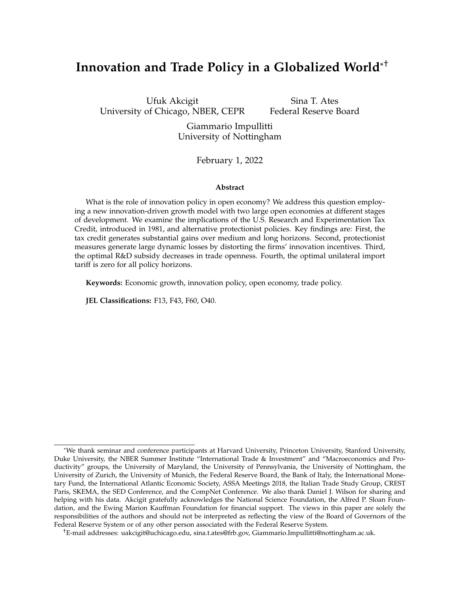# **Innovation and Trade Policy in a Globalized World**\* †

Ufuk Akcigit University of Chicago, NBER, CEPR

Sina T. Ates Federal Reserve Board

Giammario Impullitti University of Nottingham

February 1, 2022

#### **Abstract**

What is the role of innovation policy in open economy? We address this question employing a new innovation-driven growth model with two large open economies at different stages of development. We examine the implications of the U.S. Research and Experimentation Tax Credit, introduced in 1981, and alternative protectionist policies. Key findings are: First, the tax credit generates substantial gains over medium and long horizons. Second, protectionist measures generate large dynamic losses by distorting the firms' innovation incentives. Third, the optimal R&D subsidy decreases in trade openness. Fourth, the optimal unilateral import tariff is zero for all policy horizons.

**Keywords:** Economic growth, innovation policy, open economy, trade policy.

**JEL Classifications:** F13, F43, F60, O40.

<sup>\*</sup>We thank seminar and conference participants at Harvard University, Princeton University, Stanford University, Duke University, the NBER Summer Institute "International Trade & Investment" and "Macroeconomics and Productivity" groups, the University of Maryland, the University of Pennsylvania, the University of Nottingham, the University of Zurich, the University of Munich, the Federal Reserve Board, the Bank of Italy, the International Monetary Fund, the International Atlantic Economic Society, ASSA Meetings 2018, the Italian Trade Study Group, CREST Paris, SKEMA, the SED Conference, and the CompNet Conference. We also thank Daniel J. Wilson for sharing and helping with his data. Akcigit gratefully acknowledges the National Science Foundation, the Alfred P. Sloan Foundation, and the Ewing Marion Kauffman Foundation for financial support. The views in this paper are solely the responsibilities of the authors and should not be interpreted as reflecting the view of the Board of Governors of the Federal Reserve System or of any other person associated with the Federal Reserve System.

<sup>†</sup>E-mail addresses: uakcigit@uchicago.edu, sina.t.ates@frb.gov, Giammario.Impullitti@nottingham.ac.uk.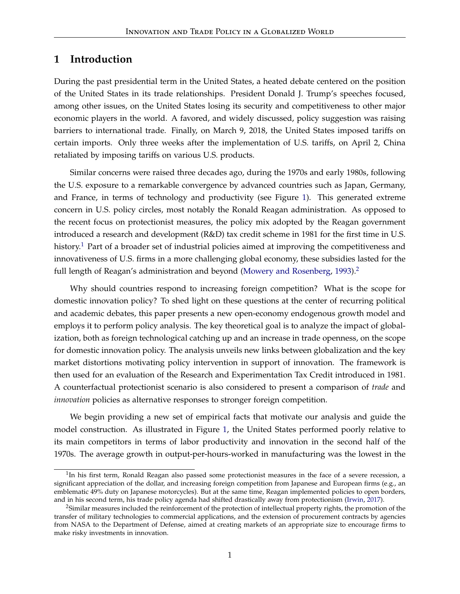# **1 Introduction**

During the past presidential term in the United States, a heated debate centered on the position of the United States in its trade relationships. President Donald J. Trump's speeches focused, among other issues, on the United States losing its security and competitiveness to other major economic players in the world. A favored, and widely discussed, policy suggestion was raising barriers to international trade. Finally, on March 9, 2018, the United States imposed tariffs on certain imports. Only three weeks after the implementation of U.S. tariffs, on April 2, China retaliated by imposing tariffs on various U.S. products.

Similar concerns were raised three decades ago, during the 1970s and early 1980s, following the U.S. exposure to a remarkable convergence by advanced countries such as Japan, Germany, and France, in terms of technology and productivity (see Figure [1\)](#page-2-0). This generated extreme concern in U.S. policy circles, most notably the Ronald Reagan administration. As opposed to the recent focus on protectionist measures, the policy mix adopted by the Reagan government introduced a research and development (R&D) tax credit scheme in 1981 for the first time in U.S. history.<sup>[1](#page-1-0)</sup> Part of a broader set of industrial policies aimed at improving the competitiveness and innovativeness of U.S. firms in a more challenging global economy, these subsidies lasted for the full length of Reagan's administration and beyond [\(Mowery and Rosenberg,](#page-47-0) [1993\)](#page-47-0).<sup>[2](#page-1-1)</sup>

Why should countries respond to increasing foreign competition? What is the scope for domestic innovation policy? To shed light on these questions at the center of recurring political and academic debates, this paper presents a new open-economy endogenous growth model and employs it to perform policy analysis. The key theoretical goal is to analyze the impact of globalization, both as foreign technological catching up and an increase in trade openness, on the scope for domestic innovation policy. The analysis unveils new links between globalization and the key market distortions motivating policy intervention in support of innovation. The framework is then used for an evaluation of the Research and Experimentation Tax Credit introduced in 1981. A counterfactual protectionist scenario is also considered to present a comparison of *trade* and *innovation* policies as alternative responses to stronger foreign competition.

We begin providing a new set of empirical facts that motivate our analysis and guide the model construction. As illustrated in Figure [1,](#page-2-0) the United States performed poorly relative to its main competitors in terms of labor productivity and innovation in the second half of the 1970s. The average growth in output-per-hours-worked in manufacturing was the lowest in the

<span id="page-1-0"></span><sup>&</sup>lt;sup>1</sup>In his first term, Ronald Reagan also passed some protectionist measures in the face of a severe recession, a significant appreciation of the dollar, and increasing foreign competition from Japanese and European firms (e.g., an emblematic 49% duty on Japanese motorcycles). But at the same time, Reagan implemented policies to open borders, and in his second term, his trade policy agenda had shifted drastically away from protectionism [\(Irwin,](#page-47-1) [2017\)](#page-47-1).

<span id="page-1-1"></span><sup>&</sup>lt;sup>2</sup>Similar measures included the reinforcement of the protection of intellectual property rights, the promotion of the transfer of military technologies to commercial applications, and the extension of procurement contracts by agencies from NASA to the Department of Defense, aimed at creating markets of an appropriate size to encourage firms to make risky investments in innovation.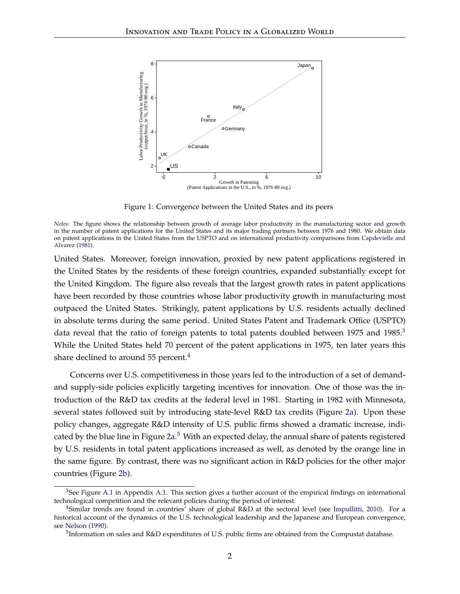<span id="page-2-0"></span>

Figure 1: Convergence between the United States and its peers

*Notes:* The figure shows the relationship between growth of average labor productivity in the manufacturing sector and growth in the number of patent applications for the United States and its major trading partners between 1976 and 1980. We obtain data on patent applications in the United States from the USPTO and on international productivity comparisons from [Capdevielle and](#page-46-0) [Alvarez](#page-46-0) [\(1981\)](#page-46-0).

United States. Moreover, foreign innovation, proxied by new patent applications registered in the United States by the residents of these foreign countries, expanded substantially except for the United Kingdom. The figure also reveals that the largest growth rates in patent applications have been recorded by those countries whose labor productivity growth in manufacturing most outpaced the United States. Strikingly, patent applications by U.S. residents actually declined in absolute terms during the same period. United States Patent and Trademark Office (USPTO) data reveal that the ratio of foreign patents to total patents doubled between 1975 and 1985.<sup>[3](#page-2-1)</sup> While the United States held 70 percent of the patent applications in 1975, ten later years this share declined to around 55 percent. $4$ 

Concerns over U.S. competitiveness in those years led to the introduction of a set of demandand supply-side policies explicitly targeting incentives for innovation. One of those was the introduction of the R&D tax credits at the federal level in 1981. Starting in 1982 with Minnesota, several states followed suit by introducing state-level R&D tax credits (Figure [2a\)](#page-3-0). Upon these policy changes, aggregate R&D intensity of U.S. public firms showed a dramatic increase, indi-cated by the blue line in Figure [2a.](#page-3-0)<sup>[5](#page-2-3)</sup> With an expected delay, the annual share of patents registered by U.S. residents in total patent applications increased as well, as denoted by the orange line in the same figure. By contrast, there was no significant action in R&D policies for the other major countries (Figure [2b\)](#page-3-1).

<span id="page-2-1"></span> $3$ See Figure [A.1](#page-49-0) in Appendix [A.1.](#page-49-1) This section gives a further account of the empirical findings on international technological competition and the relevant policies during the period of interest.

<span id="page-2-2"></span><sup>&</sup>lt;sup>4</sup>Similar trends are found in countries' share of global R&D at the sectoral level (see [Impullitti,](#page-47-2) [2010\)](#page-47-2). For a historical account of the dynamics of the U.S. technological leadership and the Japanese and European convergence, see [Nelson](#page-47-3) [\(1990\)](#page-47-3).

<span id="page-2-3"></span><sup>&</sup>lt;sup>5</sup>Information on sales and R&D expenditures of U.S. public firms are obtained from the Compustat database.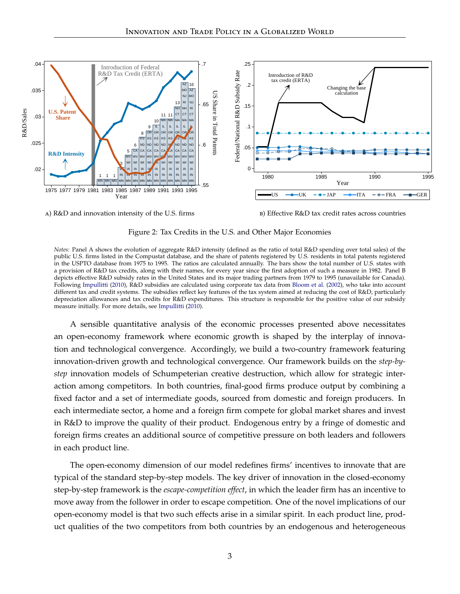

<span id="page-3-0"></span>a) R&D and innovation intensity of the U.S. firms

<span id="page-3-1"></span>b) Effective R&D tax credit rates across countries

Figure 2: Tax Credits in the U.S. and Other Major Economies

*Notes:* Panel A shows the evolution of aggregate R&D intensity (defined as the ratio of total R&D spending over total sales) of the public U.S. firms listed in the Compustat database, and the share of patents registered by U.S. residents in total patents registered in the USPTO database from 1975 to 1995. The ratios are calculated annually. The bars show the total number of U.S. states with a provision of R&D tax credits, along with their names, for every year since the first adoption of such a measure in 1982. Panel B depicts effective R&D subsidy rates in the United States and its major trading partners from 1979 to 1995 (unavailable for Canada). Following [Impullitti](#page-47-2) [\(2010\)](#page-47-2), R&D subsidies are calculated using corporate tax data from [Bloom et al.](#page-45-0) [\(2002\)](#page-45-0), who take into account different tax and credit systems. The subsidies reflect key features of the tax system aimed at reducing the cost of R&D, particularly depreciation allowances and tax credits for R&D expenditures. This structure is responsible for the positive value of our subsidy measure initially. For more details, see [Impullitti](#page-47-2) [\(2010\)](#page-47-2).

A sensible quantitative analysis of the economic processes presented above necessitates an open-economy framework where economic growth is shaped by the interplay of innovation and technological convergence. Accordingly, we build a two-country framework featuring innovation-driven growth and technological convergence. Our framework builds on the *step-bystep* innovation models of Schumpeterian creative destruction, which allow for strategic interaction among competitors. In both countries, final-good firms produce output by combining a fixed factor and a set of intermediate goods, sourced from domestic and foreign producers. In each intermediate sector, a home and a foreign firm compete for global market shares and invest in R&D to improve the quality of their product. Endogenous entry by a fringe of domestic and foreign firms creates an additional source of competitive pressure on both leaders and followers in each product line.

The open-economy dimension of our model redefines firms' incentives to innovate that are typical of the standard step-by-step models. The key driver of innovation in the closed-economy step-by-step framework is the *escape-competition effect*, in which the leader firm has an incentive to move away from the follower in order to escape competition. One of the novel implications of our open-economy model is that two such effects arise in a similar spirit. In each product line, product qualities of the two competitors from both countries by an endogenous and heterogeneous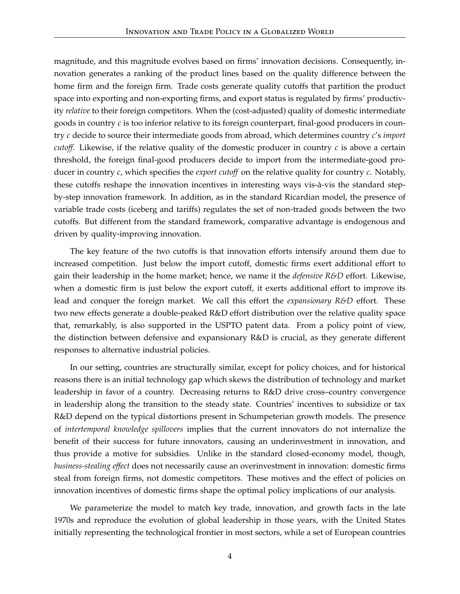magnitude, and this magnitude evolves based on firms' innovation decisions. Consequently, innovation generates a ranking of the product lines based on the quality difference between the home firm and the foreign firm. Trade costs generate quality cutoffs that partition the product space into exporting and non-exporting firms, and export status is regulated by firms' productivity *relative* to their foreign competitors. When the (cost-adjusted) quality of domestic intermediate goods in country *c* is too inferior relative to its foreign counterpart, final-good producers in country *c* decide to source their intermediate goods from abroad, which determines country *c*'s *import cutoff.* Likewise, if the relative quality of the domestic producer in country  $c$  is above a certain threshold, the foreign final-good producers decide to import from the intermediate-good producer in country *c*, which specifies the *export cutoff* on the relative quality for country *c*. Notably, these cutoffs reshape the innovation incentives in interesting ways vis-à-vis the standard stepby-step innovation framework. In addition, as in the standard Ricardian model, the presence of variable trade costs (iceberg and tariffs) regulates the set of non-traded goods between the two cutoffs. But different from the standard framework, comparative advantage is endogenous and driven by quality-improving innovation.

The key feature of the two cutoffs is that innovation efforts intensify around them due to increased competition. Just below the import cutoff, domestic firms exert additional effort to gain their leadership in the home market; hence, we name it the *defensive R&D* effort. Likewise, when a domestic firm is just below the export cutoff, it exerts additional effort to improve its lead and conquer the foreign market. We call this effort the *expansionary R&D* effort. These two new effects generate a double-peaked R&D effort distribution over the relative quality space that, remarkably, is also supported in the USPTO patent data. From a policy point of view, the distinction between defensive and expansionary R&D is crucial, as they generate different responses to alternative industrial policies.

In our setting, countries are structurally similar, except for policy choices, and for historical reasons there is an initial technology gap which skews the distribution of technology and market leadership in favor of a country. Decreasing returns to R&D drive cross–country convergence in leadership along the transition to the steady state. Countries' incentives to subsidize or tax R&D depend on the typical distortions present in Schumpeterian growth models. The presence of *intertemporal knowledge spillovers* implies that the current innovators do not internalize the benefit of their success for future innovators, causing an underinvestment in innovation, and thus provide a motive for subsidies. Unlike in the standard closed-economy model, though, *business-stealing effect* does not necessarily cause an overinvestment in innovation: domestic firms steal from foreign firms, not domestic competitors. These motives and the effect of policies on innovation incentives of domestic firms shape the optimal policy implications of our analysis.

We parameterize the model to match key trade, innovation, and growth facts in the late 1970s and reproduce the evolution of global leadership in those years, with the United States initially representing the technological frontier in most sectors, while a set of European countries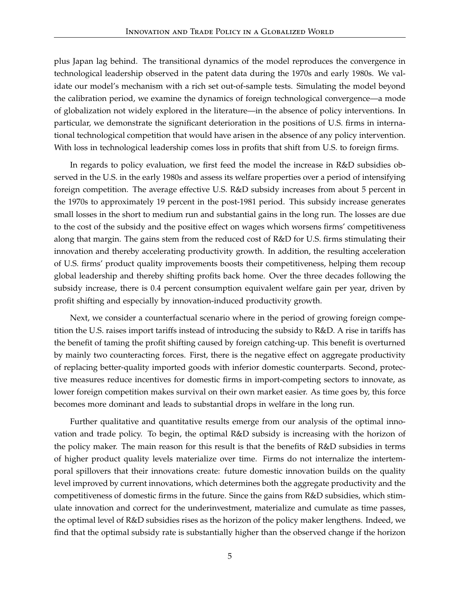plus Japan lag behind. The transitional dynamics of the model reproduces the convergence in technological leadership observed in the patent data during the 1970s and early 1980s. We validate our model's mechanism with a rich set out-of-sample tests. Simulating the model beyond the calibration period, we examine the dynamics of foreign technological convergence—a mode of globalization not widely explored in the literature—in the absence of policy interventions. In particular, we demonstrate the significant deterioration in the positions of U.S. firms in international technological competition that would have arisen in the absence of any policy intervention. With loss in technological leadership comes loss in profits that shift from U.S. to foreign firms.

In regards to policy evaluation, we first feed the model the increase in R&D subsidies observed in the U.S. in the early 1980s and assess its welfare properties over a period of intensifying foreign competition. The average effective U.S. R&D subsidy increases from about 5 percent in the 1970s to approximately 19 percent in the post-1981 period. This subsidy increase generates small losses in the short to medium run and substantial gains in the long run. The losses are due to the cost of the subsidy and the positive effect on wages which worsens firms' competitiveness along that margin. The gains stem from the reduced cost of R&D for U.S. firms stimulating their innovation and thereby accelerating productivity growth. In addition, the resulting acceleration of U.S. firms' product quality improvements boosts their competitiveness, helping them recoup global leadership and thereby shifting profits back home. Over the three decades following the subsidy increase, there is 0.4 percent consumption equivalent welfare gain per year, driven by profit shifting and especially by innovation-induced productivity growth.

Next, we consider a counterfactual scenario where in the period of growing foreign competition the U.S. raises import tariffs instead of introducing the subsidy to R&D. A rise in tariffs has the benefit of taming the profit shifting caused by foreign catching-up. This benefit is overturned by mainly two counteracting forces. First, there is the negative effect on aggregate productivity of replacing better-quality imported goods with inferior domestic counterparts. Second, protective measures reduce incentives for domestic firms in import-competing sectors to innovate, as lower foreign competition makes survival on their own market easier. As time goes by, this force becomes more dominant and leads to substantial drops in welfare in the long run.

Further qualitative and quantitative results emerge from our analysis of the optimal innovation and trade policy. To begin, the optimal R&D subsidy is increasing with the horizon of the policy maker. The main reason for this result is that the benefits of R&D subsidies in terms of higher product quality levels materialize over time. Firms do not internalize the intertemporal spillovers that their innovations create: future domestic innovation builds on the quality level improved by current innovations, which determines both the aggregate productivity and the competitiveness of domestic firms in the future. Since the gains from R&D subsidies, which stimulate innovation and correct for the underinvestment, materialize and cumulate as time passes, the optimal level of R&D subsidies rises as the horizon of the policy maker lengthens. Indeed, we find that the optimal subsidy rate is substantially higher than the observed change if the horizon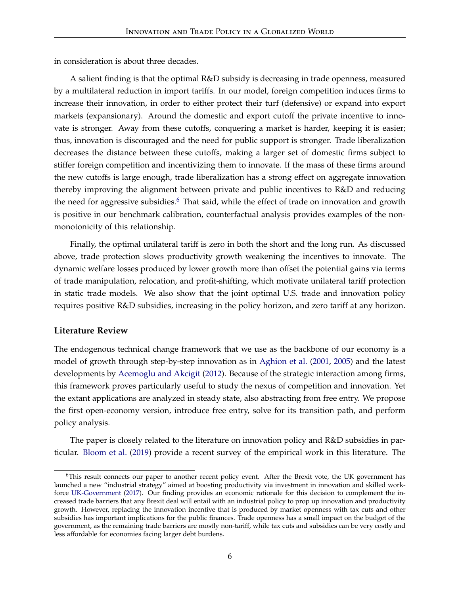in consideration is about three decades.

A salient finding is that the optimal R&D subsidy is decreasing in trade openness, measured by a multilateral reduction in import tariffs. In our model, foreign competition induces firms to increase their innovation, in order to either protect their turf (defensive) or expand into export markets (expansionary). Around the domestic and export cutoff the private incentive to innovate is stronger. Away from these cutoffs, conquering a market is harder, keeping it is easier; thus, innovation is discouraged and the need for public support is stronger. Trade liberalization decreases the distance between these cutoffs, making a larger set of domestic firms subject to stiffer foreign competition and incentivizing them to innovate. If the mass of these firms around the new cutoffs is large enough, trade liberalization has a strong effect on aggregate innovation thereby improving the alignment between private and public incentives to R&D and reducing the need for aggressive subsidies.<sup>[6](#page-6-0)</sup> That said, while the effect of trade on innovation and growth is positive in our benchmark calibration, counterfactual analysis provides examples of the nonmonotonicity of this relationship.

Finally, the optimal unilateral tariff is zero in both the short and the long run. As discussed above, trade protection slows productivity growth weakening the incentives to innovate. The dynamic welfare losses produced by lower growth more than offset the potential gains via terms of trade manipulation, relocation, and profit-shifting, which motivate unilateral tariff protection in static trade models. We also show that the joint optimal U.S. trade and innovation policy requires positive R&D subsidies, increasing in the policy horizon, and zero tariff at any horizon.

#### **Literature Review**

The endogenous technical change framework that we use as the backbone of our economy is a model of growth through step-by-step innovation as in [Aghion et al.](#page-44-0) [\(2001,](#page-44-0) [2005\)](#page-44-1) and the latest developments by [Acemoglu and Akcigit](#page-44-2) [\(2012\)](#page-44-2). Because of the strategic interaction among firms, this framework proves particularly useful to study the nexus of competition and innovation. Yet the extant applications are analyzed in steady state, also abstracting from free entry. We propose the first open-economy version, introduce free entry, solve for its transition path, and perform policy analysis.

The paper is closely related to the literature on innovation policy and R&D subsidies in particular. [Bloom et al.](#page-45-1) [\(2019\)](#page-45-1) provide a recent survey of the empirical work in this literature. The

<span id="page-6-0"></span><sup>&</sup>lt;sup>6</sup>This result connects our paper to another recent policy event. After the Brexit vote, the UK government has launched a new "industrial strategy" aimed at boosting productivity via investment in innovation and skilled workforce [UK-Government](#page-48-0) [\(2017\)](#page-48-0). Our finding provides an economic rationale for this decision to complement the increased trade barriers that any Brexit deal will entail with an industrial policy to prop up innovation and productivity growth. However, replacing the innovation incentive that is produced by market openness with tax cuts and other subsidies has important implications for the public finances. Trade openness has a small impact on the budget of the government, as the remaining trade barriers are mostly non-tariff, while tax cuts and subsidies can be very costly and less affordable for economies facing larger debt burdens.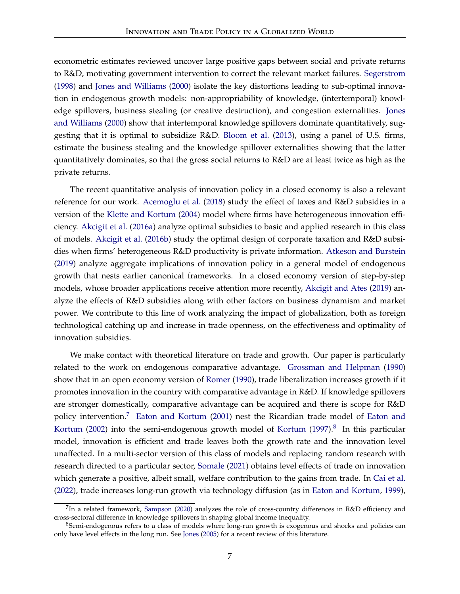econometric estimates reviewed uncover large positive gaps between social and private returns to R&D, motivating government intervention to correct the relevant market failures. [Segerstrom](#page-48-1) [\(1998\)](#page-48-1) and [Jones and Williams](#page-47-4) [\(2000\)](#page-47-4) isolate the key distortions leading to sub-optimal innovation in endogenous growth models: non-appropriability of knowledge, (intertemporal) knowledge spillovers, business stealing (or creative destruction), and congestion externalities. [Jones](#page-47-4) [and Williams](#page-47-4) [\(2000\)](#page-47-4) show that intertemporal knowledge spillovers dominate quantitatively, suggesting that it is optimal to subsidize R&D. [Bloom et al.](#page-45-2) [\(2013\)](#page-45-2), using a panel of U.S. firms, estimate the business stealing and the knowledge spillover externalities showing that the latter quantitatively dominates, so that the gross social returns to R&D are at least twice as high as the private returns.

The recent quantitative analysis of innovation policy in a closed economy is also a relevant reference for our work. [Acemoglu et al.](#page-44-3) [\(2018\)](#page-44-3) study the effect of taxes and R&D subsidies in a version of the [Klette and Kortum](#page-47-5) [\(2004\)](#page-47-5) model where firms have heterogeneous innovation efficiency. [Akcigit et al.](#page-45-3) [\(2016a\)](#page-45-3) analyze optimal subsidies to basic and applied research in this class of models. [Akcigit et al.](#page-45-4) [\(2016b\)](#page-45-4) study the optimal design of corporate taxation and R&D subsidies when firms' heterogeneous R&D productivity is private information. [Atkeson and Burstein](#page-45-5) [\(2019\)](#page-45-5) analyze aggregate implications of innovation policy in a general model of endogenous growth that nests earlier canonical frameworks. In a closed economy version of step-by-step models, whose broader applications receive attention more recently, [Akcigit and Ates](#page-45-6) [\(2019\)](#page-45-6) analyze the effects of R&D subsidies along with other factors on business dynamism and market power. We contribute to this line of work analyzing the impact of globalization, both as foreign technological catching up and increase in trade openness, on the effectiveness and optimality of innovation subsidies.

We make contact with theoretical literature on trade and growth. Our paper is particularly related to the work on endogenous comparative advantage. [Grossman and Helpman](#page-46-1) [\(1990\)](#page-46-1) show that in an open economy version of [Romer](#page-48-2) [\(1990\)](#page-48-2), trade liberalization increases growth if it promotes innovation in the country with comparative advantage in R&D. If knowledge spillovers are stronger domestically, comparative advantage can be acquired and there is scope for R&D policy intervention.<sup>[7](#page-7-0)</sup> [Eaton and Kortum](#page-46-2) [\(2001\)](#page-46-2) nest the Ricardian trade model of [Eaton and](#page-46-3) [Kortum](#page-47-6) [\(2002\)](#page-46-3) into the semi-endogenous growth model of Kortum [\(1997\)](#page-47-6). $8$  In this particular model, innovation is efficient and trade leaves both the growth rate and the innovation level unaffected. In a multi-sector version of this class of models and replacing random research with research directed to a particular sector, [Somale](#page-48-3) [\(2021\)](#page-48-3) obtains level effects of trade on innovation which generate a positive, albeit small, welfare contribution to the gains from trade. In [Cai et al.](#page-46-4) [\(2022\)](#page-46-4), trade increases long-run growth via technology diffusion (as in [Eaton and Kortum,](#page-46-5) [1999\)](#page-46-5),

<span id="page-7-0"></span> $^{7}$ In a related framework, [Sampson](#page-48-4) [\(2020\)](#page-48-4) analyzes the role of cross-country differences in R&D efficiency and cross-sectoral difference in knowledge spillovers in shaping global income inequality.

<span id="page-7-1"></span><sup>&</sup>lt;sup>8</sup>Semi-endogenous refers to a class of models where long-run growth is exogenous and shocks and policies can only have level effects in the long run. See [Jones](#page-47-7) [\(2005\)](#page-47-7) for a recent review of this literature.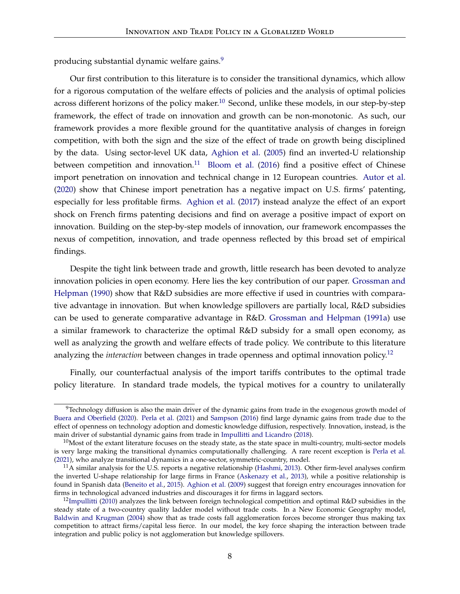producing substantial dynamic welfare gains.<sup>[9](#page-8-0)</sup>

Our first contribution to this literature is to consider the transitional dynamics, which allow for a rigorous computation of the welfare effects of policies and the analysis of optimal policies across different horizons of the policy maker.<sup>[10](#page-8-1)</sup> Second, unlike these models, in our step-by-step framework, the effect of trade on innovation and growth can be non-monotonic. As such, our framework provides a more flexible ground for the quantitative analysis of changes in foreign competition, with both the sign and the size of the effect of trade on growth being disciplined by the data. Using sector-level UK data, [Aghion et al.](#page-44-1) [\(2005\)](#page-44-1) find an inverted-U relationship between competition and innovation.<sup>[11](#page-8-2)</sup> [Bloom et al.](#page-45-7) [\(2016\)](#page-45-7) find a positive effect of Chinese import penetration on innovation and technical change in 12 European countries. [Autor et al.](#page-45-8) [\(2020\)](#page-45-8) show that Chinese import penetration has a negative impact on U.S. firms' patenting, especially for less profitable firms. [Aghion et al.](#page-44-4) [\(2017\)](#page-44-4) instead analyze the effect of an export shock on French firms patenting decisions and find on average a positive impact of export on innovation. Building on the step-by-step models of innovation, our framework encompasses the nexus of competition, innovation, and trade openness reflected by this broad set of empirical findings.

Despite the tight link between trade and growth, little research has been devoted to analyze innovation policies in open economy. Here lies the key contribution of our paper. [Grossman and](#page-46-1) [Helpman](#page-46-1) [\(1990\)](#page-46-1) show that R&D subsidies are more effective if used in countries with comparative advantage in innovation. But when knowledge spillovers are partially local, R&D subsidies can be used to generate comparative advantage in R&D. [Grossman and Helpman](#page-46-6) [\(1991a\)](#page-46-6) use a similar framework to characterize the optimal R&D subsidy for a small open economy, as well as analyzing the growth and welfare effects of trade policy. We contribute to this literature analyzing the *interaction* between changes in trade openness and optimal innovation policy.<sup>[12](#page-8-3)</sup>

Finally, our counterfactual analysis of the import tariffs contributes to the optimal trade policy literature. In standard trade models, the typical motives for a country to unilaterally

<span id="page-8-0"></span> $9$ Technology diffusion is also the main driver of the dynamic gains from trade in the exogenous growth model of [Buera and Oberfield](#page-45-9) [\(2020\)](#page-45-9). [Perla et al.](#page-47-8) [\(2021\)](#page-47-8) and [Sampson](#page-48-5) [\(2016\)](#page-48-5) find large dynamic gains from trade due to the effect of openness on technology adoption and domestic knowledge diffusion, respectively. Innovation, instead, is the main driver of substantial dynamic gains from trade in [Impullitti and Licandro](#page-47-9) [\(2018\)](#page-47-9).

<span id="page-8-1"></span> $10$ Most of the extant literature focuses on the steady state, as the state space in multi-country, multi-sector models is very large making the transitional dynamics computationally challenging. A rare recent exception is [Perla et al.](#page-47-8) [\(2021\)](#page-47-8), who analyze transitional dynamics in a one-sector, symmetric-country, model.

<span id="page-8-2"></span> $11A$  similar analysis for the U.S. reports a negative relationship [\(Hashmi,](#page-46-7) [2013\)](#page-46-7). Other firm-level analyses confirm the inverted U-shape relationship for large firms in France [\(Askenazy et al.,](#page-45-10) [2013\)](#page-45-10), while a positive relationship is found in Spanish data [\(Beneito et al.,](#page-45-11) [2015\)](#page-45-11). [Aghion et al.](#page-45-12) [\(2009\)](#page-45-12) suggest that foreign entry encourages innovation for firms in technological advanced industries and discourages it for firms in laggard sectors.

<span id="page-8-3"></span> $12$ [Impullitti](#page-47-2) [\(2010\)](#page-47-2) analyzes the link between foreign technological competition and optimal R&D subsidies in the steady state of a two-country quality ladder model without trade costs. In a New Economic Geography model, [Baldwin and Krugman](#page-45-13) [\(2004\)](#page-45-13) show that as trade costs fall agglomeration forces become stronger thus making tax competition to attract firms/capital less fierce. In our model, the key force shaping the interaction between trade integration and public policy is not agglomeration but knowledge spillovers.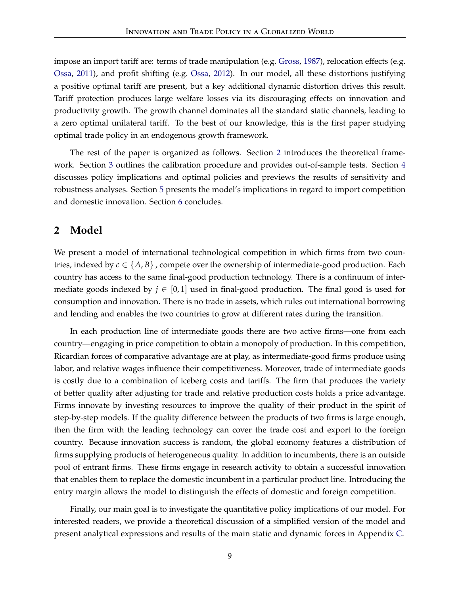impose an import tariff are: terms of trade manipulation (e.g. [Gross,](#page-46-8) [1987\)](#page-46-8), relocation effects (e.g. [Ossa,](#page-47-10) [2011\)](#page-47-10), and profit shifting (e.g. [Ossa,](#page-47-11) [2012\)](#page-47-11). In our model, all these distortions justifying a positive optimal tariff are present, but a key additional dynamic distortion drives this result. Tariff protection produces large welfare losses via its discouraging effects on innovation and productivity growth. The growth channel dominates all the standard static channels, leading to a zero optimal unilateral tariff. To the best of our knowledge, this is the first paper studying optimal trade policy in an endogenous growth framework.

The rest of the paper is organized as follows. Section [2](#page-9-0) introduces the theoretical framework. Section [3](#page-22-0) outlines the calibration procedure and provides out-of-sample tests. Section [4](#page-32-0) discusses policy implications and optimal policies and previews the results of sensitivity and robustness analyses. Section [5](#page-42-0) presents the model's implications in regard to import competition and domestic innovation. Section [6](#page-43-0) concludes.

# <span id="page-9-0"></span>**2 Model**

We present a model of international technological competition in which firms from two countries, indexed by  $c \in \{A, B\}$ , compete over the ownership of intermediate-good production. Each country has access to the same final-good production technology. There is a continuum of intermediate goods indexed by  $j \in [0,1]$  used in final-good production. The final good is used for consumption and innovation. There is no trade in assets, which rules out international borrowing and lending and enables the two countries to grow at different rates during the transition.

In each production line of intermediate goods there are two active firms—one from each country—engaging in price competition to obtain a monopoly of production. In this competition, Ricardian forces of comparative advantage are at play, as intermediate-good firms produce using labor, and relative wages influence their competitiveness. Moreover, trade of intermediate goods is costly due to a combination of iceberg costs and tariffs. The firm that produces the variety of better quality after adjusting for trade and relative production costs holds a price advantage. Firms innovate by investing resources to improve the quality of their product in the spirit of step-by-step models. If the quality difference between the products of two firms is large enough, then the firm with the leading technology can cover the trade cost and export to the foreign country. Because innovation success is random, the global economy features a distribution of firms supplying products of heterogeneous quality. In addition to incumbents, there is an outside pool of entrant firms. These firms engage in research activity to obtain a successful innovation that enables them to replace the domestic incumbent in a particular product line. Introducing the entry margin allows the model to distinguish the effects of domestic and foreign competition.

Finally, our main goal is to investigate the quantitative policy implications of our model. For interested readers, we provide a theoretical discussion of a simplified version of the model and present analytical expressions and results of the main static and dynamic forces in Appendix [C.](#page-58-0)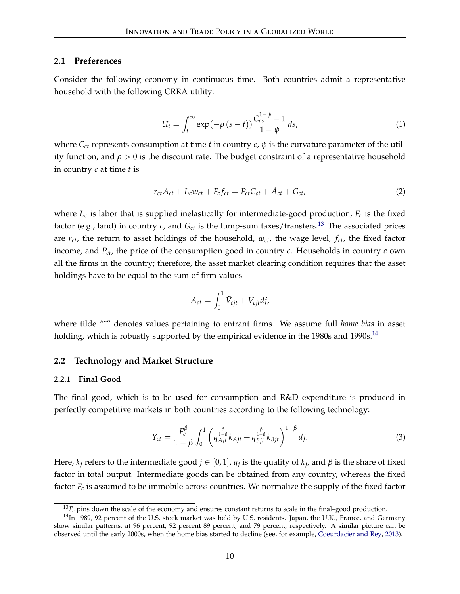#### **2.1 Preferences**

Consider the following economy in continuous time. Both countries admit a representative household with the following CRRA utility:

$$
U_t = \int_t^{\infty} \exp(-\rho (s-t)) \frac{C_{cs}^{1-\psi} - 1}{1-\psi} ds,
$$
\n(1)

where  $C_{ct}$  represents consumption at time *t* in country *c*,  $\psi$  is the curvature parameter of the utility function, and  $\rho > 0$  is the discount rate. The budget constraint of a representative household in country *c* at time *t* is

<span id="page-10-3"></span>
$$
r_{ct}A_{ct} + L_c w_{ct} + F_c f_{ct} = P_{ct}C_{ct} + \dot{A}_{ct} + G_{ct},
$$
\n(2)

where *L<sup>c</sup>* is labor that is supplied inelastically for intermediate-good production, *F<sup>c</sup>* is the fixed factor (e.g., land) in country  $c$ , and  $G_{ct}$  is the lump-sum taxes/transfers.<sup>[13](#page-10-0)</sup> The associated prices are *rct*, the return to asset holdings of the household, *wct*, the wage level, *fct*, the fixed factor income, and *Pct*, the price of the consumption good in country *c*. Households in country *c* own all the firms in the country; therefore, the asset market clearing condition requires that the asset holdings have to be equal to the sum of firm values

$$
A_{ct} = \int_0^1 \tilde{V}_{cjt} + V_{cjt}dj,
$$

where tilde "˜" denotes values pertaining to entrant firms. We assume full *home bias* in asset holding, which is robustly supported by the empirical evidence in the 1980s and 1990s.<sup>[14](#page-10-1)</sup>

#### **2.2 Technology and Market Structure**

#### **2.2.1 Final Good**

The final good, which is to be used for consumption and R&D expenditure is produced in perfectly competitive markets in both countries according to the following technology:

<span id="page-10-2"></span>
$$
Y_{ct} = \frac{F_c^{\beta}}{1 - \beta} \int_0^1 \left( q_{Ajt}^{\frac{\beta}{1 - \beta}} k_{Ajt} + q_{Bjt}^{\frac{\beta}{1 - \beta}} k_{Bjt} \right)^{1 - \beta} dj. \tag{3}
$$

Here,  $k_j$  refers to the intermediate good  $j \in [0,1]$ ,  $q_j$  is the quality of  $k_j$ , and  $\beta$  is the share of fixed factor in total output. Intermediate goods can be obtained from any country, whereas the fixed factor *F<sup>c</sup>* is assumed to be immobile across countries. We normalize the supply of the fixed factor

<span id="page-10-1"></span><span id="page-10-0"></span> $^{13}F_c$  pins down the scale of the economy and ensures constant returns to scale in the final–good production.

 $14$ In 1989, 92 percent of the U.S. stock market was held by U.S. residents. Japan, the U.K., France, and Germany show similar patterns, at 96 percent, 92 percent 89 percent, and 79 percent, respectively. A similar picture can be observed until the early 2000s, when the home bias started to decline (see, for example, [Coeurdacier and Rey,](#page-46-9) [2013\)](#page-46-9).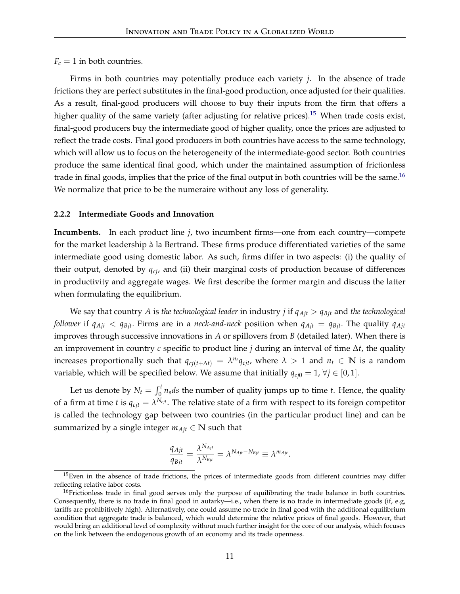$F_c = 1$  in both countries.

Firms in both countries may potentially produce each variety *j*. In the absence of trade frictions they are perfect substitutes in the final-good production, once adjusted for their qualities. As a result, final-good producers will choose to buy their inputs from the firm that offers a higher quality of the same variety (after adjusting for relative prices).<sup>[15](#page-11-0)</sup> When trade costs exist, final-good producers buy the intermediate good of higher quality, once the prices are adjusted to reflect the trade costs. Final good producers in both countries have access to the same technology, which will allow us to focus on the heterogeneity of the intermediate-good sector. Both countries produce the same identical final good, which under the maintained assumption of frictionless trade in final goods, implies that the price of the final output in both countries will be the same.<sup>[16](#page-11-1)</sup> We normalize that price to be the numeraire without any loss of generality.

#### **2.2.2 Intermediate Goods and Innovation**

**Incumbents.** In each product line *j*, two incumbent firms—one from each country—compete for the market leadership à la Bertrand. These firms produce differentiated varieties of the same intermediate good using domestic labor. As such, firms differ in two aspects: (i) the quality of their output, denoted by *qcj*, and (ii) their marginal costs of production because of differences in productivity and aggregate wages. We first describe the former margin and discuss the latter when formulating the equilibrium.

We say that country *A* is *the technological leader* in industry *j* if *qAjt* > *qBjt* and *the technological follower* if  $q_{Ajt} < q_{Bjt}$ . Firms are in a *neck-and-neck* position when  $q_{Ajt} = q_{Bjt}$ . The quality  $q_{Ajt}$ improves through successive innovations in *A* or spillovers from *B* (detailed later). When there is an improvement in country *c* specific to product line *j* during an interval of time ∆*t*, the quality increases proportionally such that  $q_{cj(t + \Delta t)} = \lambda^{n_t} q_{cjt}$ , where  $\lambda > 1$  and  $n_t \in \mathbb{N}$  is a random variable, which will be specified below. We assume that initially  $q_{ci0} = 1$ ,  $\forall j \in [0, 1]$ .

Let us denote by  $N_t = \int_0^t n_s ds$  the number of quality jumps up to time *t*. Hence, the quality of a firm at time *t* is  $q_{cjt} = \lambda^{N_{cjt}}$ . The relative state of a firm with respect to its foreign competitor is called the technology gap between two countries (in the particular product line) and can be summarized by a single integer  $m_{Ajt} \in \mathbb{N}$  such that

$$
\frac{q_{Ajt}}{q_{Bjt}} = \frac{\lambda^{N_{Ajt}}}{\lambda^{N_{Bjt}}} = \lambda^{N_{Ajt} - N_{Bjt}} \equiv \lambda^{m_{Ajt}}.
$$

<span id="page-11-0"></span><sup>&</sup>lt;sup>15</sup>Even in the absence of trade frictions, the prices of intermediate goods from different countries may differ reflecting relative labor costs.

<span id="page-11-1"></span><sup>&</sup>lt;sup>16</sup>Frictionless trade in final good serves only the purpose of equilibrating the trade balance in both countries. Consequently, there is no trade in final good in autarky—i.e., when there is no trade in intermediate goods (if, e.g, tariffs are prohibitively high). Alternatively, one could assume no trade in final good with the additional equilibrium condition that aggregate trade is balanced, which would determine the relative prices of final goods. However, that would bring an additional level of complexity without much further insight for the core of our analysis, which focuses on the link between the endogenous growth of an economy and its trade openness.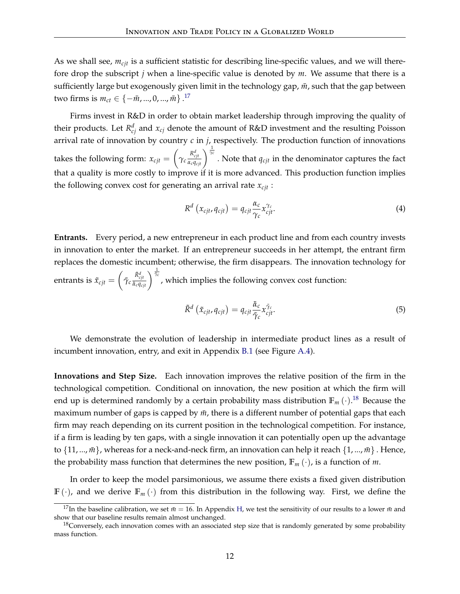As we shall see, *mcjt* is a sufficient statistic for describing line-specific values, and we will therefore drop the subscript *j* when a line-specific value is denoted by *m*. We assume that there is a sufficiently large but exogenously given limit in the technology gap,  $\bar{m}$ , such that the gap between two firms is  $m_{ct} \in \{-\bar{m}, ..., 0, ..., \bar{m}\}$ .<sup>[17](#page-12-0)</sup>

Firms invest in R&D in order to obtain market leadership through improving the quality of their products. Let  $R_{cj}^d$  and  $x_{cj}$  denote the amount of R&D investment and the resulting Poisson arrival rate of innovation by country *c* in *j*, respectively. The production function of innovations takes the following form:  $x_{cjt} = \left( \right)$  $\gamma_c \frac{R_{cjt}^d}{\alpha_c q_c}$  $\frac{R_{cjt}^d}{\alpha_c q_{cjt}}\bigg)^{\frac{1}{\gamma_c}}$ . Note that  $q_{cjt}$  in the denominator captures the fact that a quality is more costly to improve if it is more advanced. This production function implies the following convex cost for generating an arrival rate *xcjt* :

<span id="page-12-2"></span>
$$
R^{d}\left(x_{cjt}, q_{cjt}\right) = q_{cjt} \frac{\alpha_{c}}{\gamma_{c}} x_{cjt}^{\gamma_{c}}.
$$
\n(4)

**Entrants.** Every period, a new entrepreneur in each product line and from each country invests in innovation to enter the market. If an entrepreneur succeeds in her attempt, the entrant firm replaces the domestic incumbent; otherwise, the firm disappears. The innovation technology for entrants is  $\tilde{x}_{cjt} = \left(\tilde{\gamma}_c \frac{\tilde{R}_{cjt}^d}{\tilde{\alpha}_c a_c}\right)$  $\frac{\tilde{R}_{cjt}^{d}}{\tilde{\alpha}_{c}q_{cjt}}$ <sup> $\frac{1}{\tilde{\alpha}_{c}}$ , which implies the following convex cost function:</sup>

<span id="page-12-3"></span>
$$
\tilde{R}^d\left(\tilde{x}_{cjt}, q_{cjt}\right) = q_{cjt} \frac{\tilde{\alpha}_c}{\tilde{\gamma}_c} x_{cjt}^{\tilde{\gamma}_c}.
$$
\n(5)

We demonstrate the evolution of leadership in intermediate product lines as a result of incumbent innovation, entry, and exit in Appendix [B.1](#page-51-0) (see Figure [A.4\)](#page-52-0).

**Innovations and Step Size.** Each innovation improves the relative position of the firm in the technological competition. Conditional on innovation, the new position at which the firm will end up is determined randomly by a certain probability mass distribution  $\mathbb{F}_m$   $(\cdot)$ .<sup>[18](#page-12-1)</sup> Because the maximum number of gaps is capped by  $\bar{m}$ , there is a different number of potential gaps that each firm may reach depending on its current position in the technological competition. For instance, if a firm is leading by ten gaps, with a single innovation it can potentially open up the advantage to  $\{11, ..., m\}$ , whereas for a neck-and-neck firm, an innovation can help it reach  $\{1, ..., m\}$ . Hence, the probability mass function that determines the new position,  $\mathbb{F}_m(\cdot)$ , is a function of *m*.

In order to keep the model parsimonious, we assume there exists a fixed given distribution  $\mathbb{F}(\cdot)$ , and we derive  $\mathbb{F}_m(\cdot)$  from this distribution in the following way. First, we define the

<span id="page-12-0"></span><sup>&</sup>lt;sup>17</sup>In the baseline calibration, we set  $\bar{m} = 16$ . In Appendix [H,](#page-72-0) we test the sensitivity of our results to a lower  $\bar{m}$  and show that our baseline results remain almost unchanged.

<span id="page-12-1"></span><sup>&</sup>lt;sup>18</sup>Conversely, each innovation comes with an associated step size that is randomly generated by some probability mass function.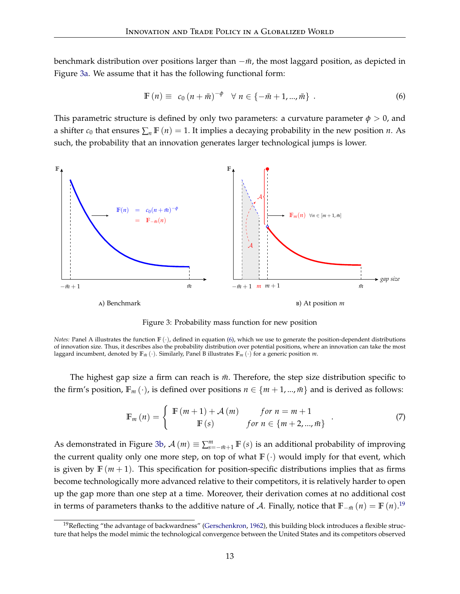benchmark distribution over positions larger than  $-\bar{m}$ , the most laggard position, as depicted in Figure [3a.](#page-13-0) We assume that it has the following functional form:

<span id="page-13-1"></span>
$$
\mathbb{F}(n) \equiv c_0 (n + \bar{m})^{-\phi} \quad \forall \; n \in \{-\bar{m} + 1, ..., \bar{m}\} \; . \tag{6}
$$

This parametric structure is defined by only two parameters: a curvature parameter  $\phi > 0$ , and a shifter  $c_0$  that ensures  $\sum_n \mathbb{F}(n) = 1$ . It implies a decaying probability in the new position *n*. As such, the probability that an innovation generates larger technological jumps is lower.



<span id="page-13-2"></span>Figure 3: Probability mass function for new position

<span id="page-13-0"></span>*Notes:* Panel A illustrates the function  $\mathbb{F}(\cdot)$ , defined in equation [\(6\)](#page-13-1), which we use to generate the position-dependent distributions of innovation size. Thus, it describes also the probability distribution over potential positions, where an innovation can take the most laggard incumbent, denoted by  $\mathbb{F}_{m}(\cdot)$ . Similarly, Panel B illustrates  $\mathbb{F}_{m}(\cdot)$  for a generic position *m*.

The highest gap size a firm can reach is  $m$ . Therefore, the step size distribution specific to the firm's position,  $\mathbb{F}_m(\cdot)$ , is defined over positions  $n \in \{m+1, ..., m\}$  and is derived as follows:

$$
\mathbb{F}_{m}(n) = \begin{cases} \mathbb{F}(m+1) + \mathcal{A}(m) & \text{for } n = m+1 \\ \mathbb{F}(s) & \text{for } n \in \{m+2, ..., m\} \end{cases}
$$
 (7)

As demonstrated in Figure [3b,](#page-13-2)  $\mathcal{A}(m) \equiv \sum_{s=-\bar{m}+1}^{m} \mathbb{F}(s)$  is an additional probability of improving the current quality only one more step, on top of what  $\mathbb{F}(\cdot)$  would imply for that event, which is given by  $\mathbb{F}(m+1)$ . This specification for position-specific distributions implies that as firms become technologically more advanced relative to their competitors, it is relatively harder to open up the gap more than one step at a time. Moreover, their derivation comes at no additional cost in terms of parameters thanks to the additive nature of A. Finally, notice that  $\mathbb{F}_{-\bar{m}}(n) = \mathbb{F}(n)$ .<sup>[19](#page-13-3)</sup>

<span id="page-13-3"></span> $19$ Reflecting "the advantage of backwardness" [\(Gerschenkron,](#page-46-10) [1962\)](#page-46-10), this building block introduces a flexible structure that helps the model mimic the technological convergence between the United States and its competitors observed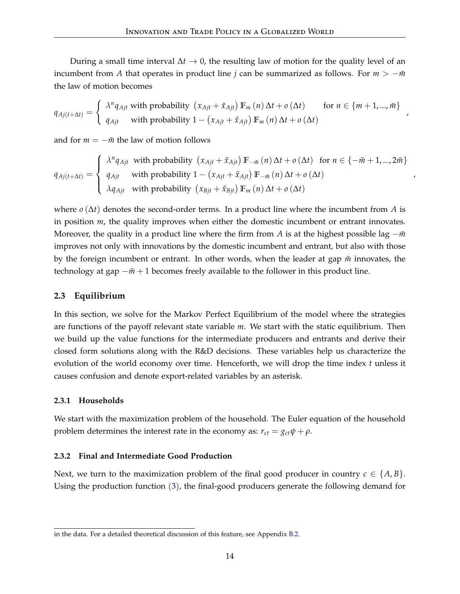During a small time interval ∆*t* → 0, the resulting law of motion for the quality level of an incumbent from *A* that operates in product line *j* can be summarized as follows. For  $m > -\bar{m}$ the law of motion becomes

$$
q_{Aj(t+\Delta t)} = \begin{cases} \lambda^{n} q_{Ajt} \text{ with probability } (x_{Ajt} + \tilde{x}_{Ajt}) \mathbb{F}_{m}(n) \Delta t + o(\Delta t) & \text{for } n \in \{m+1, ..., \bar{m}\} \\ q_{Ajt} \text{ with probability } 1 - (x_{Ajt} + \tilde{x}_{Ajt}) \mathbb{F}_{m}(n) \Delta t + o(\Delta t) \end{cases}
$$

,

,

and for  $m = -\bar{m}$  the law of motion follows

$$
q_{Aj(t+\Delta t)} = \begin{cases} \lambda^n q_{Ajt} & \text{with probability } (x_{Ajt} + \tilde{x}_{Ajt}) \mathbb{F}_{-\bar{m}}(n) \Delta t + o(\Delta t) & \text{for } n \in \{-\bar{m}+1,...,2\bar{m}\} \\ q_{Ajt} & \text{with probability } 1 - (x_{Ajt} + \tilde{x}_{Ajt}) \mathbb{F}_{-\bar{m}}(n) \Delta t + o(\Delta t) \\ \lambda q_{Ajt} & \text{with probability } (x_{Bjt} + \tilde{x}_{Bjt}) \mathbb{F}_m(n) \Delta t + o(\Delta t) \end{cases}
$$

where  $o(\Delta t)$  denotes the second-order terms. In a product line where the incumbent from A is in position *m*, the quality improves when either the domestic incumbent or entrant innovates. Moreover, the quality in a product line where the firm from *A* is at the highest possible lag −*m*<sup> $\overline{m}$ </sup> improves not only with innovations by the domestic incumbent and entrant, but also with those by the foreign incumbent or entrant. In other words, when the leader at gap  $\bar{m}$  innovates, the technology at gap  $-\bar{m}$  + 1 becomes freely available to the follower in this product line.

#### **2.3 Equilibrium**

In this section, we solve for the Markov Perfect Equilibrium of the model where the strategies are functions of the payoff relevant state variable *m*. We start with the static equilibrium. Then we build up the value functions for the intermediate producers and entrants and derive their closed form solutions along with the R&D decisions. These variables help us characterize the evolution of the world economy over time. Henceforth, we will drop the time index *t* unless it causes confusion and denote export-related variables by an asterisk.

#### **2.3.1 Households**

We start with the maximization problem of the household. The Euler equation of the household problem determines the interest rate in the economy as:  $r_{ct} = g_{ct}\psi + \rho$ .

#### **2.3.2 Final and Intermediate Good Production**

Next, we turn to the maximization problem of the final good producer in country  $c \in \{A, B\}$ . Using the production function ([3](#page-10-2)), the final-good producers generate the following demand for

in the data. For a detailed theoretical discussion of this feature, see Appendix [B.2.](#page-52-1)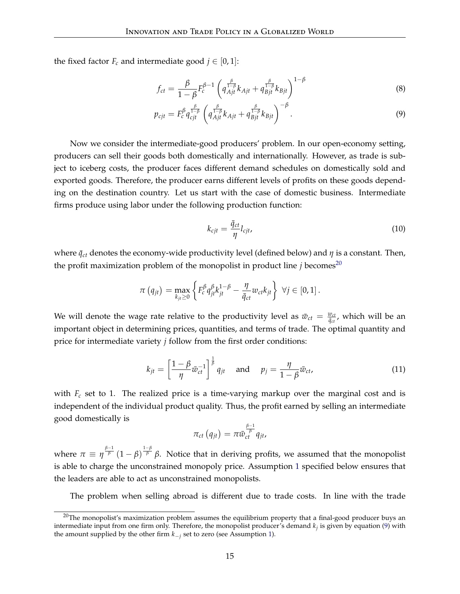the fixed factor  $F_c$  and intermediate good  $j \in [0,1]$ :

$$
f_{ct} = \frac{\beta}{1 - \beta} F_c^{\beta - 1} \left( q_{Ajt}^{\frac{\beta}{1 - \beta}} k_{Ajt} + q_{Bjt}^{\frac{\beta}{1 - \beta}} k_{Bjt} \right)^{1 - \beta}
$$
(8)

$$
p_{cjt} = F_c^{\beta} q_{cjt}^{\frac{\beta}{1-\beta}} \left( q_{Ajt}^{\frac{\beta}{1-\beta}} k_{Ajt} + q_{Bjt}^{\frac{\beta}{1-\beta}} k_{Bjt} \right)^{-\beta}.
$$
\n(9)

Now we consider the intermediate-good producers' problem. In our open-economy setting, producers can sell their goods both domestically and internationally. However, as trade is subject to iceberg costs, the producer faces different demand schedules on domestically sold and exported goods. Therefore, the producer earns different levels of profits on these goods depending on the destination country. Let us start with the case of domestic business. Intermediate firms produce using labor under the following production function:

<span id="page-15-2"></span><span id="page-15-1"></span>
$$
k_{cjt} = \frac{\bar{q}_{ct}}{\eta} l_{cjt},\tag{10}
$$

where  $\bar{q}_{ct}$  denotes the economy-wide productivity level (defined below) and  $\eta$  is a constant. Then, the profit maximization problem of the monopolist in product line  $j$  becomes<sup>[20](#page-15-0)</sup>

$$
\pi\left(q_{jt}\right) = \max_{k_{jt} \geq 0} \left\{ F_c^{\beta} q_{jt}^{\beta} k_{jt}^{1-\beta} - \frac{\eta}{\bar{q}_{ct}} w_{ct} k_{jt} \right\} \ \forall j \in [0,1].
$$

We will denote the wage rate relative to the productivity level as  $\bar{w}_{ct} = \frac{w_{ct}}{\bar{g}_{ct}}$  $\frac{w_{ct}}{\bar{q}_{ct}}$ , which will be an important object in determining prices, quantities, and terms of trade. The optimal quantity and price for intermediate variety *j* follow from the first order conditions:

$$
k_{jt} = \left[\frac{1-\beta}{\eta}\bar{w}_{ct}^{-1}\right]^{\frac{1}{\beta}}q_{jt} \quad \text{and} \quad p_j = \frac{\eta}{1-\beta}\bar{w}_{ct}, \tag{11}
$$

with *F<sup>c</sup>* set to 1. The realized price is a time-varying markup over the marginal cost and is independent of the individual product quality. Thus, the profit earned by selling an intermediate good domestically is

$$
\pi_{ct}\left(q_{jt}\right)=\pi\bar{w}_{ct}^{\frac{\beta-1}{\beta}}q_{jt},
$$

where  $\pi \equiv \eta^{\frac{\beta-1}{\beta}}(1-\beta)^{\frac{1-\beta}{\beta}}\beta$ . Notice that in deriving profits, we assumed that the monopolist is able to charge the unconstrained monopoly price. Assumption [1](#page-16-0) specified below ensures that the leaders are able to act as unconstrained monopolists.

The problem when selling abroad is different due to trade costs. In line with the trade

<span id="page-15-0"></span> $20$ The monopolist's maximization problem assumes the equilibrium property that a final-good producer buys an intermediate input from one firm only. Therefore, the monopolist producer's demand  $k_j$  is given by equation [\(9\)](#page-15-1) with the amount supplied by the other firm *k*−*<sup>j</sup>* set to zero (see Assumption [1\)](#page-16-0).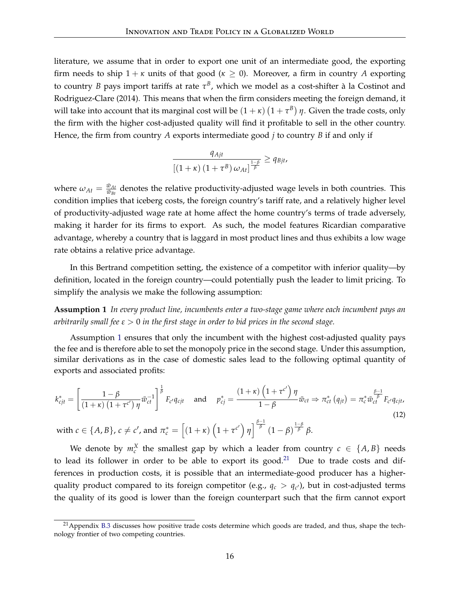literature, we assume that in order to export one unit of an intermediate good, the exporting firm needs to ship  $1 + \kappa$  units of that good ( $\kappa \ge 0$ ). Moreover, a firm in country *A* exporting to country *B* pays import tariffs at rate  $τ<sup>B</sup>$ , which we model as a cost-shifter à la Costinot and Rodriguez-Clare (2014). This means that when the firm considers meeting the foreign demand, it will take into account that its marginal cost will be  $(1 + \kappa) (1 + \tau^B) \eta$ . Given the trade costs, only the firm with the higher cost-adjusted quality will find it profitable to sell in the other country. Hence, the firm from country *A* exports intermediate good *j* to country *B* if and only if

$$
\frac{q_{Ajt}}{\left[\left(1+\kappa\right)\left(1+\tau^{B}\right)\omega_{At}\right]^{\frac{1-\beta}{\beta}}}\geq q_{Bjt},
$$

where  $\omega_{At} = \frac{\bar{w}_{At}}{\bar{w}_{Bt}}$  $\frac{w_{At}}{\bar{w}_{Bt}}$  denotes the relative productivity-adjusted wage levels in both countries. This condition implies that iceberg costs, the foreign country's tariff rate, and a relatively higher level of productivity-adjusted wage rate at home affect the home country's terms of trade adversely, making it harder for its firms to export. As such, the model features Ricardian comparative advantage, whereby a country that is laggard in most product lines and thus exhibits a low wage rate obtains a relative price advantage.

In this Bertrand competition setting, the existence of a competitor with inferior quality—by definition, located in the foreign country—could potentially push the leader to limit pricing. To simplify the analysis we make the following assumption:

<span id="page-16-0"></span>**Assumption 1** *In every product line, incumbents enter a two-stage game where each incumbent pays an arbitrarily small fee ε* > 0 *in the first stage in order to bid prices in the second stage.*

Assumption [1](#page-16-0) ensures that only the incumbent with the highest cost-adjusted quality pays the fee and is therefore able to set the monopoly price in the second stage. Under this assumption, similar derivations as in the case of domestic sales lead to the following optimal quantity of exports and associated profits:

<span id="page-16-2"></span>
$$
k_{cjt}^* = \left[\frac{1-\beta}{\left(1+\kappa\right)\left(1+\tau^{c'}\right)\eta}\bar{w}_{ct}^{-1}\right]^{\frac{1}{\beta}} F_{c'}q_{cjt} \quad \text{and} \quad p_{cj}^* = \frac{\left(1+\kappa\right)\left(1+\tau^{c'}\right)\eta}{1-\beta}\bar{w}_{ct} \Rightarrow \pi_{ct}^*\left(q_{jt}\right) = \pi_c^* \bar{w}_{ct}^{\frac{\beta-1}{\beta}} F_{c'}q_{cjt},
$$
\n
$$
\text{with } c \in \{A, B\} \quad c \neq c' \text{ and } \pi^* = \left[\left(1+\kappa\right)\left(1+\tau^{c'}\right)\eta\right]^{\frac{\beta-1}{\beta}} \left(1-\beta\right)^{\frac{1-\beta}{\beta}}\beta
$$
\n
$$
(12)
$$

 $\text{with } c \in \{A, B\}, c \neq c', \text{and } \pi_c^* = \left[\left(1 + \kappa\right)\left(1 + \tau^{c'}\right)\eta\right]^{\frac{\beta - 1}{\beta}}(1 - \beta)^{\frac{1 - \beta}{\beta}}\beta.$ 

We denote by  $m_c^X$  the smallest gap by which a leader from country  $c \in \{A, B\}$  needs to lead its follower in order to be able to export its good.<sup>[21](#page-16-1)</sup> Due to trade costs and differences in production costs, it is possible that an intermediate-good producer has a higherquality product compared to its foreign competitor (e.g.,  $q_c > q_{c'}$ ), but in cost-adjusted terms the quality of its good is lower than the foreign counterpart such that the firm cannot export

<span id="page-16-1"></span> $21$  Appendix [B.3](#page-53-0) discusses how positive trade costs determine which goods are traded, and thus, shape the technology frontier of two competing countries.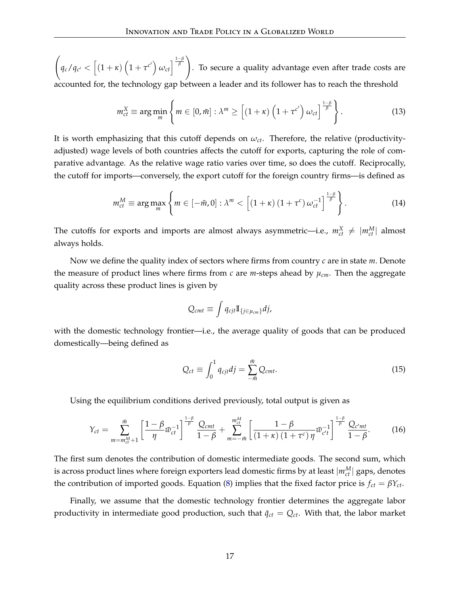$\sqrt{ }$  $q_c/q_{c'} < [(1+\kappa) (1+\tau^{c'}) \omega_{ct}]^{\frac{1-\beta}{\beta}}$ . To secure a quality advantage even after trade costs are accounted for, the technology gap between a leader and its follower has to reach the threshold

<span id="page-17-0"></span>
$$
m_{ct}^X \equiv \arg\min_m \left\{ m \in [0,\bar{m}] : \lambda^m \ge \left[ (1+\kappa) \left( 1 + \tau^{c'} \right) \omega_{ct} \right]^{\frac{1-\beta}{\beta}} \right\}.
$$
 (13)

It is worth emphasizing that this cutoff depends on  $\omega_{ct}$ . Therefore, the relative (productivityadjusted) wage levels of both countries affects the cutoff for exports, capturing the role of comparative advantage. As the relative wage ratio varies over time, so does the cutoff. Reciprocally, the cutoff for imports—conversely, the export cutoff for the foreign country firms—is defined as

$$
m_{ct}^M \equiv \arg \max_{m} \left\{ m \in [-\bar{m}, 0] : \lambda^m < \left[ (1+\kappa) (1+\tau^c) \, \omega_{ct}^{-1} \right]^{\frac{1-\beta}{\beta}} \right\}.
$$
 (14)

The cutoffs for exports and imports are almost always asymmetric—i.e.,  $m_{ct}^X \neq |m_{ct}^M|$  almost always holds.

Now we define the quality index of sectors where firms from country *c* are in state *m*. Denote the measure of product lines where firms from *c* are *m*-steps ahead by *µcm*. Then the aggregate quality across these product lines is given by

<span id="page-17-1"></span>
$$
Q_{cmt} \equiv \int q_{cjt} \mathbb{I}_{\{j \in \mu_{cm}\}} dj,
$$

with the domestic technology frontier—i.e., the average quality of goods that can be produced domestically—being defined as

$$
Q_{ct} \equiv \int_0^1 q_{cjt} df = \sum_{-\bar{m}}^{\bar{m}} Q_{cmt}.
$$
 (15)

Using the equilibrium conditions derived previously, total output is given as

$$
Y_{ct} = \sum_{m=m_{ct}^{M}+1}^{\bar{m}} \left[ \frac{1-\beta}{\eta} \bar{w}_{ct}^{-1} \right]^{\frac{1-\beta}{\beta}} \frac{Q_{cmt}}{1-\beta} + \sum_{m=-\bar{m}}^{m_{ct}^{M}} \left[ \frac{1-\beta}{\left(1+\kappa\right)\left(1+\tau^{c}\right)\eta} \bar{w}_{c't}^{-1} \right]^{\frac{1-\beta}{\beta}} \frac{Q_{c'mt}}{1-\beta}.
$$
 (16)

The first sum denotes the contribution of domestic intermediate goods. The second sum, which is across product lines where foreign exporters lead domestic firms by at least  $|m_{ct}^M|$  gaps, denotes the contribution of imported goods. Equation [\(8\)](#page-15-2) implies that the fixed factor price is  $f_{ct} = \beta Y_{ct}$ .

Finally, we assume that the domestic technology frontier determines the aggregate labor productivity in intermediate good production, such that  $\bar{q}_{ct} = Q_{ct}$ . With that, the labor market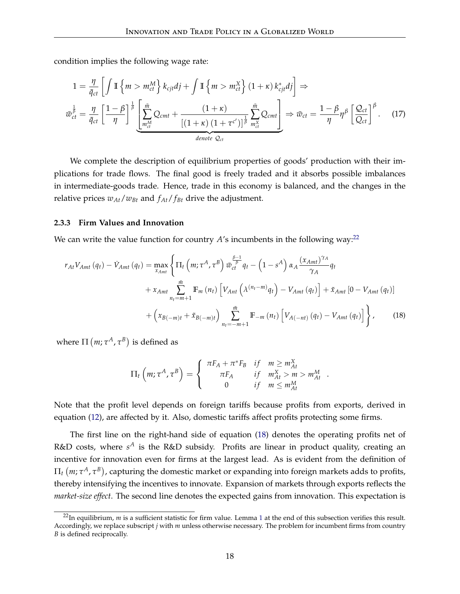condition implies the following wage rate:

$$
1 = \frac{\eta}{\bar{q}_{ct}} \left[ \int \mathbb{I} \left\{ m > m_{ct}^{M} \right\} k_{cjt} dj + \int \mathbb{I} \left\{ m > m_{ct}^{X} \right\} (1 + \kappa) k_{cjt}^{*} dj \right] \Rightarrow
$$
  

$$
\bar{w}_{ct}^{\frac{1}{\beta}} = \frac{\eta}{\bar{q}_{ct}} \left[ \frac{1 - \beta}{\eta} \right]^{\frac{1}{\beta}} \underbrace{\left[ \sum_{m_{ct}^{M}}^{\bar{m}} Q_{cmt} + \frac{(1 + \kappa)}{[(1 + \kappa) (1 + \tau^{c'})]^{\frac{1}{\beta}} \sum_{m_{ct}^{X}}^{\bar{m}} Q_{cmt} \right]}_{\text{denote } Q_{ct}} \Rightarrow \bar{w}_{ct} = \frac{1 - \beta}{\eta} \eta^{\beta} \left[ \frac{Q_{ct}}{Q_{ct}} \right]^{\beta}.
$$
 (17)

We complete the description of equilibrium properties of goods' production with their implications for trade flows. The final good is freely traded and it absorbs possible imbalances in intermediate-goods trade. Hence, trade in this economy is balanced, and the changes in the relative prices  $w_{At}/w_{Bt}$  and  $f_{At}/f_{Bt}$  drive the adjustment.

#### **2.3.3 Firm Values and Innovation**

We can write the value function for country  $A$ 's incumbents in the following way:<sup>[22](#page-18-0)</sup>

$$
r_{At}V_{Amt}(q_{t}) - \dot{V}_{Amt}(q_{t}) = \max_{x_{Amt}} \left\{ \Pi_{t} \left( m; \tau^{A}, \tau^{B} \right) \bar{w}_{ct}^{\frac{\beta-1}{\beta}} q_{t} - \left( 1 - s^{A} \right) \alpha_{A} \frac{(x_{Amt})^{\gamma_{A}}}{\gamma_{A}} q_{t} \right.+ x_{Amt} \sum_{n_{t}=m+1}^{\bar{m}} \mathbb{F}_{m} \left( n_{t} \right) \left[ V_{Ant} \left( \lambda^{(n_{t}-m)} q_{t} \right) - V_{Amt}(q_{t}) \right] + \tilde{x}_{Amt} \left[ 0 - V_{Amt}(q_{t}) \right] \right.+ \left( x_{B(-m)t} + \tilde{x}_{B(-m)t} \right) \sum_{n_{t}=-m+1}^{\bar{m}} \mathbb{F}_{-m} \left( n_{t} \right) \left[ V_{A(-nt)} \left( q_{t} \right) - V_{Amt}(q_{t}) \right] \right\}, \quad (18)
$$

where  $\Pi(m; \tau^A, \tau^B)$  is defined as

<span id="page-18-1"></span>
$$
\Pi_t\left(m;\tau^A,\tau^B\right) = \begin{cases} \pi F_A + \pi^* F_B & \text{if } m \ge m_{At}^X \\ \pi F_A & \text{if } m_{At}^X > m > m_{At}^M \\ 0 & \text{if } m \le m_{At}^M \end{cases}.
$$

Note that the profit level depends on foreign tariffs because profits from exports, derived in equation [\(12\)](#page-16-2), are affected by it. Also, domestic tariffs affect profits protecting some firms.

The first line on the right-hand side of equation [\(18\)](#page-18-1) denotes the operating profits net of R&D costs, where  $s^A$  is the R&D subsidy. Profits are linear in product quality, creating an incentive for innovation even for firms at the largest lead. As is evident from the definition of  $\Pi_{t}$   $(m; \tau^{A}, \tau^{B})$ , capturing the domestic market or expanding into foreign markets adds to profits, thereby intensifying the incentives to innovate. Expansion of markets through exports reflects the *market-size effect*. The second line denotes the expected gains from innovation. This expectation is

<span id="page-18-0"></span> $^{22}$ In equilibrium, *m* is a sufficient statistic for firm value. Lemma [1](#page-19-0) at the end of this subsection verifies this result. Accordingly, we replace subscript *j* with *m* unless otherwise necessary. The problem for incumbent firms from country *B* is defined reciprocally.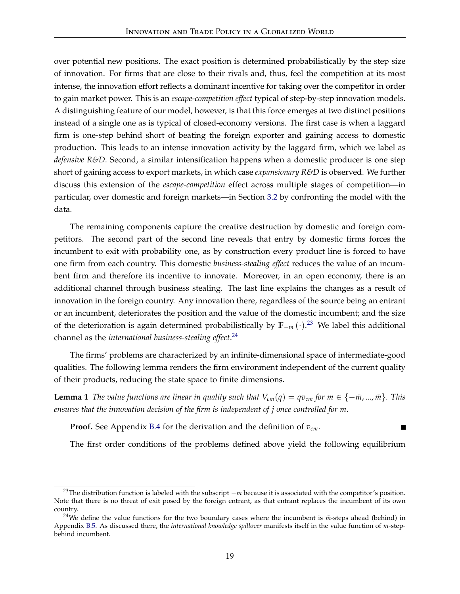over potential new positions. The exact position is determined probabilistically by the step size of innovation. For firms that are close to their rivals and, thus, feel the competition at its most intense, the innovation effort reflects a dominant incentive for taking over the competitor in order to gain market power. This is an *escape-competition effect* typical of step-by-step innovation models. A distinguishing feature of our model, however, is that this force emerges at two distinct positions instead of a single one as is typical of closed-economy versions. The first case is when a laggard firm is one-step behind short of beating the foreign exporter and gaining access to domestic production. This leads to an intense innovation activity by the laggard firm, which we label as *defensive R&D*. Second, a similar intensification happens when a domestic producer is one step short of gaining access to export markets, in which case *expansionary R&D* is observed. We further discuss this extension of the *escape-competition* effect across multiple stages of competition—in particular, over domestic and foreign markets—in Section [3.2](#page-29-0) by confronting the model with the data.

The remaining components capture the creative destruction by domestic and foreign competitors. The second part of the second line reveals that entry by domestic firms forces the incumbent to exit with probability one, as by construction every product line is forced to have one firm from each country. This domestic *business-stealing effect* reduces the value of an incumbent firm and therefore its incentive to innovate. Moreover, in an open economy, there is an additional channel through business stealing. The last line explains the changes as a result of innovation in the foreign country. Any innovation there, regardless of the source being an entrant or an incumbent, deteriorates the position and the value of the domestic incumbent; and the size of the deterioration is again determined probabilistically by **F**−*<sup>m</sup>* (·). [23](#page-19-1) We label this additional channel as the *international business-stealing effect*. [24](#page-19-2)

The firms' problems are characterized by an infinite-dimensional space of intermediate-good qualities. The following lemma renders the firm environment independent of the current quality of their products, reducing the state space to finite dimensions.

<span id="page-19-0"></span>**Lemma 1** *The value functions are linear in quality such that*  $V_{cm}(q) = qv_{cm}$  *for*  $m \in \{-\bar{m},...,\bar{m}\}$ *. This ensures that the innovation decision of the firm is independent of j once controlled for m*.

**Proof.** See Appendix [B.4](#page-54-0) for the derivation and the definition of *vcm*.

The first order conditions of the problems defined above yield the following equilibrium

<span id="page-19-1"></span><sup>23</sup>The distribution function is labeled with the subscript <sup>−</sup>*<sup>m</sup>* because it is associated with the competitor's position. Note that there is no threat of exit posed by the foreign entrant, as that entrant replaces the incumbent of its own country.

<span id="page-19-2"></span><sup>&</sup>lt;sup>24</sup>We define the value functions for the two boundary cases where the incumbent is  $\bar{m}$ -steps ahead (behind) in Appendix [B.5.](#page-55-0) As discussed there, the *international knowledge spillover* manifests itself in the value function of  $\bar{m}$ -stepbehind incumbent.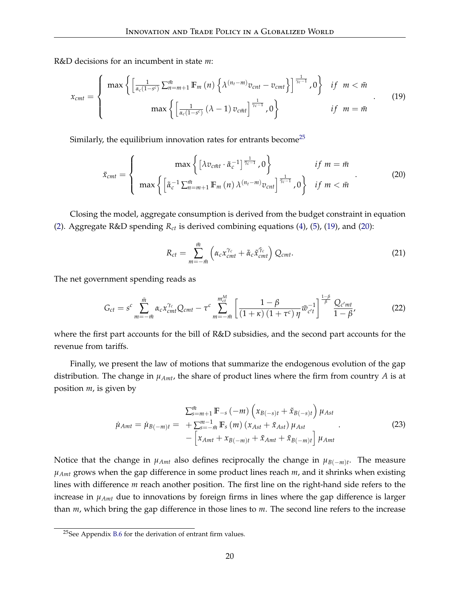R&D decisions for an incumbent in state *m*:

<span id="page-20-1"></span>
$$
x_{cmt} = \begin{cases} \max \left\{ \left[ \frac{1}{\alpha_c (1 - s^c)} \sum_{n = m + 1}^{m} \mathbb{F}_m(n) \left\{ \lambda^{(n_t - m)} v_{cnt} - v_{cmt} \right\} \right]^{\frac{1}{\gamma_c - 1}}, 0 \right\} & \text{if } m < \bar{m} \\ \max \left\{ \left[ \frac{1}{\alpha_c (1 - s^c)} (\lambda - 1) v_{c\bar{m}t} \right]^{\frac{1}{\gamma_c - 1}}, 0 \right\} & \text{if } m = \bar{m} \end{cases} \tag{19}
$$

Similarly, the equilibrium innovation rates for entrants become<sup>[25](#page-20-0)</sup>

<span id="page-20-2"></span>
$$
\tilde{x}_{cmt} = \begin{cases}\n\max\left\{ \left[ \lambda v_{c\bar{m}t} \cdot \tilde{\alpha}_c^{-1} \right]^{\frac{1}{\bar{\gamma}_c - 1}}, 0 \right\} & \text{if } m = \bar{m} \\
\max\left\{ \left[ \tilde{\alpha}_c^{-1} \sum_{m=m+1}^{\bar{m}} \mathbb{F}_m(n) \lambda^{(n_t - m)} v_{cnt} \right]^{\frac{1}{\bar{\gamma}_c - 1}}, 0 \right\} & \text{if } m < \bar{m}\n\end{cases}
$$
\n(20)

Closing the model, aggregate consumption is derived from the budget constraint in equation [\(2\)](#page-10-3). Aggregate R&D spending *Rct* is derived combining equations [\(4\)](#page-12-2), [\(5\)](#page-12-3), [\(19\)](#page-20-1), and [\(20\)](#page-20-2):

$$
R_{ct} = \sum_{m=-i\bar{n}}^{\bar{m}} \left( \alpha_c x_{cnt}^{\gamma_c} + \tilde{\alpha}_c \tilde{x}_{cnt}^{\tilde{\gamma}_c} \right) Q_{cnt}.
$$
 (21)

The net government spending reads as

$$
G_{ct} = s^{c} \sum_{m=-\bar{m}}^{\bar{m}} \alpha_{c} x_{cmt}^{\gamma_{c}} Q_{cmt} - \tau^{c} \sum_{m=-\bar{m}}^{m_{ct}^{M}} \left[ \frac{1-\beta}{(1+\kappa)(1+\tau^{c})\eta} \bar{w}_{c't}^{-1} \right]^{1-\beta} \frac{Q_{c'mt}}{1-\beta},
$$
(22)

where the first part accounts for the bill of R&D subsidies, and the second part accounts for the revenue from tariffs.

Finally, we present the law of motions that summarize the endogenous evolution of the gap distribution. The change in  $\mu_{Amt}$ , the share of product lines where the firm from country *A* is at position *m*, is given by

$$
\tilde{\mu}_{Amt} = \tilde{\mu}_{B(-m)t} = \sum_{s=-m+1}^{\bar{m}} \mathbb{F}_{-s}(-m) \left( x_{B(-s)t} + \tilde{x}_{B(-s)t} \right) \mu_{Ast} \n- \left[ x_{Amt} + x_{B(-m)t} + \tilde{x}_{Amt} + \tilde{x}_{B(-m)t} \right] \mu_{Amt}
$$
\n(23)

Notice that the change in  $\mu_{Amt}$  also defines reciprocally the change in  $\mu_{B(-m)t}$ . The measure *µAmt* grows when the gap difference in some product lines reach *m*, and it shrinks when existing lines with difference *m* reach another position. The first line on the right-hand side refers to the increase in *µAmt* due to innovations by foreign firms in lines where the gap difference is larger than *m*, which bring the gap difference in those lines to *m*. The second line refers to the increase

<span id="page-20-0"></span><sup>&</sup>lt;sup>25</sup>See Appendix [B.6](#page-55-1) for the derivation of entrant firm values.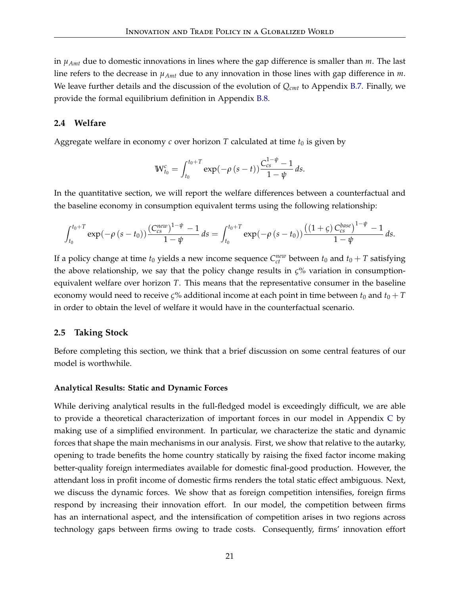in *µAmt* due to domestic innovations in lines where the gap difference is smaller than *m*. The last line refers to the decrease in *µAmt* due to any innovation in those lines with gap difference in *m*. We leave further details and the discussion of the evolution of *Qcmt* to Appendix [B.7.](#page-56-0) Finally, we provide the formal equilibrium definition in Appendix [B.8.](#page-57-0)

#### **2.4 Welfare**

Aggregate welfare in economy  $c$  over horizon  $T$  calculated at time  $t_0$  is given by

$$
\mathbb{W}_{t_0}^c = \int_{t_0}^{t_0+T} \exp(-\rho (s-t)) \frac{C_{cs}^{1-\psi}-1}{1-\psi} \, ds.
$$

In the quantitative section, we will report the welfare differences between a counterfactual and the baseline economy in consumption equivalent terms using the following relationship:

$$
\int_{t_0}^{t_0+T} \exp(-\rho (s-t_0)) \frac{(C_{cs}^{new})^{1-\psi}-1}{1-\psi} ds = \int_{t_0}^{t_0+T} \exp(-\rho (s-t_0)) \frac{((1+\varsigma) C_{cs}^{base})^{1-\psi}-1}{1-\psi} ds.
$$

If a policy change at time  $t_0$  yields a new income sequence  $C_{ct}^{new}$  between  $t_0$  and  $t_0 + T$  satisfying the above relationship, we say that the policy change results in *ς*% variation in consumptionequivalent welfare over horizon *T*. This means that the representative consumer in the baseline economy would need to receive *ς*% additional income at each point in time between  $t_0$  and  $t_0 + T$ in order to obtain the level of welfare it would have in the counterfactual scenario.

#### **2.5 Taking Stock**

Before completing this section, we think that a brief discussion on some central features of our model is worthwhile.

#### **Analytical Results: Static and Dynamic Forces**

While deriving analytical results in the full-fledged model is exceedingly difficult, we are able to provide a theoretical characterization of important forces in our model in Appendix [C](#page-58-0) by making use of a simplified environment. In particular, we characterize the static and dynamic forces that shape the main mechanisms in our analysis. First, we show that relative to the autarky, opening to trade benefits the home country statically by raising the fixed factor income making better-quality foreign intermediates available for domestic final-good production. However, the attendant loss in profit income of domestic firms renders the total static effect ambiguous. Next, we discuss the dynamic forces. We show that as foreign competition intensifies, foreign firms respond by increasing their innovation effort. In our model, the competition between firms has an international aspect, and the intensification of competition arises in two regions across technology gaps between firms owing to trade costs. Consequently, firms' innovation effort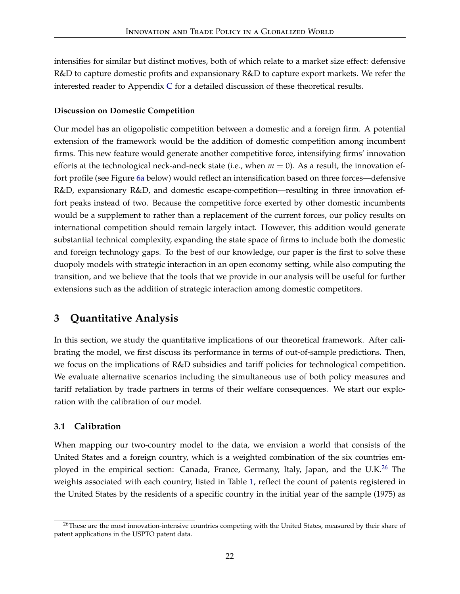intensifies for similar but distinct motives, both of which relate to a market size effect: defensive R&D to capture domestic profits and expansionary R&D to capture export markets. We refer the interested reader to Appendix [C](#page-58-0) for a detailed discussion of these theoretical results.

# **Discussion on Domestic Competition**

Our model has an oligopolistic competition between a domestic and a foreign firm. A potential extension of the framework would be the addition of domestic competition among incumbent firms. This new feature would generate another competitive force, intensifying firms' innovation efforts at the technological neck-and-neck state (i.e., when  $m = 0$ ). As a result, the innovation effort profile (see Figure [6a](#page-30-0) below) would reflect an intensification based on three forces—defensive R&D, expansionary R&D, and domestic escape-competition—resulting in three innovation effort peaks instead of two. Because the competitive force exerted by other domestic incumbents would be a supplement to rather than a replacement of the current forces, our policy results on international competition should remain largely intact. However, this addition would generate substantial technical complexity, expanding the state space of firms to include both the domestic and foreign technology gaps. To the best of our knowledge, our paper is the first to solve these duopoly models with strategic interaction in an open economy setting, while also computing the transition, and we believe that the tools that we provide in our analysis will be useful for further extensions such as the addition of strategic interaction among domestic competitors.

# <span id="page-22-0"></span>**3 Quantitative Analysis**

In this section, we study the quantitative implications of our theoretical framework. After calibrating the model, we first discuss its performance in terms of out-of-sample predictions. Then, we focus on the implications of R&D subsidies and tariff policies for technological competition. We evaluate alternative scenarios including the simultaneous use of both policy measures and tariff retaliation by trade partners in terms of their welfare consequences. We start our exploration with the calibration of our model.

# **3.1 Calibration**

When mapping our two-country model to the data, we envision a world that consists of the United States and a foreign country, which is a weighted combination of the six countries em-ployed in the empirical section: Canada, France, Germany, Italy, Japan, and the U.K.<sup>[26](#page-22-1)</sup> The weights associated with each country, listed in Table [1,](#page-23-0) reflect the count of patents registered in the United States by the residents of a specific country in the initial year of the sample (1975) as

<span id="page-22-1"></span><sup>&</sup>lt;sup>26</sup>These are the most innovation-intensive countries competing with the United States, measured by their share of patent applications in the USPTO patent data.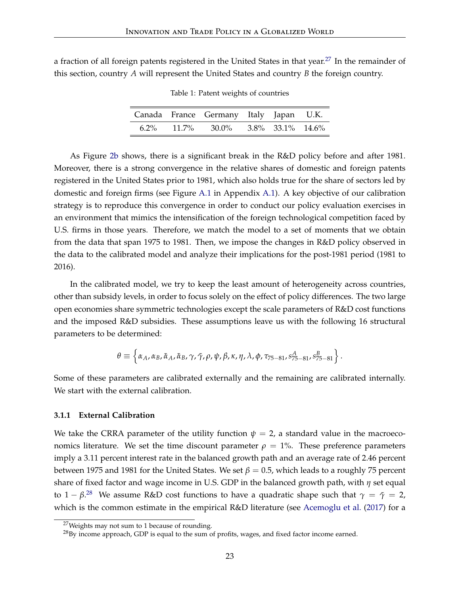<span id="page-23-0"></span>a fraction of all foreign patents registered in the United States in that year.<sup>[27](#page-23-1)</sup> In the remainder of this section, country *A* will represent the United States and country *B* the foreign country.

|  | Canada France Germany Italy Japan U.K.              |  |  |
|--|-----------------------------------------------------|--|--|
|  | $6.2\%$ $11.7\%$ $30.0\%$ $3.8\%$ $33.1\%$ $14.6\%$ |  |  |

Table 1: Patent weights of countries

As Figure [2b](#page-3-1) shows, there is a significant break in the R&D policy before and after 1981. Moreover, there is a strong convergence in the relative shares of domestic and foreign patents registered in the United States prior to 1981, which also holds true for the share of sectors led by domestic and foreign firms (see Figure [A.1](#page-49-0) in Appendix [A.1\)](#page-49-1). A key objective of our calibration strategy is to reproduce this convergence in order to conduct our policy evaluation exercises in an environment that mimics the intensification of the foreign technological competition faced by U.S. firms in those years. Therefore, we match the model to a set of moments that we obtain from the data that span 1975 to 1981. Then, we impose the changes in R&D policy observed in the data to the calibrated model and analyze their implications for the post-1981 period (1981 to 2016).

In the calibrated model, we try to keep the least amount of heterogeneity across countries, other than subsidy levels, in order to focus solely on the effect of policy differences. The two large open economies share symmetric technologies except the scale parameters of R&D cost functions and the imposed R&D subsidies. These assumptions leave us with the following 16 structural parameters to be determined:

$$
\theta \equiv \left\{ \alpha_A, \alpha_B, \tilde{\alpha}_A, \tilde{\alpha}_B, \gamma, \tilde{\gamma}, \rho, \psi, \beta, \kappa, \eta, \lambda, \phi, \tau_{75-81}, s_{75-81}^A, s_{75-81}^B \right\}.
$$

Some of these parameters are calibrated externally and the remaining are calibrated internally. We start with the external calibration.

#### **3.1.1 External Calibration**

We take the CRRA parameter of the utility function  $\psi = 2$ , a standard value in the macroeconomics literature. We set the time discount parameter  $\rho = 1\%$ . These preference parameters imply a 3.11 percent interest rate in the balanced growth path and an average rate of 2.46 percent between 1975 and 1981 for the United States. We set  $\beta = 0.5$ , which leads to a roughly 75 percent share of fixed factor and wage income in U.S. GDP in the balanced growth path, with *η* set equal to  $1 - \beta^{28}$  $1 - \beta^{28}$  $1 - \beta^{28}$  We assume R&D cost functions to have a quadratic shape such that  $\gamma = \tilde{\gamma} = 2$ , which is the common estimate in the empirical R&D literature (see [Acemoglu et al.](#page-44-5) [\(2017\)](#page-44-5) for a

<span id="page-23-1"></span><sup>&</sup>lt;sup>27</sup>Weights may not sum to 1 because of rounding.

<span id="page-23-2"></span><sup>&</sup>lt;sup>28</sup>By income approach, GDP is equal to the sum of profits, wages, and fixed factor income earned.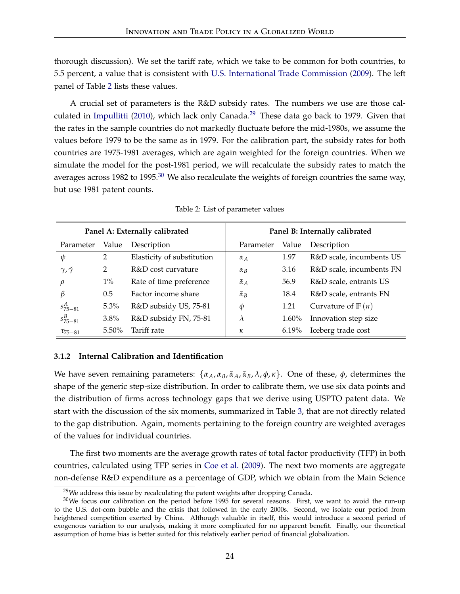thorough discussion). We set the tariff rate, which we take to be common for both countries, to 5.5 percent, a value that is consistent with [U.S. International Trade Commission](#page-48-6) [\(2009\)](#page-48-6). The left panel of Table [2](#page-24-0) lists these values.

A crucial set of parameters is the R&D subsidy rates. The numbers we use are those cal-culated in [Impullitti](#page-47-2) [\(2010\)](#page-47-2), which lack only Canada.<sup>[29](#page-24-1)</sup> These data go back to 1979. Given that the rates in the sample countries do not markedly fluctuate before the mid-1980s, we assume the values before 1979 to be the same as in 1979. For the calibration part, the subsidy rates for both countries are 1975-1981 averages, which are again weighted for the foreign countries. When we simulate the model for the post-1981 period, we will recalculate the subsidy rates to match the averages across 1982 to 1995.<sup>[30](#page-24-2)</sup> We also recalculate the weights of foreign countries the same way, but use 1981 patent counts.

<span id="page-24-0"></span>

| Panel A: Externally calibrated |               | Panel B: Internally calibrated |                    |          |                          |
|--------------------------------|---------------|--------------------------------|--------------------|----------|--------------------------|
| Parameter                      | Value         | Description                    | Parameter          | Value    | Description              |
| ψ                              | 2             | Elasticity of substitution     | $\alpha_A$         | 1.97     | R&D scale, incumbents US |
| $\gamma, \tilde{\gamma}$       | 2             | R&D cost curvature             | $\alpha_B$         | 3.16     | R&D scale, incumbents FN |
| $\varrho$                      | $1\%$         | Rate of time preference        | $\tilde{\alpha}_A$ | 56.9     | R&D scale, entrants US   |
| ß                              | $0.5^{\circ}$ | Factor income share            | $\tilde{\alpha}_B$ | 18.4     | R&D scale, entrants FN   |
| $s_{75-81}^A$                  | $5.3\%$       | R&D subsidy US, 75-81          | Φ                  | 1.21     | Curvature of $F(n)$      |
| $s_{75-81}^B$                  | $3.8\%$       | R&D subsidy FN, 75-81          | $\lambda$          | $1.60\%$ | Innovation step size     |
| $\tau_{75-81}$                 | $5.50\%$      | Tariff rate                    | к                  | $6.19\%$ | Iceberg trade cost       |

Table 2: List of parameter values

#### <span id="page-24-3"></span>**3.1.2 Internal Calibration and Identification**

We have seven remaining parameters:  $\{\alpha_A, \alpha_B, \tilde{\alpha}_A, \tilde{\alpha}_B, \lambda, \phi, \kappa\}$ . One of these,  $\phi$ , determines the shape of the generic step-size distribution. In order to calibrate them, we use six data points and the distribution of firms across technology gaps that we derive using USPTO patent data. We start with the discussion of the six moments, summarized in Table [3,](#page-27-0) that are not directly related to the gap distribution. Again, moments pertaining to the foreign country are weighted averages of the values for individual countries.

The first two moments are the average growth rates of total factor productivity (TFP) in both countries, calculated using TFP series in [Coe et al.](#page-46-11) [\(2009\)](#page-46-11). The next two moments are aggregate non-defense R&D expenditure as a percentage of GDP, which we obtain from the Main Science

<span id="page-24-2"></span><span id="page-24-1"></span> $29$ We address this issue by recalculating the patent weights after dropping Canada.

 $30$ We focus our calibration on the period before 1995 for several reasons. First, we want to avoid the run-up to the U.S. dot-com bubble and the crisis that followed in the early 2000s. Second, we isolate our period from heightened competition exerted by China. Although valuable in itself, this would introduce a second period of exogenous variation to our analysis, making it more complicated for no apparent benefit. Finally, our theoretical assumption of home bias is better suited for this relatively earlier period of financial globalization.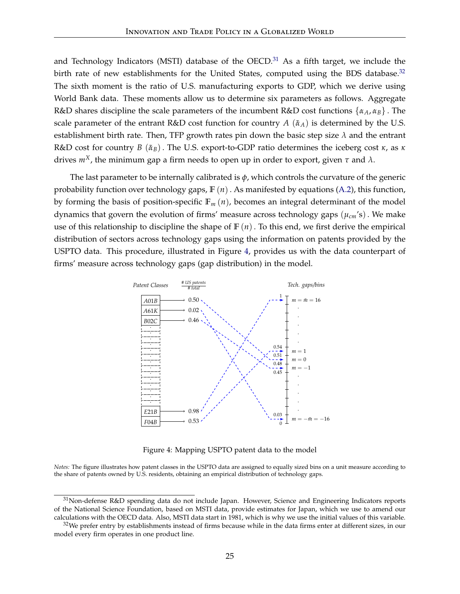and Technology Indicators (MSTI) database of the OECD. $31$  As a fifth target, we include the birth rate of new establishments for the United States, computed using the BDS database. $32$ The sixth moment is the ratio of U.S. manufacturing exports to GDP, which we derive using World Bank data. These moments allow us to determine six parameters as follows. Aggregate R&D shares discipline the scale parameters of the incumbent R&D cost functions {*αA*, *αB*} . The scale parameter of the entrant R&D cost function for country  $A(\tilde{a}_A)$  is determined by the U.S. establishment birth rate. Then, TFP growth rates pin down the basic step size  $\lambda$  and the entrant R&D cost for country *B* (*α*˜ *<sup>B</sup>*). The U.S. export-to-GDP ratio determines the iceberg cost *κ*, as *κ* drives *mX*, the minimum gap a firm needs to open up in order to export, given *τ* and *λ*.

The last parameter to be internally calibrated is *ϕ*, which controls the curvature of the generic probability function over technology gaps, **F** (*n*). As manifested by equations [\(A.2\)](#page-57-1), this function, by forming the basis of position-specific  $\mathbb{F}_m(n)$ , becomes an integral determinant of the model dynamics that govern the evolution of firms' measure across technology gaps (*µcm*'s). We make use of this relationship to discipline the shape of  $\mathbb{F}(n)$ . To this end, we first derive the empirical distribution of sectors across technology gaps using the information on patents provided by the USPTO data. This procedure, illustrated in Figure [4,](#page-25-2) provides us with the data counterpart of firms' measure across technology gaps (gap distribution) in the model.

<span id="page-25-2"></span>

Figure 4: Mapping USPTO patent data to the model

*Notes:* The figure illustrates how patent classes in the USPTO data are assigned to equally sized bins on a unit measure according to the share of patents owned by U.S. residents, obtaining an empirical distribution of technology gaps.

<span id="page-25-0"></span><sup>31</sup>Non-defense R&D spending data do not include Japan. However, Science and Engineering Indicators reports of the National Science Foundation, based on MSTI data, provide estimates for Japan, which we use to amend our calculations with the OECD data. Also, MSTI data start in 1981, which is why we use the initial values of this variable.

<span id="page-25-1"></span> $32$ We prefer entry by establishments instead of firms because while in the data firms enter at different sizes, in our model every firm operates in one product line.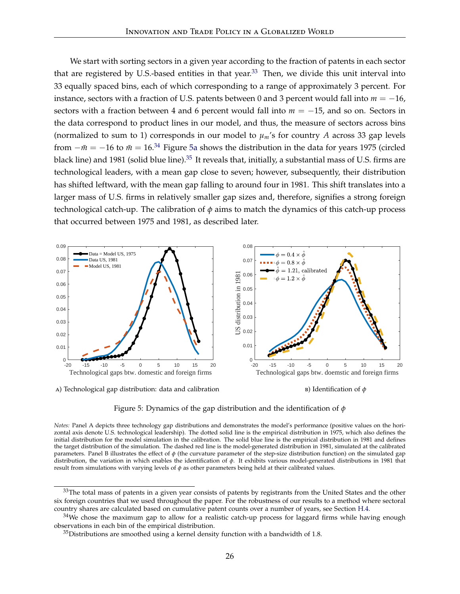We start with sorting sectors in a given year according to the fraction of patents in each sector that are registered by U.S.-based entities in that year. $33$  Then, we divide this unit interval into 33 equally spaced bins, each of which corresponding to a range of approximately 3 percent. For instance, sectors with a fraction of U.S. patents between 0 and 3 percent would fall into *m* = −16, sectors with a fraction between 4 and 6 percent would fall into *m* = −15, and so on. Sectors in the data correspond to product lines in our model, and thus, the measure of sectors across bins (normalized to sum to 1) corresponds in our model to  $\mu_m$ 's for country *A* across 33 gap levels from  $-\bar{m} = -16$  to  $\bar{m} = 16.34$  $\bar{m} = 16.34$  Figure [5a](#page-26-2) shows the distribution in the data for years 1975 (circled black line) and 1981 (solid blue line).<sup>[35](#page-26-3)</sup> It reveals that, initially, a substantial mass of U.S. firms are technological leaders, with a mean gap close to seven; however, subsequently, their distribution has shifted leftward, with the mean gap falling to around four in 1981. This shift translates into a larger mass of U.S. firms in relatively smaller gap sizes and, therefore, signifies a strong foreign technological catch-up. The calibration of  $\phi$  aims to match the dynamics of this catch-up process that occurred between 1975 and 1981, as described later.

<span id="page-26-5"></span>

<span id="page-26-2"></span>a) Technological gap distribution: data and calibration

<span id="page-26-4"></span>



*Notes:* Panel A depicts three technology gap distributions and demonstrates the model's performance (positive values on the horizontal axis denote U.S. technological leadership). The dotted solid line is the empirical distribution in 1975, which also defines the initial distribution for the model simulation in the calibration. The solid blue line is the empirical distribution in 1981 and defines the target distribution of the simulation. The dashed red line is the model-generated distribution in 1981, simulated at the calibrated parameters. Panel B illustrates the effect of *ϕ* (the curvature parameter of the step-size distribution function) on the simulated gap distribution, the variation in which enables the identification of *ϕ*. It exhibits various model-generated distributions in 1981 that result from simulations with varying levels of *ϕ* as other parameters being held at their calibrated values.

<span id="page-26-0"></span><sup>&</sup>lt;sup>33</sup>The total mass of patents in a given year consists of patents by registrants from the United States and the other six foreign countries that we used throughout the paper. For the robustness of our results to a method where sectoral country shares are calculated based on cumulative patent counts over a number of years, see Section [H.4.](#page-74-0)

<span id="page-26-1"></span> $34$ We chose the maximum gap to allow for a realistic catch-up process for laggard firms while having enough observations in each bin of the empirical distribution.

<span id="page-26-3"></span> $35$ Distributions are smoothed using a kernel density function with a bandwidth of 1.8.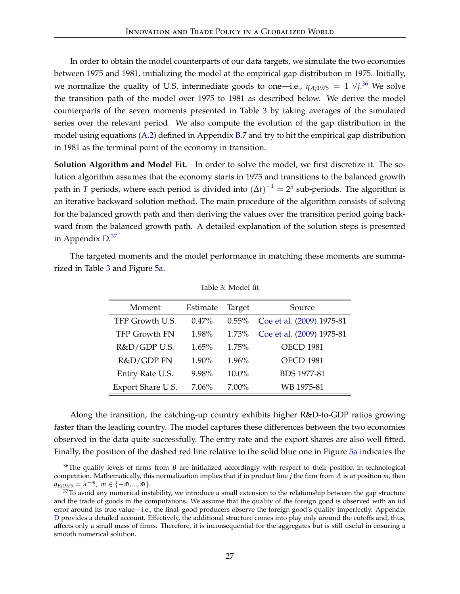In order to obtain the model counterparts of our data targets, we simulate the two economies between 1975 and 1981, initializing the model at the empirical gap distribution in 1975. Initially, we normalize the quality of U.S. intermediate goods to one—i.e.,  $q_{Aj1975} = 1 \forall j$ .<sup>[36](#page-27-1)</sup> We solve the transition path of the model over 1975 to 1981 as described below. We derive the model counterparts of the seven moments presented in Table [3](#page-27-0) by taking averages of the simulated series over the relevant period. We also compute the evolution of the gap distribution in the model using equations [\(A.2\)](#page-57-1) defined in Appendix [B.7](#page-56-0) and try to hit the empirical gap distribution in 1981 as the terminal point of the economy in transition.

**Solution Algorithm and Model Fit.** In order to solve the model, we first discretize it. The solution algorithm assumes that the economy starts in 1975 and transitions to the balanced growth path in *T* periods, where each period is divided into  $(\Delta t)^{-1} = 2^5$  sub-periods. The algorithm is an iterative backward solution method. The main procedure of the algorithm consists of solving for the balanced growth path and then deriving the values over the transition period going backward from the balanced growth path. A detailed explanation of the solution steps is presented in Appendix [D.](#page-63-0)<sup>[37](#page-27-2)</sup>

<span id="page-27-0"></span>The targeted moments and the model performance in matching these moments are summarized in Table [3](#page-27-0) and Figure [5a.](#page-26-2)

| Moment               | Estimate | Target   | Source                    |
|----------------------|----------|----------|---------------------------|
| TFP Growth U.S.      | $0.47\%$ | $0.55\%$ | Coe et al. (2009) 1975-81 |
| <b>TFP Growth FN</b> | 1.98%    | 1.73%    | Coe et al. (2009) 1975-81 |
| R&D/GDP U.S.         | $1.65\%$ | 1.75%    | <b>OECD 1981</b>          |
| R&D/GDP FN           | 1.90%    | 1.96%    | <b>OECD 1981</b>          |
| Entry Rate U.S.      | 9.98%    | $10.0\%$ | <b>BDS</b> 1977-81        |
| Export Share U.S.    | $7.06\%$ | $7.00\%$ | WB 1975-81                |

Table 3: Model fit

Along the transition, the catching-up country exhibits higher R&D-to-GDP ratios growing faster than the leading country. The model captures these differences between the two economies observed in the data quite successfully. The entry rate and the export shares are also well fitted. Finally, the position of the dashed red line relative to the solid blue one in Figure [5a](#page-26-2) indicates the

<span id="page-27-1"></span><sup>36</sup>The quality levels of firms from *B* are initialized accordingly with respect to their position in technological competition. Mathematically, this normalization implies that if in product line *j* the firm from *A* is at position *m*, then  $q_{Bj1975} = \lambda^{-m}$ ,  $m \in \{-\bar{m}, \dots, \bar{m}\}.$ 

<span id="page-27-2"></span> $37$ To avoid any numerical instability, we introduce a small extension to the relationship between the gap structure and the trade of goods in the computations. We assume that the quality of the foreign good is observed with an iid error around its true value—i.e., the final–good producers observe the foreign good's quality imperfectly. Appendix [D](#page-63-0) provides a detailed account. Effectively, the additional structure comes into play only around the cutoffs and, thus, affects only a small mass of firms. Therefore, it is inconsequential for the aggregates but is still useful in ensuring a smooth numerical solution.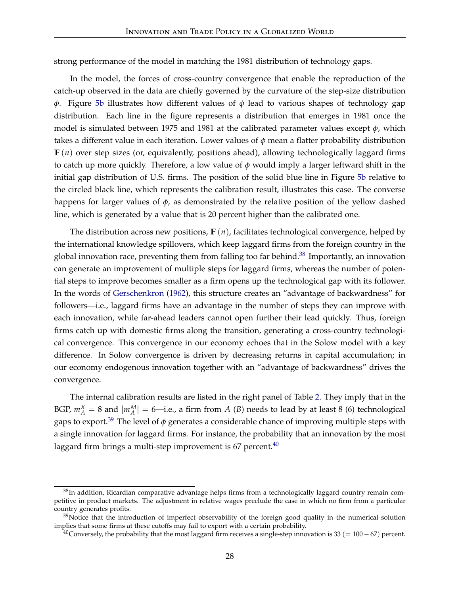strong performance of the model in matching the 1981 distribution of technology gaps.

In the model, the forces of cross-country convergence that enable the reproduction of the catch-up observed in the data are chiefly governed by the curvature of the step-size distribution *ϕ*. Figure [5b](#page-26-4) illustrates how different values of *ϕ* lead to various shapes of technology gap distribution. Each line in the figure represents a distribution that emerges in 1981 once the model is simulated between 1975 and 1981 at the calibrated parameter values except *ϕ*, which takes a different value in each iteration. Lower values of *ϕ* mean a flatter probability distribution  $F(n)$  over step sizes (or, equivalently, positions ahead), allowing technologically laggard firms to catch up more quickly. Therefore, a low value of  $\phi$  would imply a larger leftward shift in the initial gap distribution of U.S. firms. The position of the solid blue line in Figure [5b](#page-26-4) relative to the circled black line, which represents the calibration result, illustrates this case. The converse happens for larger values of *ϕ*, as demonstrated by the relative position of the yellow dashed line, which is generated by a value that is 20 percent higher than the calibrated one.

The distribution across new positions, **F** (*n*), facilitates technological convergence, helped by the international knowledge spillovers, which keep laggard firms from the foreign country in the global innovation race, preventing them from falling too far behind. $38$  Importantly, an innovation can generate an improvement of multiple steps for laggard firms, whereas the number of potential steps to improve becomes smaller as a firm opens up the technological gap with its follower. In the words of [Gerschenkron](#page-46-10) [\(1962\)](#page-46-10), this structure creates an "advantage of backwardness" for followers—i.e., laggard firms have an advantage in the number of steps they can improve with each innovation, while far-ahead leaders cannot open further their lead quickly. Thus, foreign firms catch up with domestic firms along the transition, generating a cross-country technological convergence. This convergence in our economy echoes that in the Solow model with a key difference. In Solow convergence is driven by decreasing returns in capital accumulation; in our economy endogenous innovation together with an "advantage of backwardness" drives the convergence.

The internal calibration results are listed in the right panel of Table [2.](#page-24-0) They imply that in the BGP,  $m_A^X = 8$  and  $|m_A^M| = 6$ —i.e., a firm from *A* (*B*) needs to lead by at least 8 (6) technological gaps to export.[39](#page-28-1) The level of *ϕ* generates a considerable chance of improving multiple steps with a single innovation for laggard firms. For instance, the probability that an innovation by the most laggard firm brings a multi-step improvement is  $67$  percent.<sup>[40](#page-28-2)</sup>

<span id="page-28-0"></span> $38$ In addition, Ricardian comparative advantage helps firms from a technologically laggard country remain competitive in product markets. The adjustment in relative wages preclude the case in which no firm from a particular country generates profits.

<span id="page-28-1"></span> $39$ Notice that the introduction of imperfect observability of the foreign good quality in the numerical solution implies that some firms at these cutoffs may fail to export with a certain probability.

<span id="page-28-2"></span> $^{40}$ Conversely, the probability that the most laggard firm receives a single-step innovation is 33 (= 100 – 67) percent.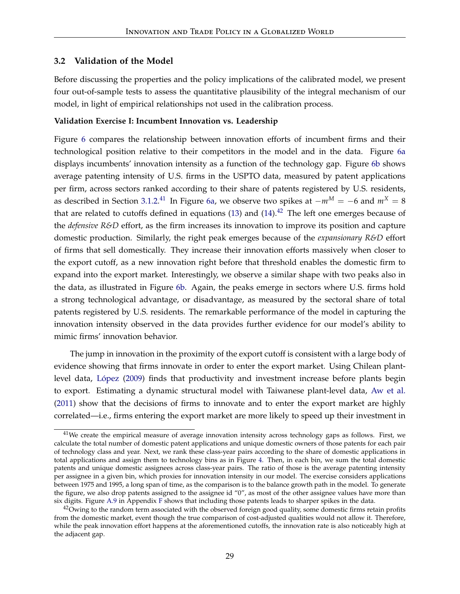#### <span id="page-29-0"></span>**3.2 Validation of the Model**

Before discussing the properties and the policy implications of the calibrated model, we present four out-of-sample tests to assess the quantitative plausibility of the integral mechanism of our model, in light of empirical relationships not used in the calibration process.

#### **Validation Exercise I: Incumbent Innovation vs. Leadership**

Figure [6](#page-30-1) compares the relationship between innovation efforts of incumbent firms and their technological position relative to their competitors in the model and in the data. Figure [6a](#page-30-0) displays incumbents' innovation intensity as a function of the technology gap. Figure [6b](#page-30-2) shows average patenting intensity of U.S. firms in the USPTO data, measured by patent applications per firm, across sectors ranked according to their share of patents registered by U.S. residents, as described in Section [3.1.2.](#page-24-3) [41](#page-29-1) In Figure [6a,](#page-30-0) we observe two spikes at <sup>−</sup>*m<sup>M</sup>* <sup>=</sup> <sup>−</sup>6 and *<sup>m</sup><sup>X</sup>* <sup>=</sup> <sup>8</sup> that are related to cutoffs defined in equations [\(13\)](#page-17-0) and  $(14).<sup>42</sup>$  $(14).<sup>42</sup>$  $(14).<sup>42</sup>$  $(14).<sup>42</sup>$  The left one emerges because of the *defensive R&D* effort, as the firm increases its innovation to improve its position and capture domestic production. Similarly, the right peak emerges because of the *expansionary R&D* effort of firms that sell domestically. They increase their innovation efforts massively when closer to the export cutoff, as a new innovation right before that threshold enables the domestic firm to expand into the export market. Interestingly, we observe a similar shape with two peaks also in the data, as illustrated in Figure [6b.](#page-30-2) Again, the peaks emerge in sectors where U.S. firms hold a strong technological advantage, or disadvantage, as measured by the sectoral share of total patents registered by U.S. residents. The remarkable performance of the model in capturing the innovation intensity observed in the data provides further evidence for our model's ability to mimic firms' innovation behavior.

The jump in innovation in the proximity of the export cutoff is consistent with a large body of evidence showing that firms innovate in order to enter the export market. Using Chilean plantlevel data, [López](#page-47-12) [\(2009\)](#page-47-12) finds that productivity and investment increase before plants begin to export. Estimating a dynamic structural model with Taiwanese plant-level data, [Aw et al.](#page-45-14) [\(2011\)](#page-45-14) show that the decisions of firms to innovate and to enter the export market are highly correlated—i.e., firms entering the export market are more likely to speed up their investment in

<span id="page-29-1"></span> $41$ We create the empirical measure of average innovation intensity across technology gaps as follows. First, we calculate the total number of domestic patent applications and unique domestic owners of those patents for each pair of technology class and year. Next, we rank these class-year pairs according to the share of domestic applications in total applications and assign them to technology bins as in Figure [4.](#page-25-2) Then, in each bin, we sum the total domestic patents and unique domestic assignees across class-year pairs. The ratio of those is the average patenting intensity per assignee in a given bin, which proxies for innovation intensity in our model. The exercise considers applications between 1975 and 1995, a long span of time, as the comparison is to the balance growth path in the model. To generate the figure, we also drop patents assigned to the assignee id "0", as most of the other assignee values have more than six digits. Figure [A.9](#page-68-0) in Appendix [F](#page-67-0) shows that including those patents leads to sharper spikes in the data.

<span id="page-29-2"></span> $42$ Owing to the random term associated with the observed foreign good quality, some domestic firms retain profits from the domestic market, event though the true comparison of cost-adjusted qualities would not allow it. Therefore, while the peak innovation effort happens at the aforementioned cutoffs, the innovation rate is also noticeably high at the adjacent gap.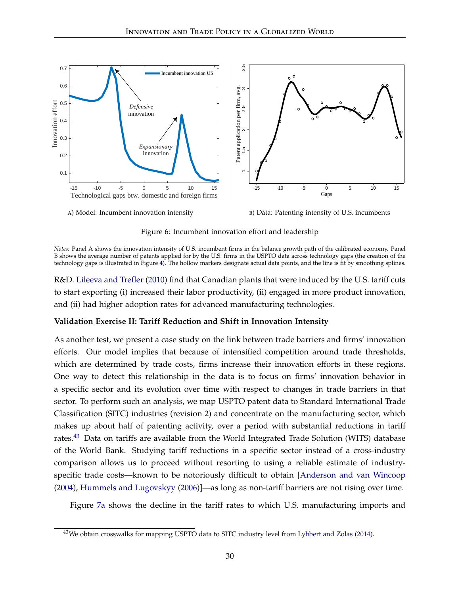<span id="page-30-1"></span>

<span id="page-30-0"></span>a) Model: Incumbent innovation intensity

<span id="page-30-2"></span>b) Data: Patenting intensity of U.S. incumbents

Figure 6: Incumbent innovation effort and leadership

*Notes:* Panel A shows the innovation intensity of U.S. incumbent firms in the balance growth path of the calibrated economy. Panel B shows the average number of patents applied for by the U.S. firms in the USPTO data across technology gaps (the creation of the technology gaps is illustrated in Figure [4\)](#page-25-2). The hollow markers designate actual data points, and the line is fit by smoothing splines.

R&D. [Lileeva and Trefler](#page-47-13) [\(2010\)](#page-47-13) find that Canadian plants that were induced by the U.S. tariff cuts to start exporting (i) increased their labor productivity, (ii) engaged in more product innovation, and (ii) had higher adoption rates for advanced manufacturing technologies.

#### **Validation Exercise II: Tariff Reduction and Shift in Innovation Intensity**

As another test, we present a case study on the link between trade barriers and firms' innovation efforts. Our model implies that because of intensified competition around trade thresholds, which are determined by trade costs, firms increase their innovation efforts in these regions. One way to detect this relationship in the data is to focus on firms' innovation behavior in a specific sector and its evolution over time with respect to changes in trade barriers in that sector. To perform such an analysis, we map USPTO patent data to Standard International Trade Classification (SITC) industries (revision 2) and concentrate on the manufacturing sector, which makes up about half of patenting activity, over a period with substantial reductions in tariff rates.<sup>[43](#page-30-3)</sup> Data on tariffs are available from the World Integrated Trade Solution (WITS) database of the World Bank. Studying tariff reductions in a specific sector instead of a cross-industry comparison allows us to proceed without resorting to using a reliable estimate of industryspecific trade costs—known to be notoriously difficult to obtain [\[Anderson and van Wincoop](#page-45-15) [\(2004\)](#page-45-15), [Hummels and Lugovskyy](#page-47-14) [\(2006\)](#page-47-14)]—as long as non-tariff barriers are not rising over time.

Figure [7a](#page-31-0) shows the decline in the tariff rates to which U.S. manufacturing imports and

<span id="page-30-3"></span><sup>&</sup>lt;sup>43</sup>We obtain crosswalks for mapping USPTO data to SITC industry level from [Lybbert and Zolas](#page-47-15) [\(2014\)](#page-47-15).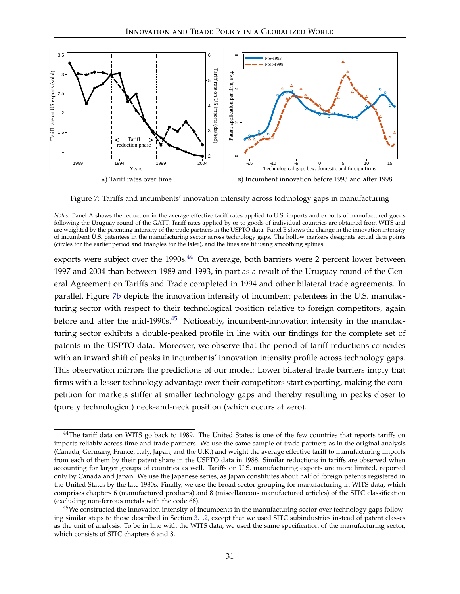

<span id="page-31-2"></span><span id="page-31-0"></span>Figure 7: Tariffs and incumbents' innovation intensity across technology gaps in manufacturing

exports were subject over the 1990s.<sup>[44](#page-31-1)</sup> On average, both barriers were 2 percent lower between 1997 and 2004 than between 1989 and 1993, in part as a result of the Uruguay round of the General Agreement on Tariffs and Trade completed in 1994 and other bilateral trade agreements. In parallel, Figure [7b](#page-31-2) depicts the innovation intensity of incumbent patentees in the U.S. manufacturing sector with respect to their technological position relative to foreign competitors, again before and after the mid-1990s. $45$  Noticeably, incumbent-innovation intensity in the manufacturing sector exhibits a double-peaked profile in line with our findings for the complete set of patents in the USPTO data. Moreover, we observe that the period of tariff reductions coincides with an inward shift of peaks in incumbents' innovation intensity profile across technology gaps. This observation mirrors the predictions of our model: Lower bilateral trade barriers imply that firms with a lesser technology advantage over their competitors start exporting, making the competition for markets stiffer at smaller technology gaps and thereby resulting in peaks closer to (purely technological) neck-and-neck position (which occurs at zero).

*Notes:* Panel A shows the reduction in the average effective tariff rates applied to U.S. imports and exports of manufactured goods following the Uruguay round of the GATT. Tariff rates applied by or to goods of individual countries are obtained from WITS and are weighted by the patenting intensity of the trade partners in the USPTO data. Panel B shows the change in the innovation intensity of incumbent U.S. patentees in the manufacturing sector across technology gaps. The hollow markers designate actual data points (circles for the earlier period and triangles for the later), and the lines are fit using smoothing splines.

<span id="page-31-1"></span><sup>&</sup>lt;sup>44</sup>The tariff data on WITS go back to 1989. The United States is one of the few countries that reports tariffs on imports reliably across time and trade partners. We use the same sample of trade partners as in the original analysis (Canada, Germany, France, Italy, Japan, and the U.K.) and weight the average effective tariff to manufacturing imports from each of them by their patent share in the USPTO data in 1988. Similar reductions in tariffs are observed when accounting for larger groups of countries as well. Tariffs on U.S. manufacturing exports are more limited, reported only by Canada and Japan. We use the Japanese series, as Japan constitutes about half of foreign patents registered in the United States by the late 1980s. Finally, we use the broad sector grouping for manufacturing in WITS data, which comprises chapters 6 (manufactured products) and 8 (miscellaneous manufactured articles) of the SITC classification (excluding non-ferrous metals with the code 68).

<span id="page-31-3"></span> $45$ We constructed the innovation intensity of incumbents in the manufacturing sector over technology gaps following similar steps to those described in Section [3.1.2,](#page-24-3) except that we used SITC subindustries instead of patent classes as the unit of analysis. To be in line with the WITS data, we used the same specification of the manufacturing sector, which consists of SITC chapters 6 and 8.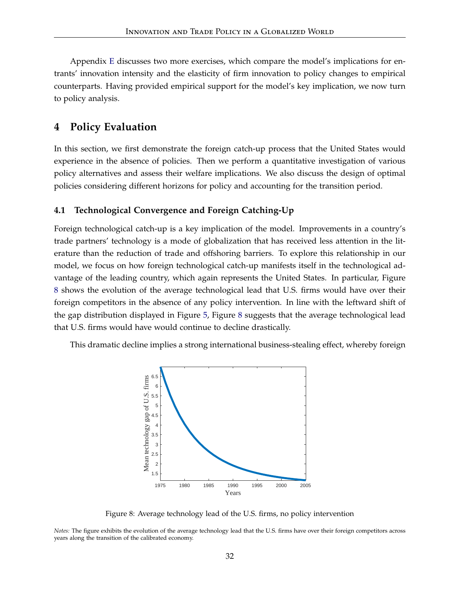Appendix [E](#page-65-0) discusses two more exercises, which compare the model's implications for entrants' innovation intensity and the elasticity of firm innovation to policy changes to empirical counterparts. Having provided empirical support for the model's key implication, we now turn to policy analysis.

# <span id="page-32-0"></span>**4 Policy Evaluation**

In this section, we first demonstrate the foreign catch-up process that the United States would experience in the absence of policies. Then we perform a quantitative investigation of various policy alternatives and assess their welfare implications. We also discuss the design of optimal policies considering different horizons for policy and accounting for the transition period.

#### **4.1 Technological Convergence and Foreign Catching-Up**

Foreign technological catch-up is a key implication of the model. Improvements in a country's trade partners' technology is a mode of globalization that has received less attention in the literature than the reduction of trade and offshoring barriers. To explore this relationship in our model, we focus on how foreign technological catch-up manifests itself in the technological advantage of the leading country, which again represents the United States. In particular, Figure [8](#page-32-1) shows the evolution of the average technological lead that U.S. firms would have over their foreign competitors in the absence of any policy intervention. In line with the leftward shift of the gap distribution displayed in Figure [5,](#page-26-5) Figure [8](#page-32-1) suggests that the average technological lead that U.S. firms would have would continue to decline drastically.

<span id="page-32-1"></span>This dramatic decline implies a strong international business-stealing effect, whereby foreign



Figure 8: Average technology lead of the U.S. firms, no policy intervention

*Notes:* The figure exhibits the evolution of the average technology lead that the U.S. firms have over their foreign competitors across years along the transition of the calibrated economy.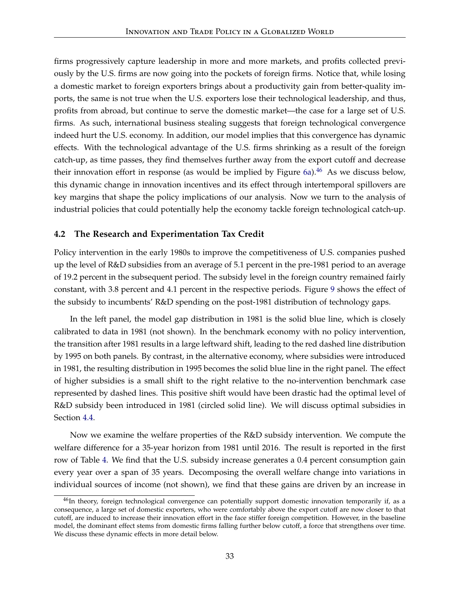firms progressively capture leadership in more and more markets, and profits collected previously by the U.S. firms are now going into the pockets of foreign firms. Notice that, while losing a domestic market to foreign exporters brings about a productivity gain from better-quality imports, the same is not true when the U.S. exporters lose their technological leadership, and thus, profits from abroad, but continue to serve the domestic market—the case for a large set of U.S. firms. As such, international business stealing suggests that foreign technological convergence indeed hurt the U.S. economy. In addition, our model implies that this convergence has dynamic effects. With the technological advantage of the U.S. firms shrinking as a result of the foreign catch-up, as time passes, they find themselves further away from the export cutoff and decrease their innovation effort in response (as would be implied by Figure  $6a$ ).<sup>[46](#page-33-0)</sup> As we discuss below, this dynamic change in innovation incentives and its effect through intertemporal spillovers are key margins that shape the policy implications of our analysis. Now we turn to the analysis of industrial policies that could potentially help the economy tackle foreign technological catch-up.

### **4.2 The Research and Experimentation Tax Credit**

Policy intervention in the early 1980s to improve the competitiveness of U.S. companies pushed up the level of R&D subsidies from an average of 5.1 percent in the pre-1981 period to an average of 19.2 percent in the subsequent period. The subsidy level in the foreign country remained fairly constant, with 3.8 percent and 4.1 percent in the respective periods. Figure [9](#page-34-0) shows the effect of the subsidy to incumbents' R&D spending on the post-1981 distribution of technology gaps.

In the left panel, the model gap distribution in 1981 is the solid blue line, which is closely calibrated to data in 1981 (not shown). In the benchmark economy with no policy intervention, the transition after 1981 results in a large leftward shift, leading to the red dashed line distribution by 1995 on both panels. By contrast, in the alternative economy, where subsidies were introduced in 1981, the resulting distribution in 1995 becomes the solid blue line in the right panel. The effect of higher subsidies is a small shift to the right relative to the no-intervention benchmark case represented by dashed lines. This positive shift would have been drastic had the optimal level of R&D subsidy been introduced in 1981 (circled solid line). We will discuss optimal subsidies in Section [4.4.](#page-37-0)

Now we examine the welfare properties of the R&D subsidy intervention. We compute the welfare difference for a 35-year horizon from 1981 until 2016. The result is reported in the first row of Table [4.](#page-34-1) We find that the U.S. subsidy increase generates a 0.4 percent consumption gain every year over a span of 35 years. Decomposing the overall welfare change into variations in individual sources of income (not shown), we find that these gains are driven by an increase in

<span id="page-33-0"></span><sup>&</sup>lt;sup>46</sup>In theory, foreign technological convergence can potentially support domestic innovation temporarily if, as a consequence, a large set of domestic exporters, who were comfortably above the export cutoff are now closer to that cutoff, are induced to increase their innovation effort in the face stiffer foreign competition. However, in the baseline model, the dominant effect stems from domestic firms falling further below cutoff, a force that strengthens over time. We discuss these dynamic effects in more detail below.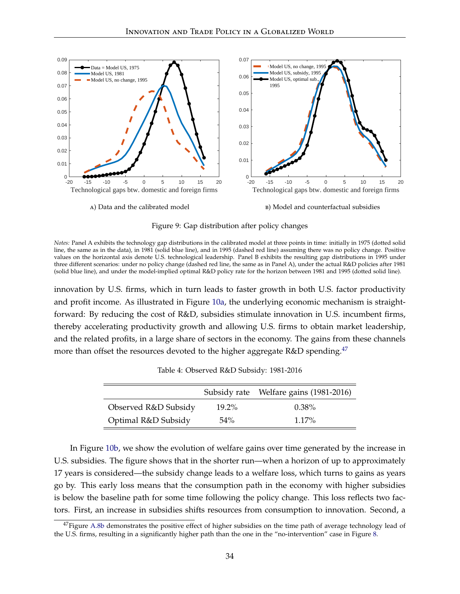<span id="page-34-0"></span>

Figure 9: Gap distribution after policy changes

*Notes:* Panel A exhibits the technology gap distributions in the calibrated model at three points in time: initially in 1975 (dotted solid line, the same as in the data), in 1981 (solid blue line), and in 1995 (dashed red line) assuming there was no policy change. Positive values on the horizontal axis denote U.S. technological leadership. Panel B exhibits the resulting gap distributions in 1995 under three different scenarios: under no policy change (dashed red line, the same as in Panel A), under the actual R&D policies after 1981 (solid blue line), and under the model-implied optimal R&D policy rate for the horizon between 1981 and 1995 (dotted solid line).

innovation by U.S. firms, which in turn leads to faster growth in both U.S. factor productivity and profit income. As illustrated in Figure [10a,](#page-35-0) the underlying economic mechanism is straightforward: By reducing the cost of R&D, subsidies stimulate innovation in U.S. incumbent firms, thereby accelerating productivity growth and allowing U.S. firms to obtain market leadership, and the related profits, in a large share of sectors in the economy. The gains from these channels more than offset the resources devoted to the higher aggregate R&D spending.<sup>[47](#page-34-2)</sup>

<span id="page-34-1"></span>

|                      |          | Subsidy rate Welfare gains (1981-2016) |
|----------------------|----------|----------------------------------------|
| Observed R&D Subsidy | $19.2\%$ | $0.38\%$                               |
| Optimal R&D Subsidy  | $54\%$   | $1.17\%$                               |

Table 4: Observed R&D Subsidy: 1981-2016

In Figure [10b,](#page-35-1) we show the evolution of welfare gains over time generated by the increase in U.S. subsidies. The figure shows that in the shorter run—when a horizon of up to approximately 17 years is considered—the subsidy change leads to a welfare loss, which turns to gains as years go by. This early loss means that the consumption path in the economy with higher subsidies is below the baseline path for some time following the policy change. This loss reflects two factors. First, an increase in subsidies shifts resources from consumption to innovation. Second, a

<span id="page-34-2"></span> $47$ Figure [A.8b](#page-68-1) demonstrates the positive effect of higher subsidies on the time path of average technology lead of the U.S. firms, resulting in a significantly higher path than the one in the "no-intervention" case in Figure [8.](#page-32-1)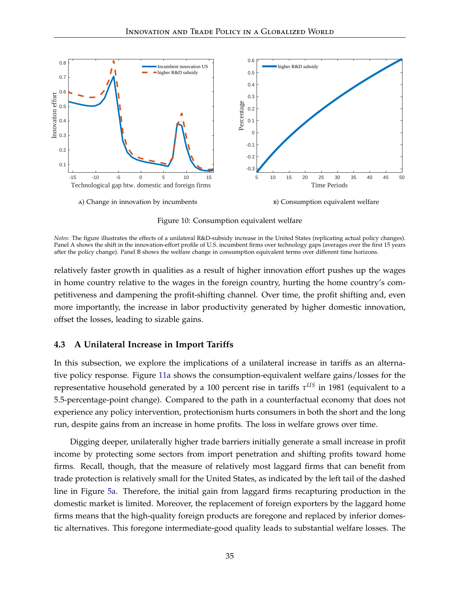

<span id="page-35-1"></span>

Figure 10: Consumption equivalent welfare

<span id="page-35-0"></span>*Notes:* The figure illustrates the effects of a unilateral R&D-subsidy increase in the United States (replicating actual policy changes). Panel A shows the shift in the innovation-effort profile of U.S. incumbent firms over technology gaps (averages over the first 15 years after the policy change). Panel B shows the welfare change in consumption equivalent terms over different time horizons.

relatively faster growth in qualities as a result of higher innovation effort pushes up the wages in home country relative to the wages in the foreign country, hurting the home country's competitiveness and dampening the profit-shifting channel. Over time, the profit shifting and, even more importantly, the increase in labor productivity generated by higher domestic innovation, offset the losses, leading to sizable gains.

#### **4.3 A Unilateral Increase in Import Tariffs**

In this subsection, we explore the implications of a unilateral increase in tariffs as an alternative policy response. Figure [11a](#page-36-0) shows the consumption-equivalent welfare gains/losses for the representative household generated by a 100 percent rise in tariffs *τ US* in 1981 (equivalent to a 5.5-percentage-point change). Compared to the path in a counterfactual economy that does not experience any policy intervention, protectionism hurts consumers in both the short and the long run, despite gains from an increase in home profits. The loss in welfare grows over time.

Digging deeper, unilaterally higher trade barriers initially generate a small increase in profit income by protecting some sectors from import penetration and shifting profits toward home firms. Recall, though, that the measure of relatively most laggard firms that can benefit from trade protection is relatively small for the United States, as indicated by the left tail of the dashed line in Figure [5a.](#page-26-2) Therefore, the initial gain from laggard firms recapturing production in the domestic market is limited. Moreover, the replacement of foreign exporters by the laggard home firms means that the high-quality foreign products are foregone and replaced by inferior domestic alternatives. This foregone intermediate-good quality leads to substantial welfare losses. The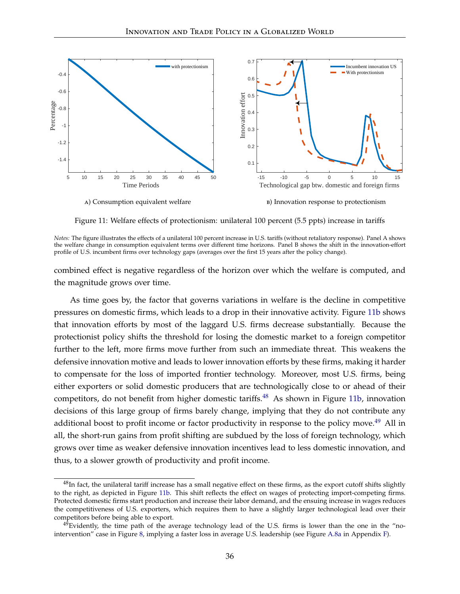

<span id="page-36-0"></span>Figure 11: Welfare effects of protectionism: unilateral 100 percent (5.5 ppts) increase in tariffs

*Notes:* The figure illustrates the effects of a unilateral 100 percent increase in U.S. tariffs (without retaliatory response). Panel A shows the welfare change in consumption equivalent terms over different time horizons. Panel B shows the shift in the innovation-effort profile of U.S. incumbent firms over technology gaps (averages over the first 15 years after the policy change).

combined effect is negative regardless of the horizon over which the welfare is computed, and the magnitude grows over time.

As time goes by, the factor that governs variations in welfare is the decline in competitive pressures on domestic firms, which leads to a drop in their innovative activity. Figure [11b](#page-36-0) shows that innovation efforts by most of the laggard U.S. firms decrease substantially. Because the protectionist policy shifts the threshold for losing the domestic market to a foreign competitor further to the left, more firms move further from such an immediate threat. This weakens the defensive innovation motive and leads to lower innovation efforts by these firms, making it harder to compensate for the loss of imported frontier technology. Moreover, most U.S. firms, being either exporters or solid domestic producers that are technologically close to or ahead of their competitors, do not benefit from higher domestic tariffs.<sup>[48](#page-36-1)</sup> As shown in Figure [11b,](#page-36-0) innovation decisions of this large group of firms barely change, implying that they do not contribute any additional boost to profit income or factor productivity in response to the policy move.<sup>[49](#page-36-2)</sup> All in all, the short-run gains from profit shifting are subdued by the loss of foreign technology, which grows over time as weaker defensive innovation incentives lead to less domestic innovation, and thus, to a slower growth of productivity and profit income.

<span id="page-36-1"></span> $48$ In fact, the unilateral tariff increase has a small negative effect on these firms, as the export cutoff shifts slightly to the right, as depicted in Figure [11b.](#page-36-0) This shift reflects the effect on wages of protecting import-competing firms. Protected domestic firms start production and increase their labor demand, and the ensuing increase in wages reduces the competitiveness of U.S. exporters, which requires them to have a slightly larger technological lead over their competitors before being able to export.

<span id="page-36-2"></span> $^{49}$ Evidently, the time path of the average technology lead of the U.S. firms is lower than the one in the "nointervention" case in Figure [8,](#page-32-0) implying a faster loss in average U.S. leadership (see Figure [A.8a](#page-68-0) in Appendix [F\)](#page-67-0).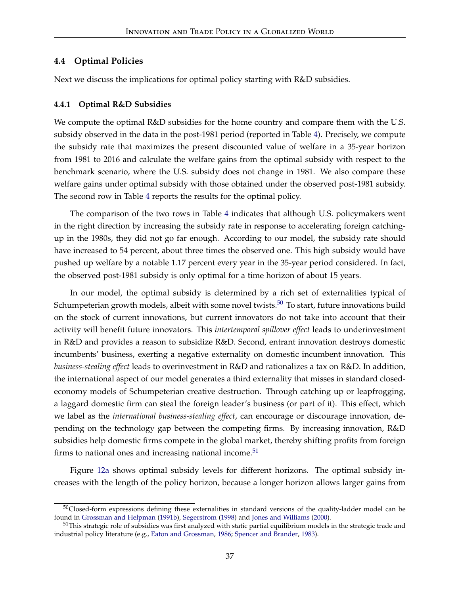### **4.4 Optimal Policies**

Next we discuss the implications for optimal policy starting with R&D subsidies.

#### **4.4.1 Optimal R&D Subsidies**

We compute the optimal  $R&D$  subsidies for the home country and compare them with the U.S. subsidy observed in the data in the post-1981 period (reported in Table [4\)](#page-34-0). Precisely, we compute the subsidy rate that maximizes the present discounted value of welfare in a 35-year horizon from 1981 to 2016 and calculate the welfare gains from the optimal subsidy with respect to the benchmark scenario, where the U.S. subsidy does not change in 1981. We also compare these welfare gains under optimal subsidy with those obtained under the observed post-1981 subsidy. The second row in Table [4](#page-34-0) reports the results for the optimal policy.

The comparison of the two rows in Table [4](#page-34-0) indicates that although U.S. policymakers went in the right direction by increasing the subsidy rate in response to accelerating foreign catchingup in the 1980s, they did not go far enough. According to our model, the subsidy rate should have increased to 54 percent, about three times the observed one. This high subsidy would have pushed up welfare by a notable 1.17 percent every year in the 35-year period considered. In fact, the observed post-1981 subsidy is only optimal for a time horizon of about 15 years.

In our model, the optimal subsidy is determined by a rich set of externalities typical of Schumpeterian growth models, albeit with some novel twists.<sup>[50](#page-37-0)</sup> To start, future innovations build on the stock of current innovations, but current innovators do not take into account that their activity will benefit future innovators. This *intertemporal spillover effect* leads to underinvestment in R&D and provides a reason to subsidize R&D. Second, entrant innovation destroys domestic incumbents' business, exerting a negative externality on domestic incumbent innovation. This *business-stealing effect* leads to overinvestment in R&D and rationalizes a tax on R&D. In addition, the international aspect of our model generates a third externality that misses in standard closedeconomy models of Schumpeterian creative destruction. Through catching up or leapfrogging, a laggard domestic firm can steal the foreign leader's business (or part of it). This effect, which we label as the *international business-stealing effect*, can encourage or discourage innovation, depending on the technology gap between the competing firms. By increasing innovation, R&D subsidies help domestic firms compete in the global market, thereby shifting profits from foreign firms to national ones and increasing national income. $51$ 

Figure [12a](#page-38-0) shows optimal subsidy levels for different horizons. The optimal subsidy increases with the length of the policy horizon, because a longer horizon allows larger gains from

<span id="page-37-0"></span><sup>&</sup>lt;sup>50</sup>Closed-form expressions defining these externalities in standard versions of the quality-ladder model can be found in [Grossman and Helpman](#page-46-0) [\(1991b\)](#page-46-0), [Segerstrom](#page-48-0) [\(1998\)](#page-48-0) and [Jones and Williams](#page-47-0) [\(2000\)](#page-47-0).

<span id="page-37-1"></span><sup>&</sup>lt;sup>51</sup>This strategic role of subsidies was first analyzed with static partial equilibrium models in the strategic trade and industrial policy literature (e.g., [Eaton and Grossman,](#page-46-1) [1986;](#page-46-1) [Spencer and Brander,](#page-48-1) [1983\)](#page-48-1).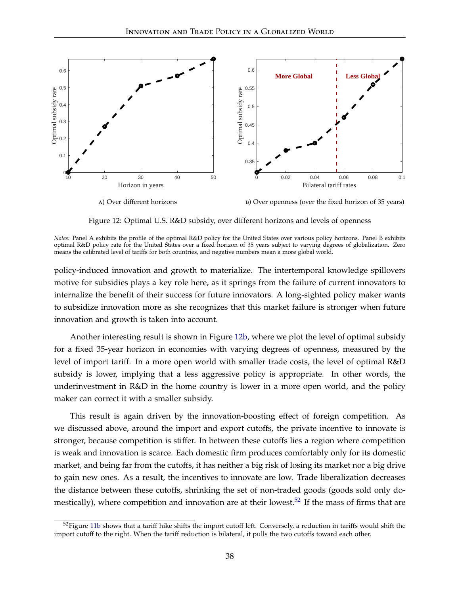

<span id="page-38-1"></span>Figure 12: Optimal U.S. R&D subsidy, over different horizons and levels of openness

<span id="page-38-0"></span>*Notes:* Panel A exhibits the profile of the optimal R&D policy for the United States over various policy horizons. Panel B exhibits optimal R&D policy rate for the United States over a fixed horizon of 35 years subject to varying degrees of globalization. Zero means the calibrated level of tariffs for both countries, and negative numbers mean a more global world.

policy-induced innovation and growth to materialize. The intertemporal knowledge spillovers motive for subsidies plays a key role here, as it springs from the failure of current innovators to internalize the benefit of their success for future innovators. A long-sighted policy maker wants to subsidize innovation more as she recognizes that this market failure is stronger when future innovation and growth is taken into account.

Another interesting result is shown in Figure [12b,](#page-38-1) where we plot the level of optimal subsidy for a fixed 35-year horizon in economies with varying degrees of openness, measured by the level of import tariff. In a more open world with smaller trade costs, the level of optimal R&D subsidy is lower, implying that a less aggressive policy is appropriate. In other words, the underinvestment in R&D in the home country is lower in a more open world, and the policy maker can correct it with a smaller subsidy.

This result is again driven by the innovation-boosting effect of foreign competition. As we discussed above, around the import and export cutoffs, the private incentive to innovate is stronger, because competition is stiffer. In between these cutoffs lies a region where competition is weak and innovation is scarce. Each domestic firm produces comfortably only for its domestic market, and being far from the cutoffs, it has neither a big risk of losing its market nor a big drive to gain new ones. As a result, the incentives to innovate are low. Trade liberalization decreases the distance between these cutoffs, shrinking the set of non-traded goods (goods sold only do-mestically), where competition and innovation are at their lowest.<sup>[52](#page-38-2)</sup> If the mass of firms that are

<span id="page-38-2"></span> $52$ Figure [11b](#page-36-0) shows that a tariff hike shifts the import cutoff left. Conversely, a reduction in tariffs would shift the import cutoff to the right. When the tariff reduction is bilateral, it pulls the two cutoffs toward each other.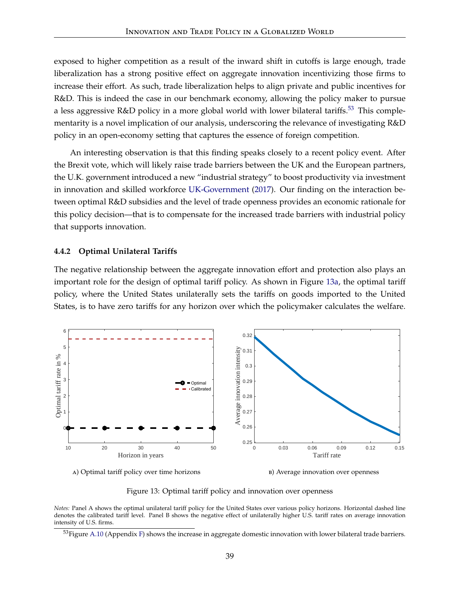exposed to higher competition as a result of the inward shift in cutoffs is large enough, trade liberalization has a strong positive effect on aggregate innovation incentivizing those firms to increase their effort. As such, trade liberalization helps to align private and public incentives for R&D. This is indeed the case in our benchmark economy, allowing the policy maker to pursue a less aggressive R&D policy in a more global world with lower bilateral tariffs.<sup>[53](#page-39-0)</sup> This complementarity is a novel implication of our analysis, underscoring the relevance of investigating R&D policy in an open-economy setting that captures the essence of foreign competition.

An interesting observation is that this finding speaks closely to a recent policy event. After the Brexit vote, which will likely raise trade barriers between the UK and the European partners, the U.K. government introduced a new "industrial strategy" to boost productivity via investment in innovation and skilled workforce [UK-Government](#page-48-2) [\(2017\)](#page-48-2). Our finding on the interaction between optimal R&D subsidies and the level of trade openness provides an economic rationale for this policy decision—that is to compensate for the increased trade barriers with industrial policy that supports innovation.

#### **4.4.2 Optimal Unilateral Tariffs**

The negative relationship between the aggregate innovation effort and protection also plays an important role for the design of optimal tariff policy. As shown in Figure [13a,](#page-39-1) the optimal tariff policy, where the United States unilaterally sets the tariffs on goods imported to the United States, is to have zero tariffs for any horizon over which the policymaker calculates the welfare.



<span id="page-39-1"></span>a) Optimal tariff policy over time horizons

<span id="page-39-2"></span>b) Average innovation over openness

Figure 13: Optimal tariff policy and innovation over openness

*Notes:* Panel A shows the optimal unilateral tariff policy for the United States over various policy horizons. Horizontal dashed line denotes the calibrated tariff level. Panel B shows the negative effect of unilaterally higher U.S. tariff rates on average innovation intensity of U.S. firms.

<span id="page-39-0"></span> $53$ Figure [A.10](#page-69-0) (Appendix [F\)](#page-67-0) shows the increase in aggregate domestic innovation with lower bilateral trade barriers.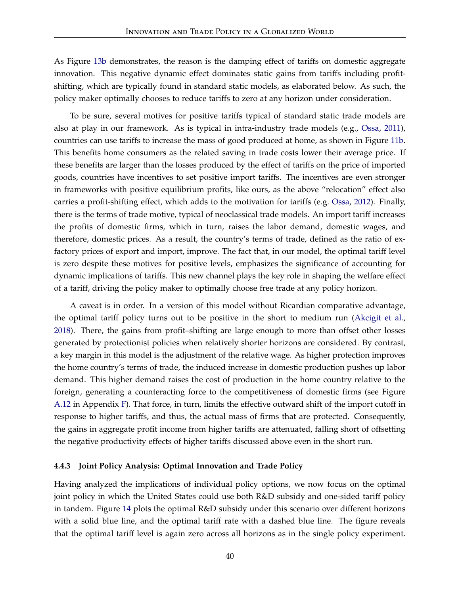As Figure [13b](#page-39-2) demonstrates, the reason is the damping effect of tariffs on domestic aggregate innovation. This negative dynamic effect dominates static gains from tariffs including profitshifting, which are typically found in standard static models, as elaborated below. As such, the policy maker optimally chooses to reduce tariffs to zero at any horizon under consideration.

To be sure, several motives for positive tariffs typical of standard static trade models are also at play in our framework. As is typical in intra-industry trade models (e.g., [Ossa,](#page-47-1) [2011\)](#page-47-1), countries can use tariffs to increase the mass of good produced at home, as shown in Figure [11b.](#page-36-0) This benefits home consumers as the related saving in trade costs lower their average price. If these benefits are larger than the losses produced by the effect of tariffs on the price of imported goods, countries have incentives to set positive import tariffs. The incentives are even stronger in frameworks with positive equilibrium profits, like ours, as the above "relocation" effect also carries a profit-shifting effect, which adds to the motivation for tariffs (e.g. [Ossa,](#page-47-2) [2012\)](#page-47-2). Finally, there is the terms of trade motive, typical of neoclassical trade models. An import tariff increases the profits of domestic firms, which in turn, raises the labor demand, domestic wages, and therefore, domestic prices. As a result, the country's terms of trade, defined as the ratio of exfactory prices of export and import, improve. The fact that, in our model, the optimal tariff level is zero despite these motives for positive levels, emphasizes the significance of accounting for dynamic implications of tariffs. This new channel plays the key role in shaping the welfare effect of a tariff, driving the policy maker to optimally choose free trade at any policy horizon.

A caveat is in order. In a version of this model without Ricardian comparative advantage, the optimal tariff policy turns out to be positive in the short to medium run [\(Akcigit et al.,](#page-45-0) [2018\)](#page-45-0). There, the gains from profit–shifting are large enough to more than offset other losses generated by protectionist policies when relatively shorter horizons are considered. By contrast, a key margin in this model is the adjustment of the relative wage. As higher protection improves the home country's terms of trade, the induced increase in domestic production pushes up labor demand. This higher demand raises the cost of production in the home country relative to the foreign, generating a counteracting force to the competitiveness of domestic firms (see Figure [A.12](#page-70-0) in Appendix [F\)](#page-67-0). That force, in turn, limits the effective outward shift of the import cutoff in response to higher tariffs, and thus, the actual mass of firms that are protected. Consequently, the gains in aggregate profit income from higher tariffs are attenuated, falling short of offsetting the negative productivity effects of higher tariffs discussed above even in the short run.

#### **4.4.3 Joint Policy Analysis: Optimal Innovation and Trade Policy**

Having analyzed the implications of individual policy options, we now focus on the optimal joint policy in which the United States could use both R&D subsidy and one-sided tariff policy in tandem. Figure [14](#page-41-0) plots the optimal R&D subsidy under this scenario over different horizons with a solid blue line, and the optimal tariff rate with a dashed blue line. The figure reveals that the optimal tariff level is again zero across all horizons as in the single policy experiment.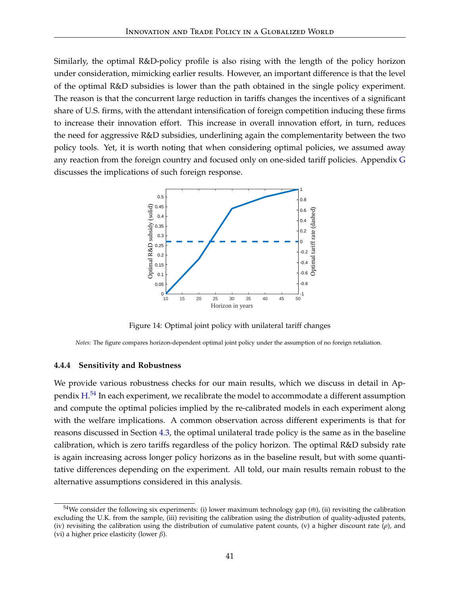Similarly, the optimal R&D-policy profile is also rising with the length of the policy horizon under consideration, mimicking earlier results. However, an important difference is that the level of the optimal R&D subsidies is lower than the path obtained in the single policy experiment. The reason is that the concurrent large reduction in tariffs changes the incentives of a significant share of U.S. firms, with the attendant intensification of foreign competition inducing these firms to increase their innovation effort. This increase in overall innovation effort, in turn, reduces the need for aggressive R&D subsidies, underlining again the complementarity between the two policy tools. Yet, it is worth noting that when considering optimal policies, we assumed away any reaction from the foreign country and focused only on one-sided tariff policies. Appendix [G](#page-70-1) discusses the implications of such foreign response.

<span id="page-41-0"></span>

Figure 14: Optimal joint policy with unilateral tariff changes

*Notes:* The figure compares horizon-dependent optimal joint policy under the assumption of no foreign retaliation.

#### **4.4.4 Sensitivity and Robustness**

We provide various robustness checks for our main results, which we discuss in detail in Appendix  $\mathrm{H.^{54}}$  $\mathrm{H.^{54}}$  $\mathrm{H.^{54}}$  $\mathrm{H.^{54}}$  $\mathrm{H.^{54}}$  In each experiment, we recalibrate the model to accommodate a different assumption and compute the optimal policies implied by the re-calibrated models in each experiment along with the welfare implications. A common observation across different experiments is that for reasons discussed in Section [4.3,](#page-35-0) the optimal unilateral trade policy is the same as in the baseline calibration, which is zero tariffs regardless of the policy horizon. The optimal R&D subsidy rate is again increasing across longer policy horizons as in the baseline result, but with some quantitative differences depending on the experiment. All told, our main results remain robust to the alternative assumptions considered in this analysis.

<span id="page-41-1"></span> $54$ We consider the following six experiments: (i) lower maximum technology gap ( $\bar{m}$ ), (ii) revisiting the calibration excluding the U.K. from the sample, (iii) revisiting the calibration using the distribution of quality-adjusted patents, (iv) revisiting the calibration using the distribution of cumulative patent counts, (v) a higher discount rate (*ρ*), and (vi) a higher price elasticity (lower *β*).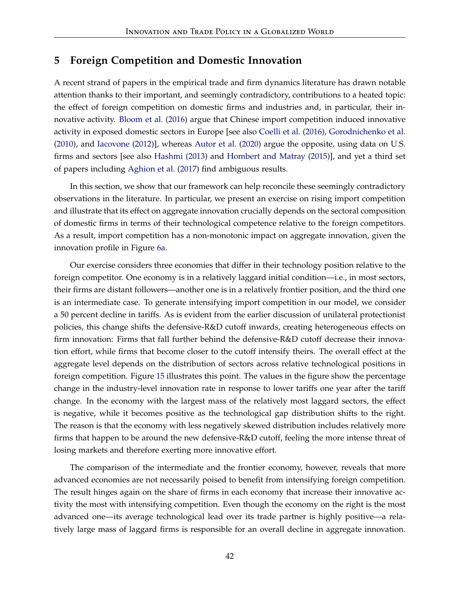# **5 Foreign Competition and Domestic Innovation**

A recent strand of papers in the empirical trade and firm dynamics literature has drawn notable attention thanks to their important, and seemingly contradictory, contributions to a heated topic: the effect of foreign competition on domestic firms and industries and, in particular, their innovative activity. [Bloom et al.](#page-45-1) [\(2016\)](#page-45-1) argue that Chinese import competition induced innovative activity in exposed domestic sectors in Europe [see also [Coelli et al.](#page-46-2) [\(2016\)](#page-46-2), [Gorodnichenko et al.](#page-46-3) [\(2010\)](#page-46-3), and [Iacovone](#page-47-3) [\(2012\)](#page-47-3)], whereas [Autor et al.](#page-45-2) [\(2020\)](#page-45-2) argue the opposite, using data on U.S. firms and sectors [see also [Hashmi](#page-46-4) [\(2013\)](#page-46-4) and [Hombert and Matray](#page-46-5) [\(2015\)](#page-46-5)], and yet a third set of papers including [Aghion et al.](#page-44-0) [\(2017\)](#page-44-0) find ambiguous results.

In this section, we show that our framework can help reconcile these seemingly contradictory observations in the literature. In particular, we present an exercise on rising import competition and illustrate that its effect on aggregate innovation crucially depends on the sectoral composition of domestic firms in terms of their technological competence relative to the foreign competitors. As a result, import competition has a non-monotonic impact on aggregate innovation, given the innovation profile in Figure [6a.](#page-30-0)

Our exercise considers three economies that differ in their technology position relative to the foreign competitor. One economy is in a relatively laggard initial condition—i.e., in most sectors, their firms are distant followers—another one is in a relatively frontier position, and the third one is an intermediate case. To generate intensifying import competition in our model, we consider a 50 percent decline in tariffs. As is evident from the earlier discussion of unilateral protectionist policies, this change shifts the defensive-R&D cutoff inwards, creating heterogeneous effects on firm innovation: Firms that fall further behind the defensive-R&D cutoff decrease their innovation effort, while firms that become closer to the cutoff intensify theirs. The overall effect at the aggregate level depends on the distribution of sectors across relative technological positions in foreign competition. Figure [15](#page-43-0) illustrates this point. The values in the figure show the percentage change in the industry-level innovation rate in response to lower tariffs one year after the tariff change. In the economy with the largest mass of the relatively most laggard sectors, the effect is negative, while it becomes positive as the technological gap distribution shifts to the right. The reason is that the economy with less negatively skewed distribution includes relatively more firms that happen to be around the new defensive-R&D cutoff, feeling the more intense threat of losing markets and therefore exerting more innovative effort.

The comparison of the intermediate and the frontier economy, however, reveals that more advanced economies are not necessarily poised to benefit from intensifying foreign competition. The result hinges again on the share of firms in each economy that increase their innovative activity the most with intensifying competition. Even though the economy on the right is the most advanced one—its average technological lead over its trade partner is highly positive—a relatively large mass of laggard firms is responsible for an overall decline in aggregate innovation.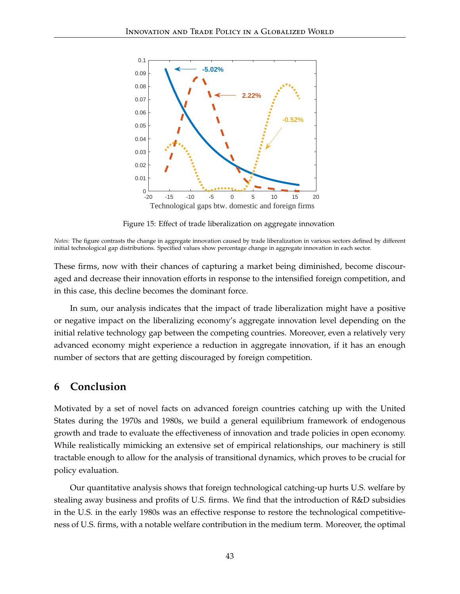<span id="page-43-0"></span>

Figure 15: Effect of trade liberalization on aggregate innovation

*Notes:* The figure contrasts the change in aggregate innovation caused by trade liberalization in various sectors defined by different initial technological gap distributions. Specified values show percentage change in aggregate innovation in each sector.

These firms, now with their chances of capturing a market being diminished, become discouraged and decrease their innovation efforts in response to the intensified foreign competition, and in this case, this decline becomes the dominant force.

In sum, our analysis indicates that the impact of trade liberalization might have a positive or negative impact on the liberalizing economy's aggregate innovation level depending on the initial relative technology gap between the competing countries. Moreover, even a relatively very advanced economy might experience a reduction in aggregate innovation, if it has an enough number of sectors that are getting discouraged by foreign competition.

## **6 Conclusion**

Motivated by a set of novel facts on advanced foreign countries catching up with the United States during the 1970s and 1980s, we build a general equilibrium framework of endogenous growth and trade to evaluate the effectiveness of innovation and trade policies in open economy. While realistically mimicking an extensive set of empirical relationships, our machinery is still tractable enough to allow for the analysis of transitional dynamics, which proves to be crucial for policy evaluation.

Our quantitative analysis shows that foreign technological catching-up hurts U.S. welfare by stealing away business and profits of U.S. firms. We find that the introduction of R&D subsidies in the U.S. in the early 1980s was an effective response to restore the technological competitiveness of U.S. firms, with a notable welfare contribution in the medium term. Moreover, the optimal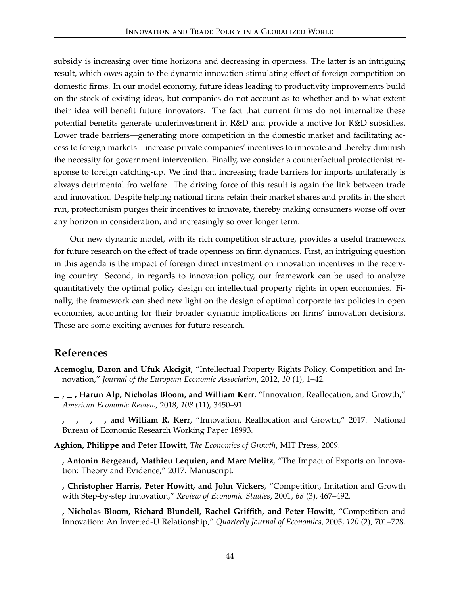subsidy is increasing over time horizons and decreasing in openness. The latter is an intriguing result, which owes again to the dynamic innovation-stimulating effect of foreign competition on domestic firms. In our model economy, future ideas leading to productivity improvements build on the stock of existing ideas, but companies do not account as to whether and to what extent their idea will benefit future innovators. The fact that current firms do not internalize these potential benefits generate underinvestment in R&D and provide a motive for R&D subsidies. Lower trade barriers—generating more competition in the domestic market and facilitating access to foreign markets—increase private companies' incentives to innovate and thereby diminish the necessity for government intervention. Finally, we consider a counterfactual protectionist response to foreign catching-up. We find that, increasing trade barriers for imports unilaterally is always detrimental fro welfare. The driving force of this result is again the link between trade and innovation. Despite helping national firms retain their market shares and profits in the short run, protectionism purges their incentives to innovate, thereby making consumers worse off over any horizon in consideration, and increasingly so over longer term.

Our new dynamic model, with its rich competition structure, provides a useful framework for future research on the effect of trade openness on firm dynamics. First, an intriguing question in this agenda is the impact of foreign direct investment on innovation incentives in the receiving country. Second, in regards to innovation policy, our framework can be used to analyze quantitatively the optimal policy design on intellectual property rights in open economies. Finally, the framework can shed new light on the design of optimal corporate tax policies in open economies, accounting for their broader dynamic implications on firms' innovation decisions. These are some exciting avenues for future research.

# **References**

- <span id="page-44-1"></span>**Acemoglu, Daron and Ufuk Akcigit**, "Intellectual Property Rights Policy, Competition and Innovation," *Journal of the European Economic Association*, 2012, *10* (1), 1–42.
- **, , Harun Alp, Nicholas Bloom, and William Kerr**, "Innovation, Reallocation, and Growth," *American Economic Review*, 2018, *108* (11), 3450–91.
- **, , , , and William R. Kerr**, "Innovation, Reallocation and Growth," 2017. National Bureau of Economic Research Working Paper 18993.

<span id="page-44-2"></span>**Aghion, Philippe and Peter Howitt**, *The Economics of Growth*, MIT Press, 2009.

- <span id="page-44-0"></span>**, Antonin Bergeaud, Mathieu Lequien, and Marc Melitz**, "The Impact of Exports on Innovation: Theory and Evidence," 2017. Manuscript.
- **, Christopher Harris, Peter Howitt, and John Vickers**, "Competition, Imitation and Growth with Step-by-step Innovation," *Review of Economic Studies*, 2001, *68* (3), 467–492.
- **, Nicholas Bloom, Richard Blundell, Rachel Griffith, and Peter Howitt**, "Competition and Innovation: An Inverted-U Relationship," *Quarterly Journal of Economics*, 2005, *120* (2), 701–728.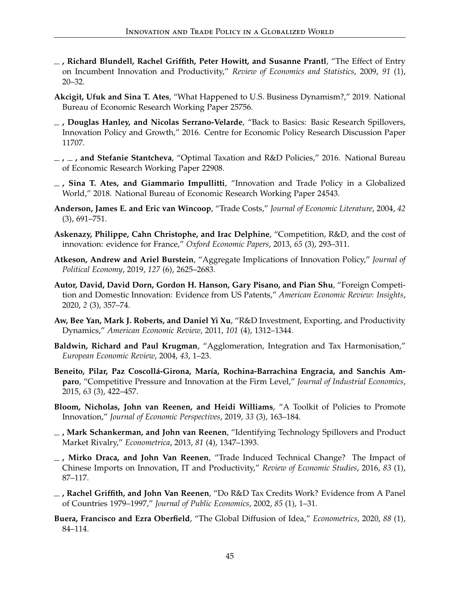- **, Richard Blundell, Rachel Griffith, Peter Howitt, and Susanne Prantl**, "The Effect of Entry on Incumbent Innovation and Productivity," *Review of Economics and Statistics*, 2009, *91* (1), 20–32.
- **Akcigit, Ufuk and Sina T. Ates**, "What Happened to U.S. Business Dynamism?," 2019. National Bureau of Economic Research Working Paper 25756.
- **, Douglas Hanley, and Nicolas Serrano-Velarde**, "Back to Basics: Basic Research Spillovers, Innovation Policy and Growth," 2016. Centre for Economic Policy Research Discussion Paper 11707.
- **, , and Stefanie Stantcheva**, "Optimal Taxation and R&D Policies," 2016. National Bureau of Economic Research Working Paper 22908.
- <span id="page-45-0"></span>**, Sina T. Ates, and Giammario Impullitti**, "Innovation and Trade Policy in a Globalized World," 2018. National Bureau of Economic Research Working Paper 24543.
- **Anderson, James E. and Eric van Wincoop**, "Trade Costs," *Journal of Economic Literature*, 2004, *42* (3), 691–751.
- **Askenazy, Philippe, Cahn Christophe, and Irac Delphine**, "Competition, R&D, and the cost of innovation: evidence for France," *Oxford Economic Papers*, 2013, *65* (3), 293–311.
- **Atkeson, Andrew and Ariel Burstein**, "Aggregate Implications of Innovation Policy," *Journal of Political Economy*, 2019, *127* (6), 2625–2683.
- <span id="page-45-2"></span>**Autor, David, David Dorn, Gordon H. Hanson, Gary Pisano, and Pian Shu**, "Foreign Competition and Domestic Innovation: Evidence from US Patents," *American Economic Review: Insights*, 2020, *2* (3), 357–74.
- **Aw, Bee Yan, Mark J. Roberts, and Daniel Yi Xu**, "R&D Investment, Exporting, and Productivity Dynamics," *American Economic Review*, 2011, *101* (4), 1312–1344.
- **Baldwin, Richard and Paul Krugman**, "Agglomeration, Integration and Tax Harmonisation," *European Economic Review*, 2004, *43*, 1–23.
- **Beneito, Pilar, Paz Coscollá-Girona, María, Rochina-Barrachina Engracia, and Sanchis Amparo**, "Competitive Pressure and Innovation at the Firm Level," *Journal of Industrial Economics*, 2015, *63* (3), 422–457.
- **Bloom, Nicholas, John van Reenen, and Heidi Williams**, "A Toolkit of Policies to Promote Innovation," *Journal of Economic Perspectives*, 2019, *33* (3), 163–184.
- **, Mark Schankerman, and John van Reenen**, "Identifying Technology Spillovers and Product Market Rivalry," *Econometrica*, 2013, *81* (4), 1347–1393.
- <span id="page-45-1"></span>**, Mirko Draca, and John Van Reenen**, "Trade Induced Technical Change? The Impact of Chinese Imports on Innovation, IT and Productivity," *Review of Economic Studies*, 2016, *83* (1), 87–117.
- <span id="page-45-3"></span>**, Rachel Griffith, and John Van Reenen**, "Do R&D Tax Credits Work? Evidence from A Panel of Countries 1979–1997," *Journal of Public Economics*, 2002, *85* (1), 1–31.
- **Buera, Francisco and Ezra Oberfield**, "The Global Diffusion of Idea," *Econometrics*, 2020, *88* (1), 84–114.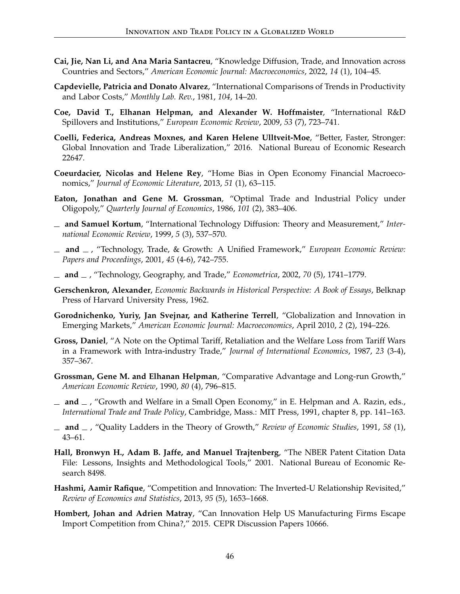- **Cai, Jie, Nan Li, and Ana Maria Santacreu**, "Knowledge Diffusion, Trade, and Innovation across Countries and Sectors," *American Economic Journal: Macroeconomics*, 2022, *14* (1), 104–45.
- **Capdevielle, Patricia and Donato Alvarez**, "International Comparisons of Trends in Productivity and Labor Costs," *Monthly Lab. Rev.*, 1981, *104*, 14–20.
- **Coe, David T., Elhanan Helpman, and Alexander W. Hoffmaister**, "International R&D Spillovers and Institutions," *European Economic Review*, 2009, *53* (7), 723–741.
- <span id="page-46-2"></span>**Coelli, Federica, Andreas Moxnes, and Karen Helene Ulltveit-Moe**, "Better, Faster, Stronger: Global Innovation and Trade Liberalization," 2016. National Bureau of Economic Research 22647.
- **Coeurdacier, Nicolas and Helene Rey**, "Home Bias in Open Economy Financial Macroeconomics," *Journal of Economic Literature*, 2013, *51* (1), 63–115.
- <span id="page-46-1"></span>**Eaton, Jonathan and Gene M. Grossman**, "Optimal Trade and Industrial Policy under Oligopoly," *Quarterly Journal of Economics*, 1986, *101* (2), 383–406.
- **and Samuel Kortum**, "International Technology Diffusion: Theory and Measurement," *International Economic Review*, 1999, *5* (3), 537–570.
- **and** , "Technology, Trade, & Growth: A Unified Framework," *European Economic Review: Papers and Proceedings*, 2001, *45* (4-6), 742–755.
- **and** , "Technology, Geography, and Trade," *Econometrica*, 2002, *70* (5), 1741–1779.
- <span id="page-46-7"></span>**Gerschenkron, Alexander**, *Economic Backwards in Historical Perspective: A Book of Essays*, Belknap Press of Harvard University Press, 1962.
- <span id="page-46-3"></span>**Gorodnichenko, Yuriy, Jan Svejnar, and Katherine Terrell**, "Globalization and Innovation in Emerging Markets," *American Economic Journal: Macroeconomics*, April 2010, *2* (2), 194–226.
- **Gross, Daniel**, "A Note on the Optimal Tariff, Retaliation and the Welfare Loss from Tariff Wars in a Framework with Intra-industry Trade," *Journal of International Economics*, 1987, *23* (3-4), 357–367.
- **Grossman, Gene M. and Elhanan Helpman**, "Comparative Advantage and Long-run Growth," *American Economic Review*, 1990, *80* (4), 796–815.
- $\Delta$  **and**  $\Delta$ , "Growth and Welfare in a Small Open Economy," in E. Helpman and A. Razin, eds., *International Trade and Trade Policy*, Cambridge, Mass.: MIT Press, 1991, chapter 8, pp. 141–163.
- <span id="page-46-0"></span>**and** , "Quality Ladders in the Theory of Growth," *Review of Economic Studies*, 1991, *58* (1), 43–61.
- <span id="page-46-6"></span>**Hall, Bronwyn H., Adam B. Jaffe, and Manuel Trajtenberg**, "The NBER Patent Citation Data File: Lessons, Insights and Methodological Tools," 2001. National Bureau of Economic Research 8498.
- <span id="page-46-4"></span>**Hashmi, Aamir Rafique**, "Competition and Innovation: The Inverted-U Relationship Revisited," *Review of Economics and Statistics*, 2013, *95* (5), 1653–1668.
- <span id="page-46-5"></span>**Hombert, Johan and Adrien Matray**, "Can Innovation Help US Manufacturing Firms Escape Import Competition from China?," 2015. CEPR Discussion Papers 10666.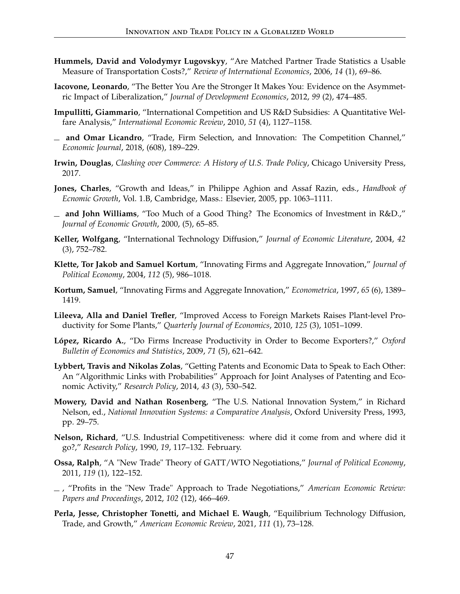- **Hummels, David and Volodymyr Lugovskyy**, "Are Matched Partner Trade Statistics a Usable Measure of Transportation Costs?," *Review of International Economics*, 2006, *14* (1), 69–86.
- <span id="page-47-3"></span>**Iacovone, Leonardo**, "The Better You Are the Stronger It Makes You: Evidence on the Asymmetric Impact of Liberalization," *Journal of Development Economics*, 2012, *99* (2), 474–485.
- **Impullitti, Giammario**, "International Competition and US R&D Subsidies: A Quantitative Welfare Analysis," *International Economic Review*, 2010, *51* (4), 1127–1158.
- **and Omar Licandro**, "Trade, Firm Selection, and Innovation: The Competition Channel," *Economic Journal*, 2018, (608), 189–229.
- **Irwin, Douglas**, *Clashing over Commerce: A History of U.S. Trade Policy*, Chicago University Press, 2017.
- **Jones, Charles**, "Growth and Ideas," in Philippe Aghion and Assaf Razin, eds., *Handbook of Ecnomic Growth*, Vol. 1.B, Cambridge, Mass.: Elsevier, 2005, pp. 1063–1111.
- <span id="page-47-0"></span>**and John Williams**, "Too Much of a Good Thing? The Economics of Investment in R&D.," *Journal of Economic Growth*, 2000, (5), 65–85.
- <span id="page-47-4"></span>**Keller, Wolfgang**, "International Technology Diffusion," *Journal of Economic Literature*, 2004, *42* (3), 752–782.
- **Klette, Tor Jakob and Samuel Kortum**, "Innovating Firms and Aggregate Innovation," *Journal of Political Economy*, 2004, *112* (5), 986–1018.
- **Kortum, Samuel**, "Innovating Firms and Aggregate Innovation," *Econometrica*, 1997, *65* (6), 1389– 1419.
- **Lileeva, Alla and Daniel Trefler**, "Improved Access to Foreign Markets Raises Plant-level Productivity for Some Plants," *Quarterly Journal of Economics*, 2010, *125* (3), 1051–1099.
- **López, Ricardo A.**, "Do Firms Increase Productivity in Order to Become Exporters?," *Oxford Bulletin of Economics and Statistics*, 2009, *71* (5), 621–642.
- **Lybbert, Travis and Nikolas Zolas**, "Getting Patents and Economic Data to Speak to Each Other: An "Algorithmic Links with Probabilities" Approach for Joint Analyses of Patenting and Economic Activity," *Research Policy*, 2014, *43* (3), 530–542.
- **Mowery, David and Nathan Rosenberg**, "The U.S. National Innovation System," in Richard Nelson, ed., *National Innovation Systems: a Comparative Analysis*, Oxford University Press, 1993, pp. 29–75.
- **Nelson, Richard**, "U.S. Industrial Competitiveness: where did it come from and where did it go?," *Research Policy*, 1990, *19*, 117–132. February.
- <span id="page-47-1"></span>**Ossa, Ralph**, "A "New Trade" Theory of GATT/WTO Negotiations," *Journal of Political Economy*, 2011, *119* (1), 122–152.
- <span id="page-47-2"></span>, "Profits in the "New Trade" Approach to Trade Negotiations," *American Economic Review: Papers and Proceedings*, 2012, *102* (12), 466–469.
- **Perla, Jesse, Christopher Tonetti, and Michael E. Waugh**, "Equilibrium Technology Diffusion, Trade, and Growth," *American Economic Review*, 2021, *111* (1), 73–128.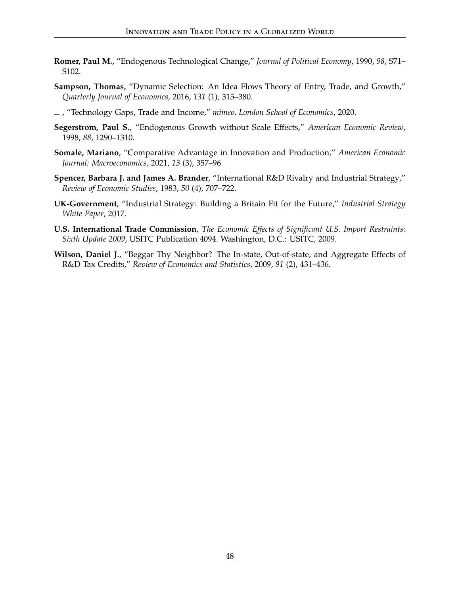- **Romer, Paul M.**, "Endogenous Technological Change," *Journal of Political Economy*, 1990, *98*, S71– S102.
- **Sampson, Thomas**, "Dynamic Selection: An Idea Flows Theory of Entry, Trade, and Growth," *Quarterly Journal of Economics*, 2016, *131* (1), 315–380.
- , "Technology Gaps, Trade and Income," *mimeo, London School of Economics*, 2020.
- <span id="page-48-0"></span>**Segerstrom, Paul S.**, "Endogenous Growth without Scale Effects," *American Economic Review*, 1998, *88*, 1290–1310.
- **Somale, Mariano**, "Comparative Advantage in Innovation and Production," *American Economic Journal: Macroeconomics*, 2021, *13* (3), 357–96.
- <span id="page-48-1"></span>**Spencer, Barbara J. and James A. Brander**, "International R&D Rivalry and Industrial Strategy," *Review of Economic Studies*, 1983, *50* (4), 707–722.
- <span id="page-48-2"></span>**UK-Government**, "Industrial Strategy: Building a Britain Fit for the Future," *Industrial Strategy White Paper*, 2017.
- **U.S. International Trade Commission**, *The Economic Effects of Significant U.S. Import Restraints: Sixth Update 2009*, USITC Publication 4094. Washington, D.C.: USITC, 2009.
- <span id="page-48-3"></span>**Wilson, Daniel J.**, "Beggar Thy Neighbor? The In-state, Out-of-state, and Aggregate Effects of R&D Tax Credits," *Review of Economics and Statistics*, 2009, *91* (2), 431–436.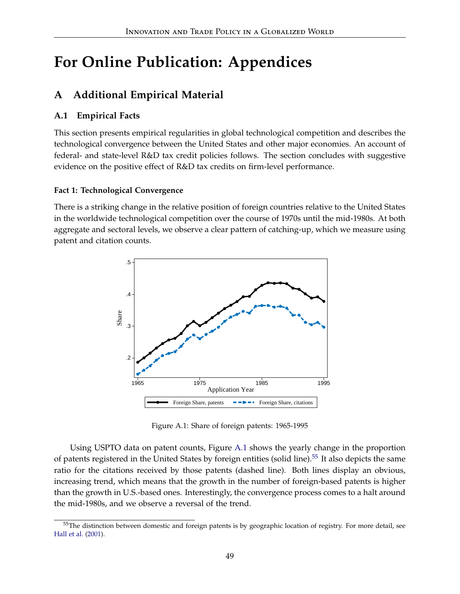# **For Online Publication: Appendices**

# **A Additional Empirical Material**

# **A.1 Empirical Facts**

This section presents empirical regularities in global technological competition and describes the technological convergence between the United States and other major economies. An account of federal- and state-level R&D tax credit policies follows. The section concludes with suggestive evidence on the positive effect of R&D tax credits on firm-level performance.

# **Fact 1: Technological Convergence**

<span id="page-49-0"></span>There is a striking change in the relative position of foreign countries relative to the United States in the worldwide technological competition over the course of 1970s until the mid-1980s. At both aggregate and sectoral levels, we observe a clear pattern of catching-up, which we measure using patent and citation counts.



Figure A.1: Share of foreign patents: 1965-1995

Using USPTO data on patent counts, Figure [A.1](#page-49-0) shows the yearly change in the proportion of patents registered in the United States by foreign entities (solid line).<sup>[55](#page-49-1)</sup> It also depicts the same ratio for the citations received by those patents (dashed line). Both lines display an obvious, increasing trend, which means that the growth in the number of foreign-based patents is higher than the growth in U.S.-based ones. Interestingly, the convergence process comes to a halt around the mid-1980s, and we observe a reversal of the trend.

<span id="page-49-1"></span><sup>&</sup>lt;sup>55</sup>The distinction between domestic and foreign patents is by geographic location of registry. For more detail, see [Hall et al.](#page-46-6) [\(2001\)](#page-46-6).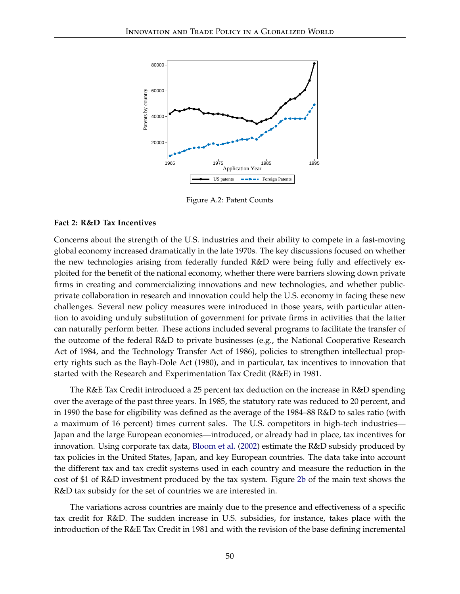

Figure A.2: Patent Counts

#### **Fact 2: R&D Tax Incentives**

Concerns about the strength of the U.S. industries and their ability to compete in a fast-moving global economy increased dramatically in the late 1970s. The key discussions focused on whether the new technologies arising from federally funded R&D were being fully and effectively exploited for the benefit of the national economy, whether there were barriers slowing down private firms in creating and commercializing innovations and new technologies, and whether publicprivate collaboration in research and innovation could help the U.S. economy in facing these new challenges. Several new policy measures were introduced in those years, with particular attention to avoiding unduly substitution of government for private firms in activities that the latter can naturally perform better. These actions included several programs to facilitate the transfer of the outcome of the federal R&D to private businesses (e.g., the National Cooperative Research Act of 1984, and the Technology Transfer Act of 1986), policies to strengthen intellectual property rights such as the Bayh-Dole Act (1980), and in particular, tax incentives to innovation that started with the Research and Experimentation Tax Credit (R&E) in 1981.

The R&E Tax Credit introduced a 25 percent tax deduction on the increase in R&D spending over the average of the past three years. In 1985, the statutory rate was reduced to 20 percent, and in 1990 the base for eligibility was defined as the average of the 1984–88 R&D to sales ratio (with a maximum of 16 percent) times current sales. The U.S. competitors in high-tech industries— Japan and the large European economies—introduced, or already had in place, tax incentives for innovation. Using corporate tax data, [Bloom et al.](#page-45-3) [\(2002\)](#page-45-3) estimate the R&D subsidy produced by tax policies in the United States, Japan, and key European countries. The data take into account the different tax and tax credit systems used in each country and measure the reduction in the cost of \$1 of R&D investment produced by the tax system. Figure [2b](#page-3-0) of the main text shows the R&D tax subsidy for the set of countries we are interested in.

The variations across countries are mainly due to the presence and effectiveness of a specific tax credit for R&D. The sudden increase in U.S. subsidies, for instance, takes place with the introduction of the R&E Tax Credit in 1981 and with the revision of the base defining incremental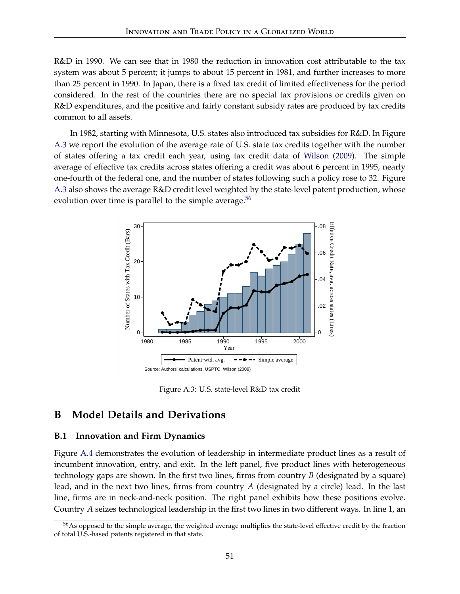R&D in 1990. We can see that in 1980 the reduction in innovation cost attributable to the tax system was about 5 percent; it jumps to about 15 percent in 1981, and further increases to more than 25 percent in 1990. In Japan, there is a fixed tax credit of limited effectiveness for the period considered. In the rest of the countries there are no special tax provisions or credits given on R&D expenditures, and the positive and fairly constant subsidy rates are produced by tax credits common to all assets.

In 1982, starting with Minnesota, U.S. states also introduced tax subsidies for R&D. In Figure [A.3](#page-51-0) we report the evolution of the average rate of U.S. state tax credits together with the number of states offering a tax credit each year, using tax credit data of [Wilson](#page-48-3) [\(2009\)](#page-48-3). The simple average of effective tax credits across states offering a credit was about 6 percent in 1995, nearly one-fourth of the federal one, and the number of states following such a policy rose to 32. Figure [A.3](#page-51-0) also shows the average R&D credit level weighted by the state-level patent production, whose evolution over time is parallel to the simple average. $56$ 

<span id="page-51-0"></span>

Figure A.3: U.S. state-level R&D tax credit

# **B Model Details and Derivations**

#### **B.1 Innovation and Firm Dynamics**

Figure [A.4](#page-52-0) demonstrates the evolution of leadership in intermediate product lines as a result of incumbent innovation, entry, and exit. In the left panel, five product lines with heterogeneous technology gaps are shown. In the first two lines, firms from country *B* (designated by a square) lead, and in the next two lines, firms from country *A* (designated by a circle) lead. In the last line, firms are in neck-and-neck position. The right panel exhibits how these positions evolve. Country *A* seizes technological leadership in the first two lines in two different ways. In line 1, an

<span id="page-51-1"></span><sup>&</sup>lt;sup>56</sup>As opposed to the simple average, the weighted average multiplies the state-level effective credit by the fraction of total U.S.-based patents registered in that state.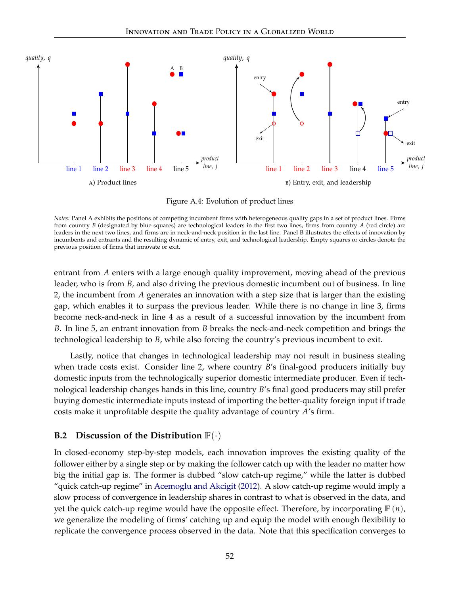<span id="page-52-0"></span>

Figure A.4: Evolution of product lines

*Notes:* Panel A exhibits the positions of competing incumbent firms with heterogeneous quality gaps in a set of product lines. Firms from country *B* (designated by blue squares) are technological leaders in the first two lines, firms from country *A* (red circle) are leaders in the next two lines, and firms are in neck-and-neck position in the last line. Panel B illustrates the effects of innovation by incumbents and entrants and the resulting dynamic of entry, exit, and technological leadership. Empty squares or circles denote the previous position of firms that innovate or exit.

entrant from *A* enters with a large enough quality improvement, moving ahead of the previous leader, who is from *B*, and also driving the previous domestic incumbent out of business. In line 2, the incumbent from *A* generates an innovation with a step size that is larger than the existing gap, which enables it to surpass the previous leader. While there is no change in line 3, firms become neck-and-neck in line 4 as a result of a successful innovation by the incumbent from *B*. In line 5, an entrant innovation from *B* breaks the neck-and-neck competition and brings the technological leadership to *B*, while also forcing the country's previous incumbent to exit.

Lastly, notice that changes in technological leadership may not result in business stealing when trade costs exist. Consider line 2, where country *B*'s final-good producers initially buy domestic inputs from the technologically superior domestic intermediate producer. Even if technological leadership changes hands in this line, country *B*'s final good producers may still prefer buying domestic intermediate inputs instead of importing the better-quality foreign input if trade costs make it unprofitable despite the quality advantage of country *A*'s firm.

## **B.2 Discussion of the Distribution F**(·)

In closed-economy step-by-step models, each innovation improves the existing quality of the follower either by a single step or by making the follower catch up with the leader no matter how big the initial gap is. The former is dubbed "slow catch-up regime," while the latter is dubbed "quick catch-up regime" in [Acemoglu and Akcigit](#page-44-1) [\(2012\)](#page-44-1). A slow catch-up regime would imply a slow process of convergence in leadership shares in contrast to what is observed in the data, and yet the quick catch-up regime would have the opposite effect. Therefore, by incorporating **F** (*n*), we generalize the modeling of firms' catching up and equip the model with enough flexibility to replicate the convergence process observed in the data. Note that this specification converges to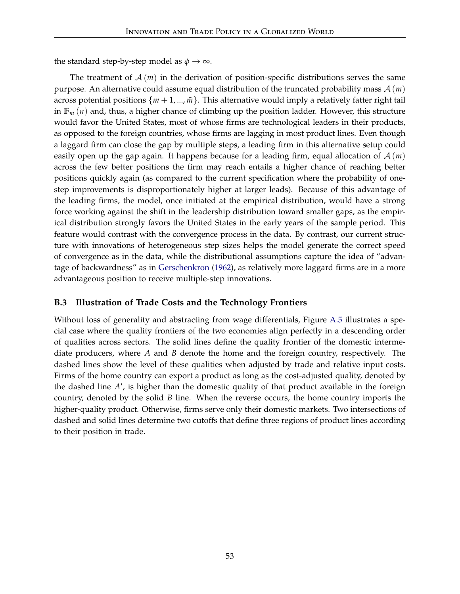the standard step-by-step model as  $\phi \rightarrow \infty$ .

The treatment of  $A(m)$  in the derivation of position-specific distributions serves the same purpose. An alternative could assume equal distribution of the truncated probability mass A (*m*) across potential positions  $\{m+1,...,\bar{m}\}$ . This alternative would imply a relatively fatter right tail in  $\mathbb{F}_m(n)$  and, thus, a higher chance of climbing up the position ladder. However, this structure would favor the United States, most of whose firms are technological leaders in their products, as opposed to the foreign countries, whose firms are lagging in most product lines. Even though a laggard firm can close the gap by multiple steps, a leading firm in this alternative setup could easily open up the gap again. It happens because for a leading firm, equal allocation of  $A(m)$ across the few better positions the firm may reach entails a higher chance of reaching better positions quickly again (as compared to the current specification where the probability of onestep improvements is disproportionately higher at larger leads). Because of this advantage of the leading firms, the model, once initiated at the empirical distribution, would have a strong force working against the shift in the leadership distribution toward smaller gaps, as the empirical distribution strongly favors the United States in the early years of the sample period. This feature would contrast with the convergence process in the data. By contrast, our current structure with innovations of heterogeneous step sizes helps the model generate the correct speed of convergence as in the data, while the distributional assumptions capture the idea of "advantage of backwardness" as in [Gerschenkron](#page-46-7) [\(1962\)](#page-46-7), as relatively more laggard firms are in a more advantageous position to receive multiple-step innovations.

## **B.3 Illustration of Trade Costs and the Technology Frontiers**

Without loss of generality and abstracting from wage differentials, Figure [A.5](#page-54-0) illustrates a special case where the quality frontiers of the two economies align perfectly in a descending order of qualities across sectors. The solid lines define the quality frontier of the domestic intermediate producers, where *A* and *B* denote the home and the foreign country, respectively. The dashed lines show the level of these qualities when adjusted by trade and relative input costs. Firms of the home country can export a product as long as the cost-adjusted quality, denoted by the dashed line A', is higher than the domestic quality of that product available in the foreign country, denoted by the solid *B* line. When the reverse occurs, the home country imports the higher-quality product. Otherwise, firms serve only their domestic markets. Two intersections of dashed and solid lines determine two cutoffs that define three regions of product lines according to their position in trade.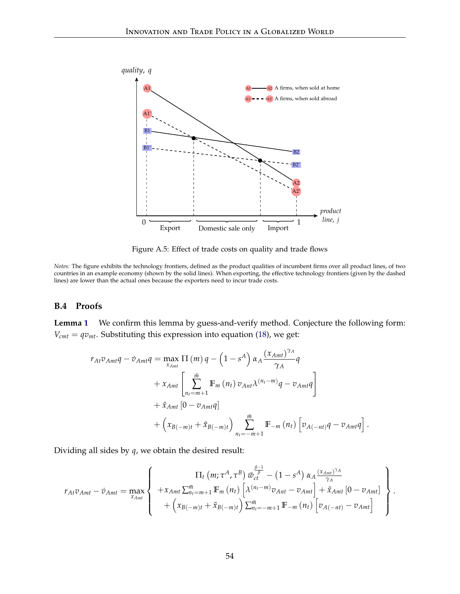<span id="page-54-0"></span>

Figure A.5: Effect of trade costs on quality and trade flows

*Notes:* The figure exhibits the technology frontiers, defined as the product qualities of incumbent firms over all product lines, of two countries in an example economy (shown by the solid lines). When exporting, the effective technology frontiers (given by the dashed lines) are lower than the actual ones because the exporters need to incur trade costs.

#### **B.4 Proofs**

**Lemma [1](#page-19-0)** We confirm this lemma by guess-and-verify method. Conjecture the following form:  $V_{cmt} = qv_{mt}$ . Substituting this expression into equation [\(18\)](#page-18-0), we get:

$$
r_{At}v_{Amt}q - \dot{v}_{Amt}q = \max_{x_{Amt}} \Pi(m) q - \left(1 - s^A\right) \alpha_A \frac{(x_{Amt})^{\gamma_A}}{\gamma_A} q
$$
  
+  $x_{Amt} \left[ \sum_{n_t=m+1}^{\bar{m}} \mathbb{F}_m(n_t) v_{Ant} \lambda^{(n_t - m)} q - v_{Amt}q \right]$   
+  $\tilde{x}_{Amt} \left[0 - v_{Amt}q\right]$   
+  $\left(x_{B(-m)t} + \tilde{x}_{B(-m)t}\right) \sum_{n_t=-m+1}^{\bar{m}} \mathbb{F}_{-m}(n_t) \left[v_{A(-nt)}q - v_{Amt}q\right].$ 

Dividing all sides by *q*, we obtain the desired result:

$$
r_{At}v_{Amt} - \dot{v}_{Amt} = \max_{x_{Amt}} \left\{ \begin{array}{c} \Pi_t (m; \tau^A, \tau^B) \ \bar{w}_{ct}^{\frac{\beta-1}{\beta}} - (1-s^A) \alpha_A \frac{(x_{Amt})^{\gamma_A}}{\gamma_A} \\ + x_{Amt} \sum_{n_t=m+1}^{\bar{m}} \mathbb{F}_m (n_t) \left[ \lambda^{(n_t-m)} v_{Ant} - v_{Amt} \right] + \tilde{x}_{Amt} \left[ 0 - v_{Amt} \right] \\ + \left( x_{B(-m)t} + \tilde{x}_{B(-m)t} \right) \sum_{n_t=-m+1}^{\bar{m}} \mathbb{F}_{-m} (n_t) \left[ v_{A(-nt)} - v_{Amt} \right] \end{array} \right\}.
$$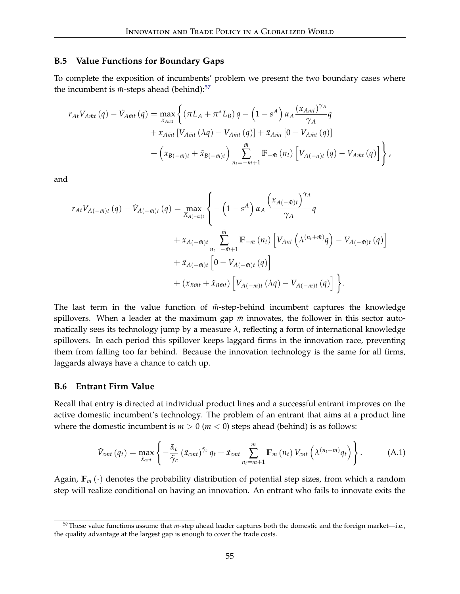#### **B.5 Value Functions for Boundary Gaps**

To complete the exposition of incumbents' problem we present the two boundary cases where the incumbent is  $\bar{m}$ -steps ahead (behind):<sup>[57](#page-55-0)</sup>

$$
r_{At}V_{A\bar{m}t}(q) - \dot{V}_{A\bar{m}t}(q) = \max_{x_{A\bar{m}t}} \left\{ (\pi L_A + \pi^* L_B) q - \left(1 - s^A\right) \alpha_A \frac{(x_{A\bar{m}t})^{\gamma_A}}{\gamma_A} q + x_{A\bar{m}t} \left[V_{A\bar{m}t}(\lambda q) - V_{A\bar{m}t}(q)\right] + \tilde{x}_{A\bar{m}t} \left[0 - V_{A\bar{m}t}(q)\right] + \left(x_{B(-\bar{m})t} + \tilde{x}_{B(-\bar{m})t}\right) \sum_{n_t = -\bar{m}+1}^{\bar{m}} \mathbb{F}_{-\bar{m}}(n_t) \left[V_{A(-n)t}(q) - V_{A\bar{m}t}(q)\right] \right\},
$$

and

$$
r_{At}V_{A(-\bar{m})t}(q) - \dot{V}_{A(-\bar{m})t}(q) = \max_{X_{A(-\bar{m})t}} \left\{ -\left(1 - s^{A}\right) \alpha_{A} \frac{\left(x_{A(-\bar{m})t}\right)^{\gamma_{A}}}{\gamma_{A}} q + x_{A(-\bar{m})t} \sum_{n_{t}=-\bar{m}+1}^{\bar{m}} \mathbb{F}_{-\bar{m}}(n_{t}) \left[V_{Ant}\left(\lambda^{(n_{t}+\bar{m})}q\right) - V_{A(-\bar{m})t}(q)\right] + \tilde{x}_{A(-\bar{m})t}\left[0 - V_{A(-\bar{m})t}(q)\right] + (x_{B\bar{m}t} + \tilde{x}_{B\bar{m}t}) \left[V_{A(-\bar{m})t}(\lambda q) - V_{A(-\bar{m})t}(q)\right] \right\}.
$$

The last term in the value function of  $\bar{m}$ -step-behind incumbent captures the knowledge spillovers. When a leader at the maximum gap  $\bar{m}$  innovates, the follower in this sector automatically sees its technology jump by a measure *λ*, reflecting a form of international knowledge spillovers. In each period this spillover keeps laggard firms in the innovation race, preventing them from falling too far behind. Because the innovation technology is the same for all firms, laggards always have a chance to catch up.

#### **B.6 Entrant Firm Value**

Recall that entry is directed at individual product lines and a successful entrant improves on the active domestic incumbent's technology. The problem of an entrant that aims at a product line where the domestic incumbent is  $m > 0$  ( $m < 0$ ) steps ahead (behind) is as follows:

$$
\tilde{V}_{cmt}\left(q_{t}\right)=\max_{\tilde{x}_{cmt}}\left\{-\frac{\tilde{\alpha}_{c}}{\tilde{\gamma}_{c}}\left(\tilde{x}_{cmt}\right)^{\tilde{\gamma}_{c}}q_{t}+\tilde{x}_{cmt}\sum_{n_{t}=m+1}^{\bar{m}}\mathbb{F}_{m}\left(n_{t}\right)V_{cnt}\left(\lambda^{(n_{t}-m)}q_{t}\right)\right\}.
$$
\n(A.1)

Again,  $\mathbb{F}_m(\cdot)$  denotes the probability distribution of potential step sizes, from which a random step will realize conditional on having an innovation. An entrant who fails to innovate exits the

<span id="page-55-0"></span> $57$ These value functions assume that  $m$ -step ahead leader captures both the domestic and the foreign market—i.e., the quality advantage at the largest gap is enough to cover the trade costs.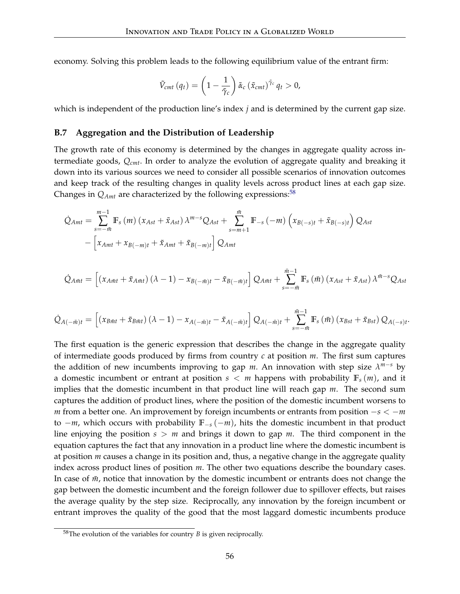economy. Solving this problem leads to the following equilibrium value of the entrant firm:

$$
\tilde{V}_{cmt}\left(q_{t}\right) = \left(1 - \frac{1}{\tilde{\gamma}_{c}}\right) \tilde{\alpha}_{c} \left(\tilde{x}_{cmt}\right)^{\tilde{\gamma}_{c}} q_{t} > 0,
$$

which is independent of the production line's index *j* and is determined by the current gap size.

#### **B.7 Aggregation and the Distribution of Leadership**

The growth rate of this economy is determined by the changes in aggregate quality across intermediate goods, *Qcmt*. In order to analyze the evolution of aggregate quality and breaking it down into its various sources we need to consider all possible scenarios of innovation outcomes and keep track of the resulting changes in quality levels across product lines at each gap size. Changes in  $Q_{Amt}$  are characterized by the following expressions:<sup>[58](#page-56-0)</sup>

$$
\dot{Q}_{Amt} = \sum_{s=-i\bar{n}}^{m-1} \mathbb{F}_{s}(m) \left( x_{Ast} + \tilde{x}_{Ast} \right) \lambda^{m-s} Q_{Ast} + \sum_{s=m+1}^{\bar{m}} \mathbb{F}_{-s} (-m) \left( x_{B(-s)t} + \tilde{x}_{B(-s)t} \right) Q_{Ast} \n- \left[ x_{Amt} + x_{B(-m)t} + \tilde{x}_{Amt} + \tilde{x}_{B(-m)t} \right] Q_{Amt}
$$

$$
\dot{Q}_{A\bar{m}t} = \left[ \left( x_{A\bar{m}t} + \tilde{x}_{A\bar{m}t} \right) \left( \lambda - 1 \right) - x_{B(-\bar{m})t} - \tilde{x}_{B(-\bar{m})t} \right] Q_{A\bar{m}t} + \sum_{s=-\bar{m}}^{\bar{m}-1} \mathbb{F}_{s} \left( \bar{m} \right) \left( x_{Ast} + \tilde{x}_{Ast} \right) \lambda^{\bar{m}-s} Q_{Ast}
$$

$$
\dot{Q}_{A(-\bar{m})t} = \left[ \left( x_{B\bar{m}t} + \tilde{x}_{B\bar{m}t} \right) (\lambda - 1) - x_{A(-\bar{m})t} - \tilde{x}_{A(-\bar{m})t} \right] Q_{A(-\bar{m})t} + \sum_{s=-\bar{m}}^{\bar{m}-1} \mathbb{F}_{s} \left( \bar{m} \right) \left( x_{Bst} + \tilde{x}_{Bst} \right) Q_{A(-s)t}.
$$

The first equation is the generic expression that describes the change in the aggregate quality of intermediate goods produced by firms from country *c* at position *m*. The first sum captures the addition of new incumbents improving to gap *m*. An innovation with step size *λ <sup>m</sup>*−*<sup>s</sup>* by a domestic incumbent or entrant at position  $s < m$  happens with probability  $\mathbb{F}_s(m)$ , and it implies that the domestic incumbent in that product line will reach gap *m*. The second sum captures the addition of product lines, where the position of the domestic incumbent worsens to *m* from a better one. An improvement by foreign incumbents or entrants from position −*s* < −*m* to −*m*, which occurs with probability **F**−*<sup>s</sup>* (−*m*), hits the domestic incumbent in that product line enjoying the position *s* > *m* and brings it down to gap *m*. The third component in the equation captures the fact that any innovation in a product line where the domestic incumbent is at position *m* causes a change in its position and, thus, a negative change in the aggregate quality index across product lines of position *m*. The other two equations describe the boundary cases. In case of  $\bar{m}$ , notice that innovation by the domestic incumbent or entrants does not change the gap between the domestic incumbent and the foreign follower due to spillover effects, but raises the average quality by the step size. Reciprocally, any innovation by the foreign incumbent or entrant improves the quality of the good that the most laggard domestic incumbents produce

<span id="page-56-0"></span><sup>58</sup>The evolution of the variables for country *B* is given reciprocally.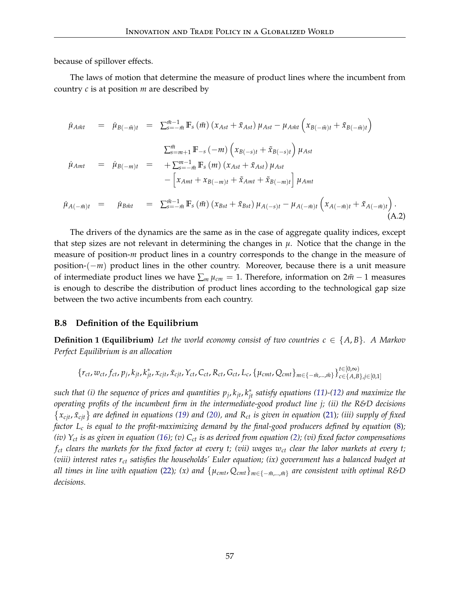because of spillover effects.

The laws of motion that determine the measure of product lines where the incumbent from country *c* is at position *m* are described by

$$
\dot{\mu}_{A\bar{m}t} = \dot{\mu}_{B(-\bar{m})t} = \sum_{s=-\bar{m}}^{\bar{m}-1} \mathbb{F}_{s}(\bar{m}) (x_{Ast} + \tilde{x}_{Ast}) \mu_{Ast} - \mu_{A\bar{m}t} (x_{B(-\bar{m})t} + \tilde{x}_{B(-\bar{m})t})
$$
\n
$$
\sum_{s=-m+1}^{\bar{m}} \mathbb{F}_{-s}(-m) (x_{B(-s)t} + \tilde{x}_{B(-s)t}) \mu_{Ast}
$$
\n
$$
\dot{\mu}_{Amt} = \dot{\mu}_{B(-m)t} = + \sum_{s=-\bar{m}}^{m-1} \mathbb{F}_{s}(m) (x_{Ast} + \tilde{x}_{Ast}) \mu_{Ast}
$$
\n
$$
- [x_{Amt} + x_{B(-m)t} + \tilde{x}_{Amt} + \tilde{x}_{B(-m)t}] \mu_{Amt}
$$
\n
$$
\dot{\mu}_{A(-\bar{m})t} = \dot{\mu}_{B\bar{m}t} = \sum_{s=-\bar{m}}^{\bar{m}-1} \mathbb{F}_{s}(\bar{m}) (x_{Bst} + \tilde{x}_{Bst}) \mu_{A(-s)t} - \mu_{A(-\bar{m})t} (x_{A(-\bar{m})t} + \tilde{x}_{A(-\bar{m})t}).
$$
\n(A.2)

The drivers of the dynamics are the same as in the case of aggregate quality indices, except that step sizes are not relevant in determining the changes in  $\mu$ . Notice that the change in the measure of position-*m* product lines in a country corresponds to the change in the measure of position-(−*m*) product lines in the other country. Moreover, because there is a unit measure of intermediate product lines we have  $\sum_m \mu_{cm} = 1$ . Therefore, information on  $2m - 1$  measures is enough to describe the distribution of product lines according to the technological gap size between the two active incumbents from each country.

#### **B.8 Definition of the Equilibrium**

**Definition 1 (Equilibrium)** Let the world economy consist of two countries  $c \in \{A, B\}$ . A Markov *Perfect Equilibrium is an allocation*

$$
\{r_{ct}, w_{ct}, f_{ct}, p_j, k_{jt}, k_{jt}^*, x_{cjt}, \tilde{x}_{cjt}, Y_{ct}, C_{ct}, R_{ct}, G_{ct}, L_c, \{\mu_{cmt}, Q_{cmt}\}_{m \in \{-\bar{m}, \ldots, \bar{m}\}}\}_{c \in \{A, B\}, j \in [0, 1]}
$$

*such that (i) the sequence of prices and quantities p<sup>j</sup>* , *kjt*, *k* ∗ *jt satisfy equations [\(11\)](#page-15-0)-[\(12\)](#page-16-0) and maximize the operating profits of the incumbent firm in the intermediate-good product line j; (ii) the R&D decisions*  $\{x_{cjt}, \tilde{x}_{cjt}\}$  are defined in equations [\(19\)](#page-20-0) and [\(20\)](#page-20-1), and  $R_{ct}$  is given in equation [\(21\)](#page-20-2); (iii) supply of fixed *factor L<sup>c</sup> is equal to the profit-maximizing demand by the final-good producers defined by equation* [\(8\)](#page-15-1)*; (iv) Yct is as given in equation [\(16\)](#page-17-0); (v) Cct is as derived from equation [\(2\)](#page-10-0); (vi) fixed factor compensations fct clears the markets for the fixed factor at every t; (vii) wages wct clear the labor markets at every t; (viii) interest rates rct satisfies the households' Euler equation; (ix) government has a balanced budget at* all times in line with equation [\(22\)](#page-20-3); (x) and  $\{\mu_{cmt},Q_{cmt}\}_{m\in\{-\bar{m},..., \bar{m}\}}$  are consistent with optimal R&D *decisions.*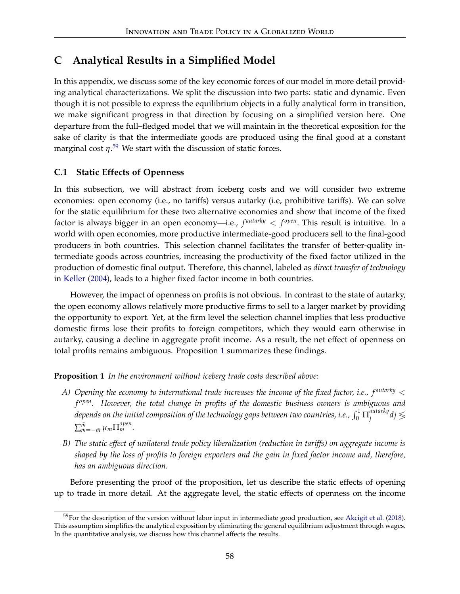# **C Analytical Results in a Simplified Model**

In this appendix, we discuss some of the key economic forces of our model in more detail providing analytical characterizations. We split the discussion into two parts: static and dynamic. Even though it is not possible to express the equilibrium objects in a fully analytical form in transition, we make significant progress in that direction by focusing on a simplified version here. One departure from the full–fledged model that we will maintain in the theoretical exposition for the sake of clarity is that the intermediate goods are produced using the final good at a constant marginal cost *η*. [59](#page-58-0) We start with the discussion of static forces.

## **C.1 Static Effects of Openness**

In this subsection, we will abstract from iceberg costs and we will consider two extreme economies: open economy (i.e., no tariffs) versus autarky (i.e, prohibitive tariffs). We can solve for the static equilibrium for these two alternative economies and show that income of the fixed factor is always bigger in an open economy—i.e.,  $f^{autarky} < f^{open}$ . This result is intuitive. In a world with open economies, more productive intermediate-good producers sell to the final-good producers in both countries. This selection channel facilitates the transfer of better-quality intermediate goods across countries, increasing the productivity of the fixed factor utilized in the production of domestic final output. Therefore, this channel, labeled as *direct transfer of technology* in [Keller](#page-47-4) [\(2004\)](#page-47-4), leads to a higher fixed factor income in both countries.

However, the impact of openness on profits is not obvious. In contrast to the state of autarky, the open economy allows relatively more productive firms to sell to a larger market by providing the opportunity to export. Yet, at the firm level the selection channel implies that less productive domestic firms lose their profits to foreign competitors, which they would earn otherwise in autarky, causing a decline in aggregate profit income. As a result, the net effect of openness on total profits remains ambiguous. Proposition [1](#page-58-1) summarizes these findings.

<span id="page-58-1"></span>**Proposition 1** *In the environment without iceberg trade costs described above:*

- *A) Opening the economy to international trade increases the income of the fixed factor, i.e., f autarky* < *f open. However, the total change in profits of the domestic business owners is ambiguous and* depends on the initial composition of the technology gaps between two countries, i.e.,  $\int_0^1\Pi_j^{autarky}$ <sup>autarky</sup>dį́ ≶  $\sum_{m=-\bar{m}}^{\bar{m}} \mu_m \prod_{m}^{\text{open}}$ .
- *B) The static effect of unilateral trade policy liberalization (reduction in tariffs) on aggregate income is shaped by the loss of profits to foreign exporters and the gain in fixed factor income and, therefore, has an ambiguous direction.*

Before presenting the proof of the proposition, let us describe the static effects of opening up to trade in more detail. At the aggregate level, the static effects of openness on the income

<span id="page-58-0"></span> $59$ For the description of the version without labor input in intermediate good production, see [Akcigit et al.](#page-45-0) [\(2018\)](#page-45-0). This assumption simplifies the analytical exposition by eliminating the general equilibrium adjustment through wages. In the quantitative analysis, we discuss how this channel affects the results.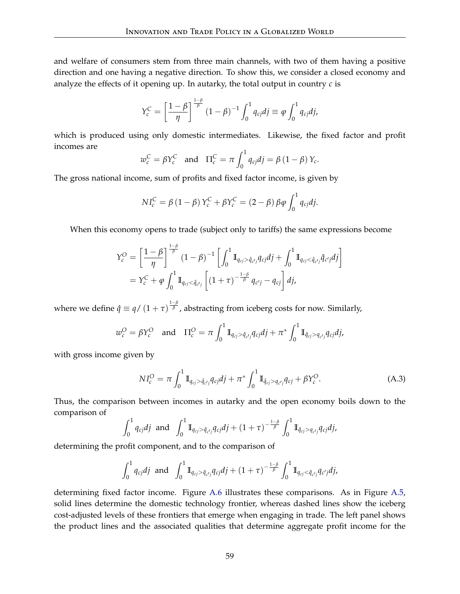and welfare of consumers stem from three main channels, with two of them having a positive direction and one having a negative direction. To show this, we consider a closed economy and analyze the effects of it opening up. In autarky, the total output in country  $c$  is

$$
Y_c^C = \left[\frac{1-\beta}{\eta}\right]^{\frac{1-\beta}{\beta}} (1-\beta)^{-1} \int_0^1 q_{cj} dj \equiv \varphi \int_0^1 q_{cj} dj,
$$

which is produced using only domestic intermediates. Likewise, the fixed factor and profit incomes are

$$
w_c^C = \beta Y_c^C
$$
 and  $\Pi_c^C = \pi \int_0^1 q_{cj} dj = \beta (1 - \beta) Y_c$ .

The gross national income, sum of profits and fixed factor income, is given by

$$
NI_c^C = \beta (1 - \beta) Y_c^C + \beta Y_c^C = (2 - \beta) \beta \varphi \int_0^1 q_{cj} dj.
$$

When this economy opens to trade (subject only to tariffs) the same expressions become

$$
\begin{split} Y_c^O &= \left[\frac{1-\beta}{\eta}\right]^{\frac{1-\beta}{\beta}} (1-\beta)^{-1} \left[\int_0^1 \mathbb{I}_{q_{cj} > \hat{q}_{c'j}} q_{cj} dj + \int_0^1 \mathbb{I}_{q_{cj} < \hat{q}_{c'j}} \hat{q}_{c'j} dj\right] \\ &= Y_c^C + \varphi \int_0^1 \mathbb{I}_{q_{cj} < \hat{q}_{c'j}} \left[ (1+\tau)^{-\frac{1-\beta}{\beta}} q_{c'j} - q_{cj} \right] dj, \end{split}
$$

where we define  $\hat{q} \equiv q/(1+\tau)^{\frac{1-\beta}{\beta}}$ , abstracting from iceberg costs for now. Similarly,

$$
w_c^O = \beta Y_c^O
$$
 and  $\Pi_c^O = \pi \int_0^1 \mathbb{I}_{q_{cj} > \hat{q}_{c'j}} q_{cj} dj + \pi^* \int_0^1 \mathbb{I}_{\hat{q}_{cj} > q_{c'j}} q_{cj} dj,$ 

with gross income given by

<span id="page-59-0"></span>
$$
NI_c^O = \pi \int_0^1 \mathbb{I}_{q_{cj} > \hat{q}_{c'j}} q_{cj} dj + \pi^* \int_0^1 \mathbb{I}_{\hat{q}_{cj} > q_{c'j}} q_{cj} + \beta Y_c^O.
$$
 (A.3)

Thus, the comparison between incomes in autarky and the open economy boils down to the comparison of

$$
\int_0^1 q_{cj} dj \text{ and } \int_0^1 \mathbb{I}_{q_{cj} > \hat{q}_{c'j}} q_{cj} dj + (1+\tau)^{-\frac{1-\beta}{\beta}} \int_0^1 \mathbb{I}_{\hat{q}_{cj} > q_{c'j}} q_{cj} dj,
$$

determining the profit component, and to the comparison of

$$
\int_0^1 q_{cj} dj \text{ and } \int_0^1 \mathbb{I}_{q_{cj} > \hat{q}_{c'j}} q_{cj} dj + (1+\tau)^{-\frac{1-\beta}{\beta}} \int_0^1 \mathbb{I}_{q_{cj} < \hat{q}_{c'j}} q_{c'j} dj,
$$

determining fixed factor income. Figure [A.6](#page-60-0) illustrates these comparisons. As in Figure [A.5,](#page-54-0) solid lines determine the domestic technology frontier, whereas dashed lines show the iceberg cost-adjusted levels of these frontiers that emerge when engaging in trade. The left panel shows the product lines and the associated qualities that determine aggregate profit income for the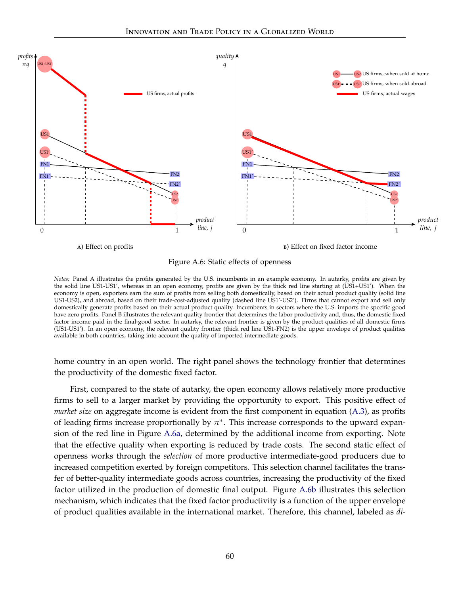<span id="page-60-0"></span>

<span id="page-60-2"></span>Figure A.6: Static effects of openness

<span id="page-60-1"></span>*Notes:* Panel A illustrates the profits generated by the U.S. incumbents in an example economy. In autarky, profits are given by the solid line US1-US1', whereas in an open economy, profits are given by the thick red line starting at (US1+US1'). When the economy is open, exporters earn the sum of profits from selling both domestically, based on their actual product quality (solid line US1-US2), and abroad, based on their trade-cost-adjusted quality (dashed line US1'-US2'). Firms that cannot export and sell only domestically generate profits based on their actual product quality. Incumbents in sectors where the U.S. imports the specific good have zero profits. Panel B illustrates the relevant quality frontier that determines the labor productivity and, thus, the domestic fixed factor income paid in the final-good sector. In autarky, the relevant frontier is given by the product qualities of all domestic firms (US1-US1'). In an open economy, the relevant quality frontier (thick red line US1-FN2) is the upper envelope of product qualities available in both countries, taking into account the quality of imported intermediate goods.

home country in an open world. The right panel shows the technology frontier that determines the productivity of the domestic fixed factor.

First, compared to the state of autarky, the open economy allows relatively more productive firms to sell to a larger market by providing the opportunity to export. This positive effect of *market size* on aggregate income is evident from the first component in equation [\(A.3\)](#page-59-0), as profits of leading firms increase proportionally by  $\pi^*$ . This increase corresponds to the upward expansion of the red line in Figure [A.6a,](#page-60-1) determined by the additional income from exporting. Note that the effective quality when exporting is reduced by trade costs. The second static effect of openness works through the *selection* of more productive intermediate-good producers due to increased competition exerted by foreign competitors. This selection channel facilitates the transfer of better-quality intermediate goods across countries, increasing the productivity of the fixed factor utilized in the production of domestic final output. Figure [A.6b](#page-60-2) illustrates this selection mechanism, which indicates that the fixed factor productivity is a function of the upper envelope of product qualities available in the international market. Therefore, this channel, labeled as *di-*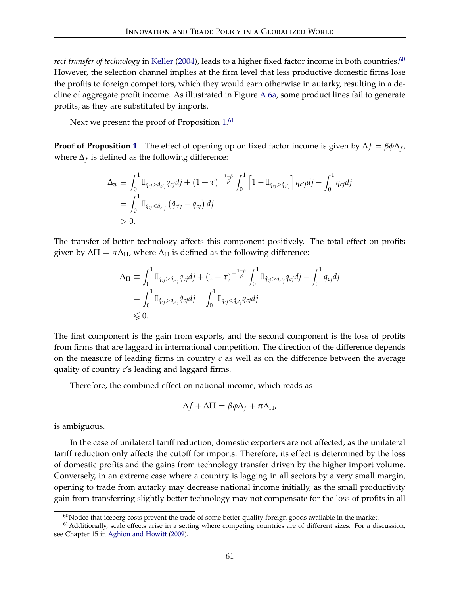*rect transfer of technology* in [Keller](#page-47-4) [\(2004\)](#page-47-4), leads to a higher fixed factor income in both countries.<sup>[60](#page-61-0)</sup> However, the selection channel implies at the firm level that less productive domestic firms lose the profits to foreign competitors, which they would earn otherwise in autarky, resulting in a decline of aggregate profit income. As illustrated in Figure [A.6a,](#page-60-1) some product lines fail to generate profits, as they are substituted by imports.

Next we present the proof of Proposition [1.](#page-58-1)<sup>[61](#page-61-1)</sup>

**Proof of Proposition [1](#page-58-1)** The effect of opening up on fixed factor income is given by  $\Delta f = \beta \phi \Delta_f$ , where  $\Delta_f$  is defined as the following difference:

$$
\Delta_w \equiv \int_0^1 \mathbb{I}_{q_{cj} > \hat{q}_{c'j}} q_{cj} dj + (1 + \tau)^{-\frac{1-\beta}{\beta}} \int_0^1 \left[ 1 - \mathbb{I}_{q_{cj} > \hat{q}_{c'j}} \right] q_{c'j} dj - \int_0^1 q_{cj} dj
$$
  
= 
$$
\int_0^1 \mathbb{I}_{q_{cj} < \hat{q}_{c'j}} (\hat{q}_{c'j} - q_{cj}) dj
$$
  
> 0.

The transfer of better technology affects this component positively. The total effect on profits given by  $\Delta \Pi = \pi \Delta \Pi$ , where  $\Delta \Pi$  is defined as the following difference:

$$
\Delta_{\Pi} \equiv \int_0^1 \mathbb{I}_{q_{cj} > \hat{q}_{c'j}} q_{cj} dj + (1 + \tau)^{-\frac{1-\beta}{\beta}} \int_0^1 \mathbb{I}_{\hat{q}_{cj} > q_{c'j}} q_{cj} dj - \int_0^1 q_{cj} dj
$$
  
= 
$$
\int_0^1 \mathbb{I}_{\hat{q}_{cj} > q_{c'j}} \hat{q}_{cj} dj - \int_0^1 \mathbb{I}_{q_{cj} < \hat{q}_{c'j}} q_{cj} dj
$$
  
\$\leq 0.

The first component is the gain from exports, and the second component is the loss of profits from firms that are laggard in international competition. The direction of the difference depends on the measure of leading firms in country *c* as well as on the difference between the average quality of country *c*'s leading and laggard firms.

Therefore, the combined effect on national income, which reads as

$$
\Delta f + \Delta \Pi = \beta \varphi \Delta_f + \pi \Delta_{\Pi},
$$

is ambiguous.

In the case of unilateral tariff reduction, domestic exporters are not affected, as the unilateral tariff reduction only affects the cutoff for imports. Therefore, its effect is determined by the loss of domestic profits and the gains from technology transfer driven by the higher import volume. Conversely, in an extreme case where a country is lagging in all sectors by a very small margin, opening to trade from autarky may decrease national income initially, as the small productivity gain from transferring slightly better technology may not compensate for the loss of profits in all

<span id="page-61-1"></span><span id="page-61-0"></span> $60$ Notice that iceberg costs prevent the trade of some better-quality foreign goods available in the market.

 $<sup>61</sup>$ Additionally, scale effects arise in a setting where competing countries are of different sizes. For a discussion,</sup> see Chapter 15 in [Aghion and Howitt](#page-44-2) [\(2009\)](#page-44-2).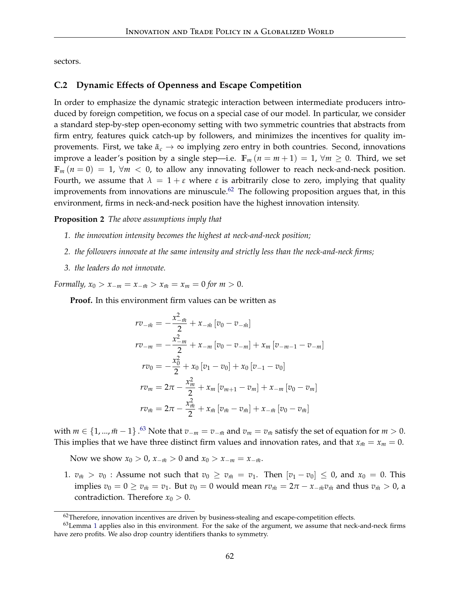sectors.

#### **C.2 Dynamic Effects of Openness and Escape Competition**

In order to emphasize the dynamic strategic interaction between intermediate producers introduced by foreign competition, we focus on a special case of our model. In particular, we consider a standard step-by-step open-economy setting with two symmetric countries that abstracts from firm entry, features quick catch-up by followers, and minimizes the incentives for quality improvements. First, we take  $\tilde{\alpha}_c \rightarrow \infty$  implying zero entry in both countries. Second, innovations improve a leader's position by a single step—i.e.  $\mathbb{F}_m$  ( $n = m + 1$ ) = 1,  $\forall m \ge 0$ . Third, we set  $\mathbb{F}_m(n=0) = 1$ ,  $\forall m < 0$ , to allow any innovating follower to reach neck-and-neck position. Fourth, we assume that  $\lambda = 1 + \varepsilon$  where  $\varepsilon$  is arbitrarily close to zero, implying that quality improvements from innovations are minuscule.<sup>[62](#page-62-0)</sup> The following proposition argues that, in this environment, firms in neck-and-neck position have the highest innovation intensity.

#### <span id="page-62-2"></span>**Proposition 2** *The above assumptions imply that*

- *1. the innovation intensity becomes the highest at neck-and-neck position;*
- *2. the followers innovate at the same intensity and strictly less than the neck-and-neck firms;*
- *3. the leaders do not innovate.*

*Formally,*  $x_0 > x_{-m} = x_{-\bar{m}} > x_{\bar{m}} = x_m = 0$  *for*  $m > 0$ .

**Proof.** In this environment firm values can be written as

$$
rv_{-\bar{m}} = -\frac{x_{-\bar{m}}^2}{2} + x_{-\bar{m}} [v_0 - v_{-\bar{m}}]
$$
  
\n
$$
rv_{-m} = -\frac{x_{-m}^2}{2} + x_{-m} [v_0 - v_{-m}] + x_m [v_{-m-1} - v_{-m}]
$$
  
\n
$$
rv_0 = -\frac{x_0^2}{2} + x_0 [v_1 - v_0] + x_0 [v_{-1} - v_0]
$$
  
\n
$$
rv_m = 2\pi - \frac{x_m^2}{2} + x_m [v_{m+1} - v_m] + x_{-m} [v_0 - v_m]
$$
  
\n
$$
rv_{\bar{m}} = 2\pi - \frac{x_{\bar{m}}^2}{2} + x_{\bar{m}} [v_{\bar{m}} - v_{\bar{m}}] + x_{-\bar{m}} [v_0 - v_{\bar{m}}]
$$

with  $m \in \{1, ..., m-1\}$  .<sup>[63](#page-62-1)</sup> Note that  $v_{-m} = v_{-\bar{m}}$  and  $v_m = v_{\bar{m}}$  satisfy the set of equation for  $m > 0$ . This implies that we have three distinct firm values and innovation rates, and that  $x_{\bar{m}} = x_m = 0$ .

Now we show  $x_0 > 0$ ,  $x_{-\bar{m}} > 0$  and  $x_0 > x_{-m} = x_{-\bar{m}}$ .

1.  $v_{\bar{m}} > v_0$ : Assume not such that  $v_0 \ge v_{\bar{m}} = v_1$ . Then  $[v_1 - v_0] \le 0$ , and  $x_0 = 0$ . This implies  $v_0 = 0 \ge v_{\bar{m}} = v_1$ . But  $v_0 = 0$  would mean  $rv_{\bar{m}} = 2\pi - x_{-\bar{m}}v_{\bar{m}}$  and thus  $v_{\bar{m}} > 0$ , a contradiction. Therefore  $x_0 > 0$ .

<span id="page-62-1"></span><span id="page-62-0"></span> $62$ Therefore, innovation incentives are driven by business-stealing and escape-competition effects.

 $63$ Lemma [1](#page-19-0) applies also in this environment. For the sake of the argument, we assume that neck-and-neck firms have zero profits. We also drop country identifiers thanks to symmetry.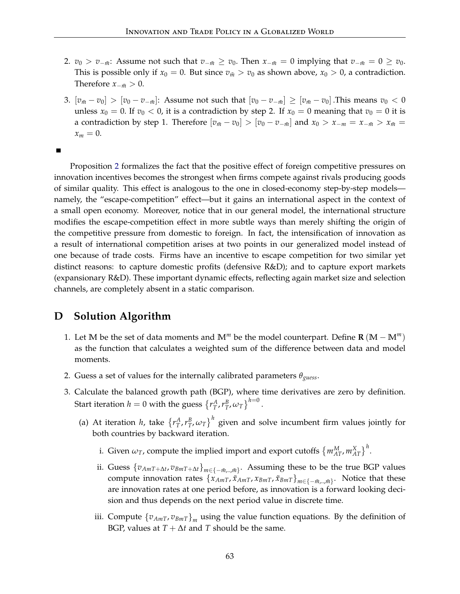- 2. *v*<sub>0</sub> > *v*<sub>− $\bar{m}$ : Assume not such that *v*<sub>− $\bar{m}$ </sub> ≥ *v*<sub>0</sub>. Then *x*<sub>− $\bar{m}$ </sub> = 0 implying that *v*<sub>− $\bar{m}$  = 0 ≥ *v*<sub>0</sub>.</sub></sub> This is possible only if  $x_0 = 0$ . But since  $v_{\bar{m}} > v_0$  as shown above,  $x_0 > 0$ , a contradiction. Therefore  $x_{-\bar{m}} > 0$ .
- 3.  $[v_{\bar{m}} v_0] > [v_0 v_{-\bar{m}}]$ : Assume not such that  $[v_0 v_{-\bar{m}}] \ge [v_{\bar{m}} v_0]$ . This means  $v_0 < 0$ unless  $x_0 = 0$ . If  $v_0 < 0$ , it is a contradiction by step 2. If  $x_0 = 0$  meaning that  $v_0 = 0$  it is a contradiction by step 1. Therefore  $[v_{\bar{m}} - v_0] > [v_0 - v_{-\bar{m}}]$  and  $x_0 > x_{-m} = x_{-\bar{m}} > x_{\bar{m}} =$  $x_m = 0$ .

П

Proposition [2](#page-62-2) formalizes the fact that the positive effect of foreign competitive pressures on innovation incentives becomes the strongest when firms compete against rivals producing goods of similar quality. This effect is analogous to the one in closed-economy step-by-step models namely, the "escape-competition" effect—but it gains an international aspect in the context of a small open economy. Moreover, notice that in our general model, the international structure modifies the escape-competition effect in more subtle ways than merely shifting the origin of the competitive pressure from domestic to foreign. In fact, the intensification of innovation as a result of international competition arises at two points in our generalized model instead of one because of trade costs. Firms have an incentive to escape competition for two similar yet distinct reasons: to capture domestic profits (defensive R&D); and to capture export markets (expansionary R&D). These important dynamic effects, reflecting again market size and selection channels, are completely absent in a static comparison.

# **D Solution Algorithm**

- 1. Let M be the set of data moments and  $M^m$  be the model counterpart. Define  $\mathbf{R} (M M^m)$ as the function that calculates a weighted sum of the difference between data and model moments.
- 2. Guess a set of values for the internally calibrated parameters *θguess*.
- 3. Calculate the balanced growth path (BGP), where time derivatives are zero by definition. Start iteration  $h = 0$  with the guess  $\left\{r_T^A, r_T^B, \omega_T\right\}^{h=0}$ .
	- (a) At iteration *h*, take  $\{r_T^A, r_T^B, \omega_T\}^h$  given and solve incumbent firm values jointly for both countries by backward iteration.
		- i. Given  $\omega_T$ , compute the implied import and export cutoffs  $\{m_{AT}^M, m_{AT}^X\}^h$ .
		- ii. Guess  $\{v_{AmT+\Delta t}, v_{BmT+\Delta t}\}_{m \in \{-\bar{m}, \ldots, \bar{m}\}}$ . Assuming these to be the true BGP values compute innovation rates  $\{x_{AmT}, \tilde{x}_{BmT}, x_{BmT}, \tilde{x}_{BmT}\}_{m \in \{-\bar{m}, \ldots, \bar{m}\}}$ . Notice that these are innovation rates at one period before, as innovation is a forward looking decision and thus depends on the next period value in discrete time.
		- iii. Compute  $\{v_{AmT}, v_{BmT}\}_m$  using the value function equations. By the definition of BGP, values at  $T + \Delta t$  and *T* should be the same.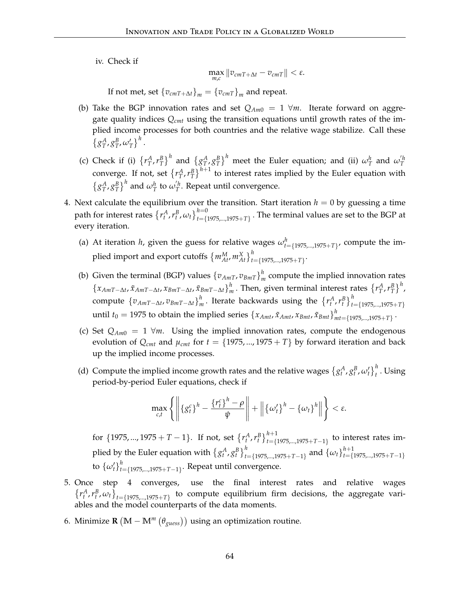iv. Check if

$$
\max_{m,c} \|v_{cmT+\Delta t}-v_{cmT}\| < \varepsilon.
$$

If not met, set  $\{v_{cmT+\Delta t}\}_m = \{v_{cmT}\}_m$  and repeat.

- (b) Take the BGP innovation rates and set  $Q_{Am0} = 1 \forall m$ . Iterate forward on aggregate quality indices *Qcmt* using the transition equations until growth rates of the implied income processes for both countries and the relative wage stabilize. Call these  $\left\{ g_T^A, g_T^B, \omega_T' \right\}^h$ .
- (c) Check if (i)  $\{r_T^A, r_T^B\}^h$  and  $\{g_T^A, g_T^B\}^h$  meet the Euler equation; and (ii)  $\omega_T^h$  and  $\omega_T^{'h}$ converge. If not, set  $\{r_T^A, r_T^B\}^{h+1}$  to interest rates implied by the Euler equation with  $\{g_T^A, g_T^B\}^h$  and  $\omega_T^h$  to  $\omega_T^{'h}$ . Repeat until convergence.
- 4. Next calculate the equilibrium over the transition. Start iteration  $h = 0$  by guessing a time path for interest rates  $\{r_t^A, r_t^B, \omega_t\}_{t=\{1975,\dots,1975+T\}}^{\text{h}=0}$ . The terminal values are set to the BGP at every iteration.
	- (a) At iteration *h*, given the guess for relative wages  $\omega_{t=\{1975,\dots,1975+T\}}^h$ , compute the implied import and export cutoffs  $\left\{ m_{At}^M, m_{At}^X \right\}_{t=\{1975,\dots,1975+T\}}^h$ .
	- (b) Given the terminal (BGP) values  $\{v_{AmT}, v_{BmT}\}_n^h$  $\frac{m}{m}$  compute the implied innovation rates  $\{x_{AmT-∆t}, \tilde{x}_{AmT-∆t}, x_{BmT-∆t}, \tilde{x}_{BmT-∆t}\}$ <sup>*h*</sup>  $\int_{m}^{h}$ . Then, given terminal interest rates  $\left\{r_{T}^{A}, r_{T}^{B}\right\}^{h}$ ,  $\{\overline{v}_{AmT-\Delta t}, \overline{v}_{BmT-\Delta t}\}_{n=0}^{h}$ *h n*. Iterate backwards using the  $\{r_t^A, r_t^B\}_{t=\{1975,\dots,1975+T\}}^h$ until  $t_0 = 1975$  to obtain the implied series  $\{x_{Amt}, \tilde{x}_{Amt}, x_{Bmt}, \tilde{x}_{Bmt}\}_{n=1}^{h}$ *mt*={1975,...,1975+*T*} .
	- (c) Set  $Q_{Am0} = 1 \forall m$ . Using the implied innovation rates, compute the endogenous evolution of  $Q_{cmt}$  and  $\mu_{cmt}$  for  $t = \{1975,...,1975 + T\}$  by forward iteration and back up the implied income processes.
	- (d) Compute the implied income growth rates and the relative wages  $\{g_t^A, g_t^B, \omega_t'\}_t^h$ . Using period-by-period Euler equations, check if

$$
\max_{c,t} \left\{ \left\| \left\{ g_t^c \right\}^h - \frac{\left\{ r_t^c \right\}^h - \rho}{\psi} \right\| + \left\| \left\{ \omega_t^{\prime} \right\}^h - \left\{ \omega_t \right\}^h \right\| \right\} < \varepsilon.
$$

for  $\{1975,..., 1975 + T - 1\}$ . If not, set  $\{r_t^A, r_t^B\}_{t=\{1975,...,1975+T-1\}}^{h+1}$  to interest rates implied by the Euler equation with  $\{g_t^A, g_t^B\}_{t=\{1975,\dots,1975+T-1\}}^h$  and  $\{\omega_t\}_{t=\{0,100\}}^{h+1}$ *t*={1975,...,1975+*T*−1} to  $\{\omega'_t\}_{t}^h$ *t*={1975,...,1975+*T*−1} . Repeat until convergence.

- 5. Once step 4 converges, use the final interest rates and relative wages  ${r_t^A, r_t^B, \omega_t}_{t=\{1975,\dots,1975+T\}}$  to compute equilibrium firm decisions, the aggregate variables and the model counterparts of the data moments.
- 6. Minimize **R**  $(M M^m(\theta_{guess}))$  using an optimization routine.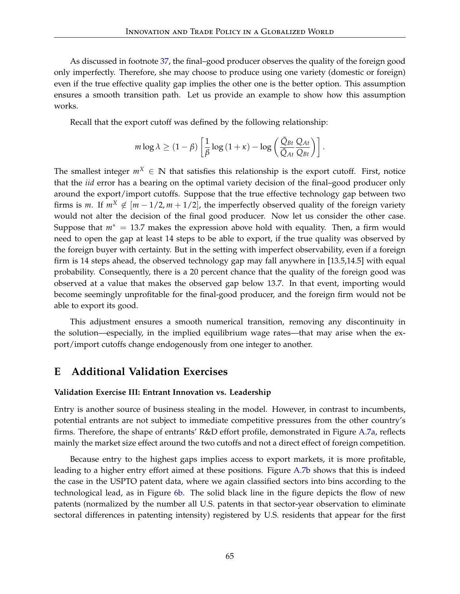As discussed in footnote [37,](#page-27-0) the final–good producer observes the quality of the foreign good only imperfectly. Therefore, she may choose to produce using one variety (domestic or foreign) even if the true effective quality gap implies the other one is the better option. This assumption ensures a smooth transition path. Let us provide an example to show how this assumption works.

Recall that the export cutoff was defined by the following relationship:

$$
m \log \lambda \ge (1 - \beta) \left[ \frac{1}{\beta} \log \left( 1 + \kappa \right) - \log \left( \frac{\bar{Q}_{Bt}}{\bar{Q}_{At}} \frac{Q_{At}}{Q_{Bt}} \right) \right].
$$

The smallest integer  $m^X \in \mathbb{N}$  that satisfies this relationship is the export cutoff. First, notice that the *iid* error has a bearing on the optimal variety decision of the final–good producer only around the export/import cutoffs. Suppose that the true effective technology gap between two firms is *m*. If  $m^X \notin [m-1/2, m+1/2]$ , the imperfectly observed quality of the foreign variety would not alter the decision of the final good producer. Now let us consider the other case. Suppose that  $m^* = 13.7$  makes the expression above hold with equality. Then, a firm would need to open the gap at least 14 steps to be able to export, if the true quality was observed by the foreign buyer with certainty. But in the setting with imperfect observability, even if a foreign firm is 14 steps ahead, the observed technology gap may fall anywhere in [13.5,14.5] with equal probability. Consequently, there is a 20 percent chance that the quality of the foreign good was observed at a value that makes the observed gap below 13.7. In that event, importing would become seemingly unprofitable for the final-good producer, and the foreign firm would not be able to export its good.

This adjustment ensures a smooth numerical transition, removing any discontinuity in the solution—especially, in the implied equilibrium wage rates—that may arise when the export/import cutoffs change endogenously from one integer to another.

## **E Additional Validation Exercises**

#### **Validation Exercise III: Entrant Innovation vs. Leadership**

Entry is another source of business stealing in the model. However, in contrast to incumbents, potential entrants are not subject to immediate competitive pressures from the other country's firms. Therefore, the shape of entrants' R&D effort profile, demonstrated in Figure [A.7a,](#page-66-0) reflects mainly the market size effect around the two cutoffs and not a direct effect of foreign competition.

Because entry to the highest gaps implies access to export markets, it is more profitable, leading to a higher entry effort aimed at these positions. Figure [A.7b](#page-66-1) shows that this is indeed the case in the USPTO patent data, where we again classified sectors into bins according to the technological lead, as in Figure [6b.](#page-30-1) The solid black line in the figure depicts the flow of new patents (normalized by the number all U.S. patents in that sector-year observation to eliminate sectoral differences in patenting intensity) registered by U.S. residents that appear for the first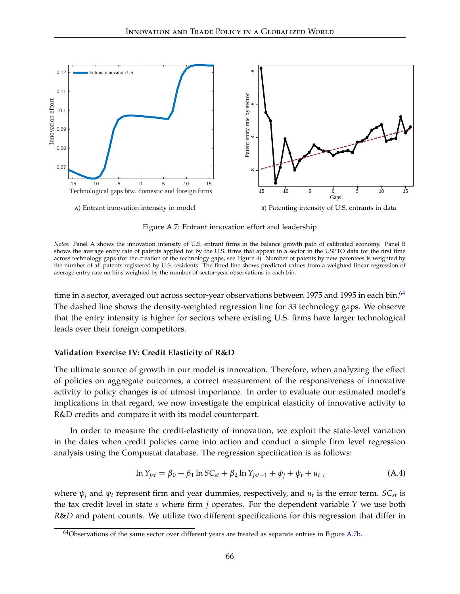

<span id="page-66-1"></span>Figure A.7: Entrant innovation effort and leadership

<span id="page-66-0"></span>*Notes:* Panel A shows the innovation intensity of U.S. entrant firms in the balance growth path of calibrated economy. Panel B shows the average entry rate of patents applied for by the U.S. firms that appear in a sector in the USPTO data for the first time across technology gaps (for the creation of the technology gaps, see Figure [4\)](#page-25-0). Number of patents by new patentees is weighted by the number of all patents registered by U.S. residents. The fitted line shows predicted values from a weighted linear regression of average entry rate on bins weighted by the number of sector-year observations in each bin.

time in a sector, averaged out across sector-year observations between 1975 and 1995 in each bin.<sup>[64](#page-66-2)</sup> The dashed line shows the density-weighted regression line for 33 technology gaps. We observe that the entry intensity is higher for sectors where existing U.S. firms have larger technological leads over their foreign competitors.

## **Validation Exercise IV: Credit Elasticity of R&D**

The ultimate source of growth in our model is innovation. Therefore, when analyzing the effect of policies on aggregate outcomes, a correct measurement of the responsiveness of innovative activity to policy changes is of utmost importance. In order to evaluate our estimated model's implications in that regard, we now investigate the empirical elasticity of innovative activity to R&D credits and compare it with its model counterpart.

In order to measure the credit-elasticity of innovation, we exploit the state-level variation in the dates when credit policies came into action and conduct a simple firm level regression analysis using the Compustat database. The regression specification is as follows:

$$
\ln Y_{jst} = \beta_0 + \beta_1 \ln SC_{st} + \beta_2 \ln Y_{jst-1} + \psi_j + \psi_t + u_t , \qquad (A.4)
$$

where  $\psi_j$  and  $\psi_t$  represent firm and year dummies, respectively, and  $u_t$  is the error term.  $SC_{st}$  is the tax credit level in state *s* where firm *j* operates. For the dependent variable *Y* we use both *R*&*D* and patent counts. We utilize two different specifications for this regression that differ in

<span id="page-66-2"></span><sup>64</sup>Observations of the same sector over different years are treated as separate entries in Figure [A.7b.](#page-66-1)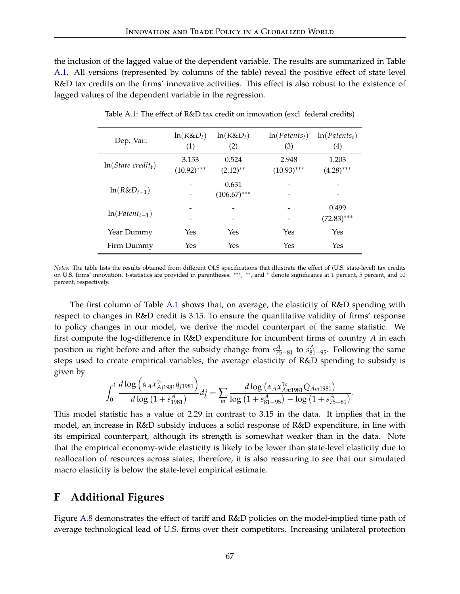the inclusion of the lagged value of the dependent variable. The results are summarized in Table [A.1.](#page-67-1) All versions (represented by columns of the table) reveal the positive effect of state level R&D tax credits on the firms' innovative activities. This effect is also robust to the existence of lagged values of the dependent variable in the regression.

<span id="page-67-1"></span>

| Dep. Var.:             | $ln(R&D_t)$<br>(1)     | $ln(R&D_t)$<br>(2)      | $ln(Patents_t)$<br>(3) | $ln(Patents_t)$<br>(4) |
|------------------------|------------------------|-------------------------|------------------------|------------------------|
| $ln(State\; credit_t)$ | 3.153<br>$(10.92)$ *** | 0.524<br>$(2.12)$ **    | 2.948<br>$(10.93)$ *** | 1.203<br>$(4.28)$ ***  |
| $ln(R&D_{t-1})$        |                        | 0.631<br>$(106.67)$ *** |                        |                        |
| $ln(Patent_{t-1})$     |                        | -                       | -                      | 0.499<br>$(72.83)$ *** |
| Year Dummy             | Yes                    | Yes                     | Yes                    | Yes                    |
| Firm Dummy             | Yes                    | Yes                     | Yes                    | Yes                    |

Table A.1: The effect of R&D tax credit on innovation (excl. federal credits)

*Notes:* The table lists the results obtained from different OLS specifications that illustrate the effect of (U.S. state-level) tax credits on U.S. firms' innovation. t-statistics are provided in parentheses. \*\*\*, \*\*, and \* denote significance at 1 percent, 5 percent, and 10 percent, respectively.

The first column of Table [A.1](#page-67-1) shows that, on average, the elasticity of R&D spending with respect to changes in R&D credit is 3.15. To ensure the quantitative validity of firms' response to policy changes in our model, we derive the model counterpart of the same statistic. We first compute the log-difference in R&D expenditure for incumbent firms of country *A* in each position *m* right before and after the subsidy change from  $s_{75-81}^A$  to  $s_{81-95}^A$ . Following the same steps used to create empirical variables, the average elasticity of R&D spending to subsidy is given by

$$
\int_0^1 \frac{d \log \left( \alpha_A x_{Aj1981}^{\gamma_c} q_{j1981} \right)}{d \log \left( 1 + s_{1981}^A \right)} dj = \sum_m \frac{d \log \left( \alpha_A x_{Am1981}^{\gamma_c} Q_{Am1981} \right)}{\log \left( 1 + s_{81-95}^A \right) - \log \left( 1 + s_{75-81}^A \right)}.
$$

This model statistic has a value of 2.29 in contrast to 3.15 in the data. It implies that in the model, an increase in R&D subsidy induces a solid response of R&D expenditure, in line with its empirical counterpart, although its strength is somewhat weaker than in the data. Note that the empirical economy-wide elasticity is likely to be lower than state-level elasticity due to reallocation of resources across states; therefore, it is also reassuring to see that our simulated macro elasticity is below the state-level empirical estimate.

## <span id="page-67-0"></span>**F Additional Figures**

Figure [A.8](#page-68-1) demonstrates the effect of tariff and R&D policies on the model-implied time path of average technological lead of U.S. firms over their competitors. Increasing unilateral protection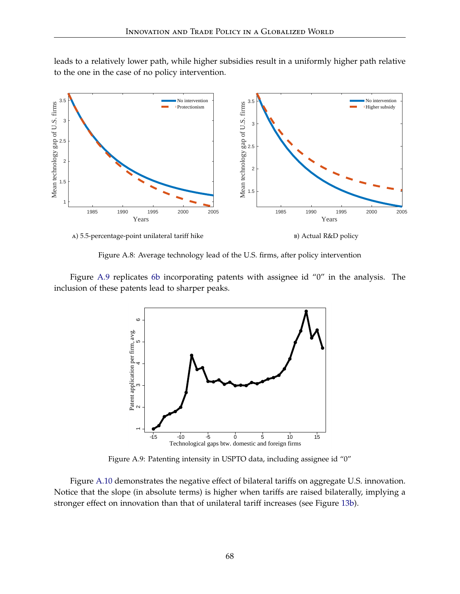leads to a relatively lower path, while higher subsidies result in a uniformly higher path relative to the one in the case of no policy intervention.

<span id="page-68-1"></span>

<span id="page-68-0"></span>

**в**) Actual R&D policy

Figure A.8: Average technology lead of the U.S. firms, after policy intervention

<span id="page-68-2"></span>Figure [A.9](#page-68-2) replicates [6b](#page-30-1) incorporating patents with assignee id "0" in the analysis. The inclusion of these patents lead to sharper peaks.



Figure A.9: Patenting intensity in USPTO data, including assignee id "0"

Figure [A.10](#page-69-0) demonstrates the negative effect of bilateral tariffs on aggregate U.S. innovation. Notice that the slope (in absolute terms) is higher when tariffs are raised bilaterally, implying a stronger effect on innovation than that of unilateral tariff increases (see Figure [13b\)](#page-39-2).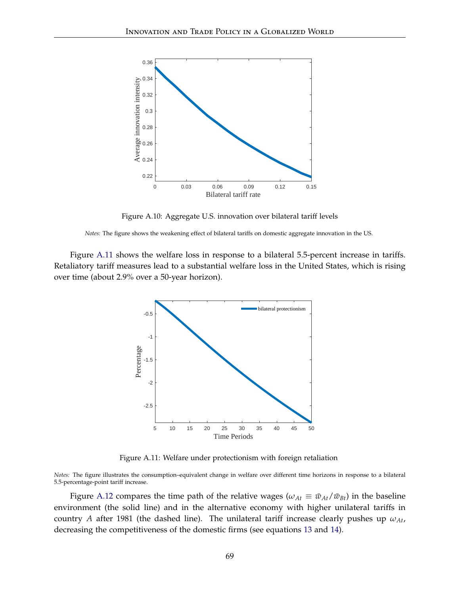<span id="page-69-0"></span>

Figure A.10: Aggregate U.S. innovation over bilateral tariff levels

*Notes:* The figure shows the weakening effect of bilateral tariffs on domestic aggregate innovation in the US.

<span id="page-69-1"></span>Figure [A.11](#page-69-1) shows the welfare loss in response to a bilateral 5.5-percent increase in tariffs. Retaliatory tariff measures lead to a substantial welfare loss in the United States, which is rising over time (about 2.9% over a 50-year horizon).



Figure A.11: Welfare under protectionism with foreign retaliation

*Notes:* The figure illustrates the consumption–equivalent change in welfare over different time horizons in response to a bilateral 5.5-percentage-point tariff increase.

Figure [A.12](#page-70-0) compares the time path of the relative wages ( $\omega_{At} \equiv \bar{w}_{At}/\bar{w}_{Bt}$ ) in the baseline environment (the solid line) and in the alternative economy with higher unilateral tariffs in country *A* after 1981 (the dashed line). The unilateral tariff increase clearly pushes up  $\omega_{At}$ , decreasing the competitiveness of the domestic firms (see equations [13](#page-17-1) and [14\)](#page-17-2).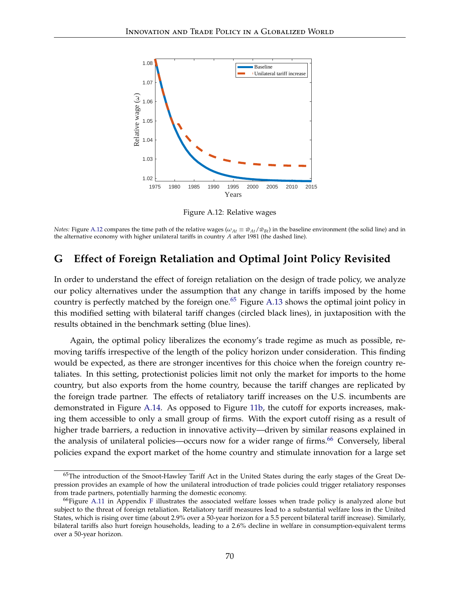<span id="page-70-0"></span>

Figure A.12: Relative wages

*Notes:* Figure [A.12](#page-70-0) compares the time path of the relative wages ( $\omega_{At} \equiv \bar{w}_{At}/\bar{w}_{Bt}$ ) in the baseline environment (the solid line) and in the alternative economy with higher unilateral tariffs in country *A* after 1981 (the dashed line).

# <span id="page-70-1"></span>**G Effect of Foreign Retaliation and Optimal Joint Policy Revisited**

In order to understand the effect of foreign retaliation on the design of trade policy, we analyze our policy alternatives under the assumption that any change in tariffs imposed by the home country is perfectly matched by the foreign one.<sup>[65](#page-70-2)</sup> Figure [A.13](#page-71-0) shows the optimal joint policy in this modified setting with bilateral tariff changes (circled black lines), in juxtaposition with the results obtained in the benchmark setting (blue lines).

Again, the optimal policy liberalizes the economy's trade regime as much as possible, removing tariffs irrespective of the length of the policy horizon under consideration. This finding would be expected, as there are stronger incentives for this choice when the foreign country retaliates. In this setting, protectionist policies limit not only the market for imports to the home country, but also exports from the home country, because the tariff changes are replicated by the foreign trade partner. The effects of retaliatory tariff increases on the U.S. incumbents are demonstrated in Figure [A.14.](#page-71-1) As opposed to Figure [11b,](#page-36-0) the cutoff for exports increases, making them accessible to only a small group of firms. With the export cutoff rising as a result of higher trade barriers, a reduction in innovative activity—driven by similar reasons explained in the analysis of unilateral policies—occurs now for a wider range of firms.<sup>[66](#page-70-3)</sup> Conversely, liberal policies expand the export market of the home country and stimulate innovation for a large set

<span id="page-70-2"></span><sup>&</sup>lt;sup>65</sup>The introduction of the Smoot-Hawley Tariff Act in the United States during the early stages of the Great Depression provides an example of how the unilateral introduction of trade policies could trigger retaliatory responses from trade partners, potentially harming the domestic economy.

<span id="page-70-3"></span><sup>66</sup>Figure [A.11](#page-69-1) in Appendix [F](#page-67-0) illustrates the associated welfare losses when trade policy is analyzed alone but subject to the threat of foreign retaliation. Retaliatory tariff measures lead to a substantial welfare loss in the United States, which is rising over time (about 2.9% over a 50-year horizon for a 5.5 percent bilateral tariff increase). Similarly, bilateral tariffs also hurt foreign households, leading to a 2.6% decline in welfare in consumption-equivalent terms over a 50-year horizon.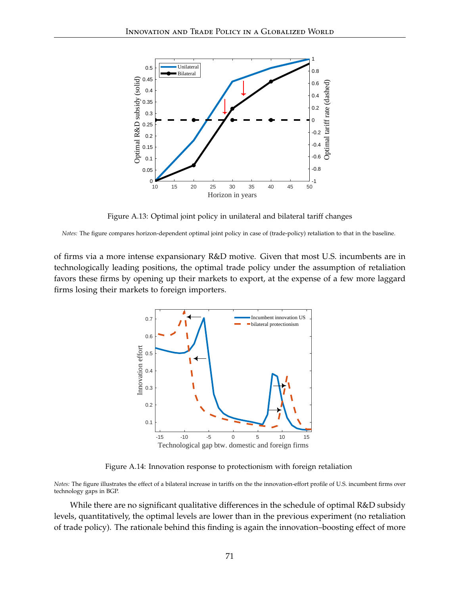<span id="page-71-0"></span>

Figure A.13: Optimal joint policy in unilateral and bilateral tariff changes

*Notes:* The figure compares horizon-dependent optimal joint policy in case of (trade-policy) retaliation to that in the baseline.

<span id="page-71-1"></span>of firms via a more intense expansionary R&D motive. Given that most U.S. incumbents are in technologically leading positions, the optimal trade policy under the assumption of retaliation favors these firms by opening up their markets to export, at the expense of a few more laggard firms losing their markets to foreign importers.



Figure A.14: Innovation response to protectionism with foreign retaliation

*Notes:* The figure illustrates the effect of a bilateral increase in tariffs on the the innovation-effort profile of U.S. incumbent firms over technology gaps in BGP.

While there are no significant qualitative differences in the schedule of optimal R&D subsidy levels, quantitatively, the optimal levels are lower than in the previous experiment (no retaliation of trade policy). The rationale behind this finding is again the innovation–boosting effect of more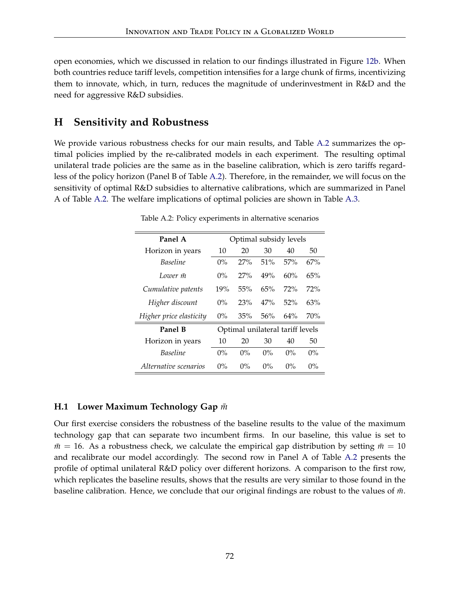open economies, which we discussed in relation to our findings illustrated in Figure [12b.](#page-38-0) When both countries reduce tariff levels, competition intensifies for a large chunk of firms, incentivizing them to innovate, which, in turn, reduces the magnitude of underinvestment in R&D and the need for aggressive R&D subsidies.

# **H Sensitivity and Robustness**

We provide various robustness checks for our main results, and Table [A.2](#page-72-0) summarizes the optimal policies implied by the re-calibrated models in each experiment. The resulting optimal unilateral trade policies are the same as in the baseline calibration, which is zero tariffs regardless of the policy horizon (Panel B of Table [A.2\)](#page-72-0). Therefore, in the remainder, we will focus on the sensitivity of optimal R&D subsidies to alternative calibrations, which are summarized in Panel A of Table [A.2.](#page-72-0) The welfare implications of optimal policies are shown in Table [A.3.](#page-74-0)

<span id="page-72-0"></span>

| Panel A                 | Optimal subsidy levels           |       |       |        |       |  |  |
|-------------------------|----------------------------------|-------|-------|--------|-------|--|--|
| Horizon in years        | 10                               | 20    | 30    | 40     | 50    |  |  |
| <b>Baseline</b>         | $0\%$                            | 27%   | 51%   | 57%    | 67%   |  |  |
| Lower m                 | $0\%$                            | 27%   | 49%   | 60%    | 65%   |  |  |
| Cumulative patents      | 19%                              | 55%   | 65%   | 72%    | 72%   |  |  |
| Higher discount         | $0\%$                            | 23%   | 47%   | 52%    | 63%   |  |  |
| Higher price elasticity | $0\%$                            | 35%   | 56%   | $64\%$ | 70%   |  |  |
| Panel B                 | Optimal unilateral tariff levels |       |       |        |       |  |  |
| Horizon in years        | 10                               | 20    | 30    | 40     | 50    |  |  |
| <b>Baseline</b>         | $0\%$                            | $0\%$ | $0\%$ | $0\%$  | $0\%$ |  |  |
| Alternative scenarios   | $0\%$                            | $0\%$ | $0\%$ | $0\%$  | $0\%$ |  |  |

Table A.2: Policy experiments in alternative scenarios

## **H.1** Lower Maximum Technology Gap  $\bar{m}$

Our first exercise considers the robustness of the baseline results to the value of the maximum technology gap that can separate two incumbent firms. In our baseline, this value is set to  $m = 16$ . As a robustness check, we calculate the empirical gap distribution by setting  $m = 10$ and recalibrate our model accordingly. The second row in Panel A of Table [A.2](#page-72-0) presents the profile of optimal unilateral R&D policy over different horizons. A comparison to the first row, which replicates the baseline results, shows that the results are very similar to those found in the baseline calibration. Hence, we conclude that our original findings are robust to the values of  $\bar{m}$ .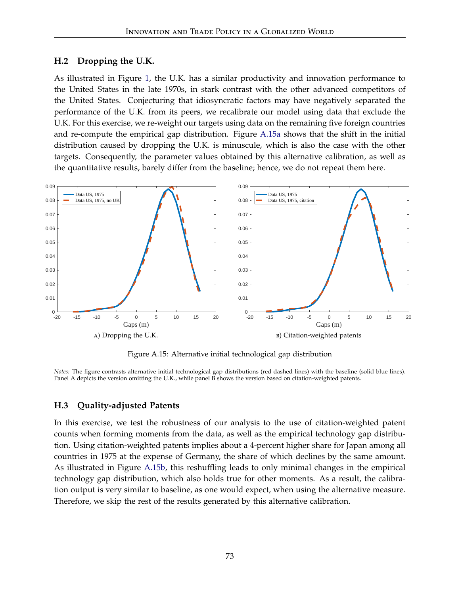#### **H.2 Dropping the U.K.**

As illustrated in Figure [1,](#page-2-0) the U.K. has a similar productivity and innovation performance to the United States in the late 1970s, in stark contrast with the other advanced competitors of the United States. Conjecturing that idiosyncratic factors may have negatively separated the performance of the U.K. from its peers, we recalibrate our model using data that exclude the U.K. For this exercise, we re-weight our targets using data on the remaining five foreign countries and re-compute the empirical gap distribution. Figure [A.15a](#page-73-0) shows that the shift in the initial distribution caused by dropping the U.K. is minuscule, which is also the case with the other targets. Consequently, the parameter values obtained by this alternative calibration, as well as the quantitative results, barely differ from the baseline; hence, we do not repeat them here.



<span id="page-73-1"></span>Figure A.15: Alternative initial technological gap distribution

<span id="page-73-0"></span>*Notes:* The figure contrasts alternative initial technological gap distributions (red dashed lines) with the baseline (solid blue lines). Panel A depicts the version omitting the U.K., while panel B shows the version based on citation-weighted patents.

## **H.3 Quality-adjusted Patents**

In this exercise, we test the robustness of our analysis to the use of citation-weighted patent counts when forming moments from the data, as well as the empirical technology gap distribution. Using citation-weighted patents implies about a 4-percent higher share for Japan among all countries in 1975 at the expense of Germany, the share of which declines by the same amount. As illustrated in Figure [A.15b,](#page-73-1) this reshuffling leads to only minimal changes in the empirical technology gap distribution, which also holds true for other moments. As a result, the calibration output is very similar to baseline, as one would expect, when using the alternative measure. Therefore, we skip the rest of the results generated by this alternative calibration.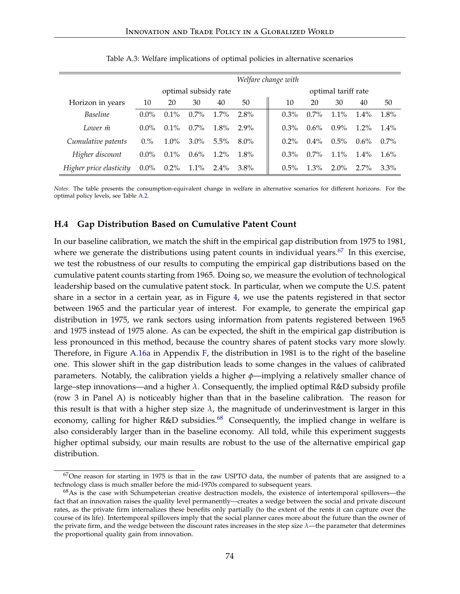<span id="page-74-0"></span>

|                         | Welfare change with  |         |         |         |                     |         |         |         |         |         |
|-------------------------|----------------------|---------|---------|---------|---------------------|---------|---------|---------|---------|---------|
|                         | optimal subsidy rate |         |         |         | optimal tariff rate |         |         |         |         |         |
| Horizon in years        | 10                   | 20      | 30      | 40      | 50                  | 10      | 20      | 30      | 40      | 50      |
| <b>Baseline</b>         | $0.0\%$              | $0.1\%$ | $0.7\%$ | $1.7\%$ | $2.8\%$             | $0.3\%$ | $0.7\%$ | $1.1\%$ | $1.4\%$ | 1.8%    |
| Lower m                 | $0.0\%$              | $0.1\%$ | $0.7\%$ | $1.8\%$ | $2.9\%$             | $0.3\%$ | $0.6\%$ | $0.9\%$ | $1.2\%$ | $1.4\%$ |
| Cumulative patents      | 0.%                  | $1.0\%$ | $3.0\%$ | $5.5\%$ | $8.0\%$             | $0.2\%$ | $0.4\%$ | $0.5\%$ | $0.6\%$ | $0.7\%$ |
| Higher discount         | $0.0\%$              | $0.1\%$ | $0.6\%$ | $1.2\%$ | $1.8\%$             | $0.3\%$ | $0.7\%$ | $1.1\%$ | $1.4\%$ | $1.6\%$ |
| Higher price elasticity | $0.0\%$              | $0.2\%$ | $1.1\%$ | $2.4\%$ | $3.8\%$             | $0.5\%$ | $1.3\%$ | $2.0\%$ | $2.7\%$ | $3.3\%$ |

Table A.3: Welfare implications of optimal policies in alternative scenarios

*Notes:* The table presents the consumption-equivalent change in welfare in alternative scenarios for different horizons. For the optimal policy levels, see Table [A.2.](#page-72-0)

#### **H.4 Gap Distribution Based on Cumulative Patent Count**

In our baseline calibration, we match the shift in the empirical gap distribution from 1975 to 1981, where we generate the distributions using patent counts in individual years.<sup>[67](#page-74-1)</sup> In this exercise, we test the robustness of our results to computing the empirical gap distributions based on the cumulative patent counts starting from 1965. Doing so, we measure the evolution of technological leadership based on the cumulative patent stock. In particular, when we compute the U.S. patent share in a sector in a certain year, as in Figure [4,](#page-25-0) we use the patents registered in that sector between 1965 and the particular year of interest. For example, to generate the empirical gap distribution in 1975, we rank sectors using information from patents registered between 1965 and 1975 instead of 1975 alone. As can be expected, the shift in the empirical gap distribution is less pronounced in this method, because the country shares of patent stocks vary more slowly. Therefore, in Figure [A.16a](#page-75-0) in Appendix [F,](#page-67-0) the distribution in 1981 is to the right of the baseline one. This slower shift in the gap distribution leads to some changes in the values of calibrated parameters. Notably, the calibration yields a higher *ϕ*—implying a relatively smaller chance of large–step innovations—and a higher *λ*. Consequently, the implied optimal R&D subsidy profile (row 3 in Panel A) is noticeably higher than that in the baseline calibration. The reason for this result is that with a higher step size  $\lambda$ , the magnitude of underinvestment is larger in this economy, calling for higher R&D subsidies. $^{68}$  $^{68}$  $^{68}$  Consequently, the implied change in welfare is also considerably larger than in the baseline economy. All told, while this experiment suggests higher optimal subsidy, our main results are robust to the use of the alternative empirical gap distribution.

<span id="page-74-1"></span> $67$ One reason for starting in 1975 is that in the raw USPTO data, the number of patents that are assigned to a technology class is much smaller before the mid-1970s compared to subsequent years.

<span id="page-74-2"></span><sup>&</sup>lt;sup>68</sup>As is the case with Schumpeterian creative destruction models, the existence of intertemporal spillovers—the fact that an innovation raises the quality level permanently—creates a wedge between the social and private discount rates, as the private firm internalizes these benefits only partially (to the extent of the rents it can capture over the course of its life). Intertemporal spillovers imply that the social planner cares more about the future than the owner of the private firm, and the wedge between the discount rates increases in the step size *λ*—the parameter that determines the proportional quality gain from innovation.